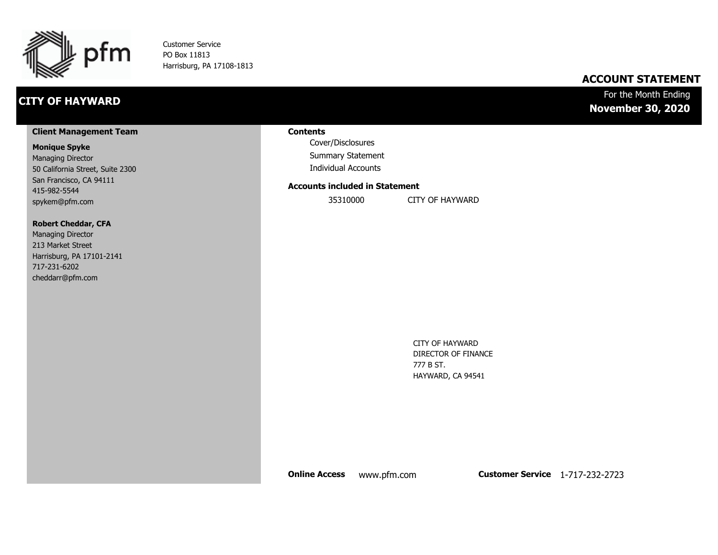

Customer Service PO Box 11813 Harrisburg, PA 17108-1813

## **CITY OF HAYWARD**

### **ACCOUNT STATEMENT**

### For the Month Ending **November 30, 2020**

#### **Client Management Team**

#### **Monique Spyke**

Managing Director 50 California Street, Suite 2300 San Francisco, CA 94111 415-982-5544 spykem@pfm.com

#### **Robert Cheddar, CFA**

| <b>Managing Director</b>  |
|---------------------------|
| 213 Market Street         |
| Harrisburg, PA 17101-2141 |
| 717-231-6202              |
| cheddarr@pfm.com          |

#### **Contents**

Cover/Disclosures Summary Statement Individual Accounts

#### **Accounts included in Statement**

35310000 CITY OF HAYWARD

CITY OF HAYWARD DIRECTOR OF FINANCE 777 B ST. HAYWARD, CA 94541

**Online Access** www.pfm.com **Customer Service** 1-717-232-2723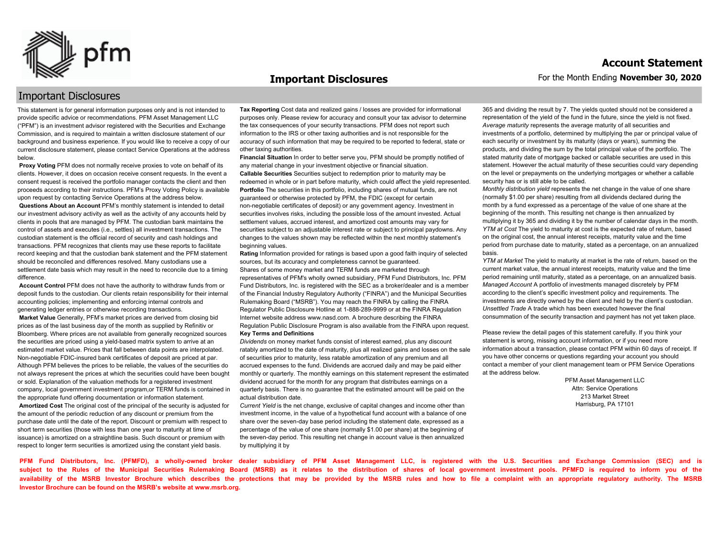

#### **Important Disclosures**

### Important Disclosures

This statement is for general information purposes only and is not intended to provide specific advice or recommendations. PFM Asset Management LLC ("PFM") is an investment advisor registered with the Securities and Exchange Commission, and is required to maintain a written disclosure statement of our background and business experience. If you would like to receive a copy of our current disclosure statement, please contact Service Operations at the address below.

**Proxy Voting** PFM does not normally receive proxies to vote on behalf of its clients. However, it does on occasion receive consent requests. In the event a consent request is received the portfolio manager contacts the client and then proceeds according to their instructions. PFM's Proxy Voting Policy is available upon request by contacting Service Operations at the address below. **Questions About an Account** PFM's monthly statement is intended to detail our investment advisory activity as well as the activity of any accounts held by clients in pools that are managed by PFM. The custodian bank maintains the control of assets and executes (i.e., settles) all investment transactions. The custodian statement is the official record of security and cash holdings and transactions. PFM recognizes that clients may use these reports to facilitate record keeping and that the custodian bank statement and the PFM statement should be reconciled and differences resolved. Many custodians use a settlement date basis which may result in the need to reconcile due to a timing

difference. **Account Control** PFM does not have the authority to withdraw funds from or deposit funds to the custodian. Our clients retain responsibility for their internal

accounting policies; implementing and enforcing internal controls and generating ledger entries or otherwise recording transactions. **Market Value** Generally, PFM's market prices are derived from closing bid prices as of the last business day of the month as supplied by Refinitiv or Bloomberg. Where prices are not available from generally recognized sources the securities are priced using a yield-based matrix system to arrive at an estimated market value. Prices that fall between data points are interpolated. Non-negotiable FDIC-insured bank certificates of deposit are priced at par. Although PFM believes the prices to be reliable, the values of the securities do not always represent the prices at which the securities could have been bought or sold. Explanation of the valuation methods for a registered investment company, local government investment program,or TERM funds is contained in the appropriate fund offering documentation or information statement. **Amortized Cost** The original cost of the principal of the security is adjusted for the amount of the periodic reduction of any discount or premium from the purchase date until the date of the report. Discount or premium with respect to short term securities (those with less than one year to maturity at time of issuance) is amortized on a straightline basis. Such discount or premium with respect to longer term securities is amortized using the constant yield basis.

**Tax Reporting** Cost data and realized gains / losses are provided for informational purposes only. Please review for accuracy and consult your tax advisor to determine the tax consequences of your security transactions. PFM does not report such information to the IRS or other taxing authorities and is not responsible for the accuracy of such information that may be required to be reported to federal, state or other taxing authorities.

**Financial Situation** In order to better serve you, PFM should be promptly notified of any material change in your investment objective or financial situation. **Callable Securities** Securities subject to redemption prior to maturity may be redeemed in whole or in part before maturity, which could affect the yield represented. Portfolio The securities in this portfolio, including shares of mutual funds, are not guaranteed or otherwise protected by PFM, the FDIC (except for certain non-negotiable certificates of deposit) or any government agency. Investment in securities involves risks, including the possible loss of the amount invested. Actual settlement values, accrued interest, and amortized cost amounts may vary for securities subject to an adjustable interest rate or subject to principal paydowns. Any changes to the values shown may be reflected within the next monthly statement's beginning values.

**Rating** Information provided for ratings is based upon a good faith inquiry of selected sources, but its accuracy and completeness cannot be guaranteed. Shares of some money market and TERM funds are marketed through representatives of PFM's wholly owned subsidiary, PFM Fund Distributors, Inc. PFM Fund Distributors, Inc. is registered with the SEC as a broker/dealer and is a member of the Financial Industry Regulatory Authority ("FINRA") and the Municipal Securities Rulemaking Board ("MSRB"). You may reach the FINRA by calling the FINRA Regulator Public Disclosure Hotline at 1-888-289-9999 or at the FINRA Regulation Internet website address www.nasd.com. A brochure describing the FINRA Regulation Public Disclosure Program is also available from the FINRA upon request. **Key Terms and Definitions**

*Dividends* on money market funds consist of interest earned, plus any discount ratably amortized to the date of maturity, plus all realized gains and losses on the sale of securities prior to maturity, less ratable amortization of any premium and all accrued expenses to the fund. Dividends are accrued daily and may be paid either monthly or quarterly. The monthly earnings on this statement represent the estimated dividend accrued for the month for any program that distributes earnings on a quarterly basis. There is no guarantee that the estimated amount will be paid on the actual distribution date.

*Current Yield* is the net change, exclusive of capital changes and income other than investment income, in the value of a hypothetical fund account with a balance of one share over the seven-day base period including the statement date, expressed as a percentage of the value of one share (normally \$1.00 per share) at the beginning of the seven-day period. This resulting net change in account value is then annualized by multiplying it by

365 and dividing the result by 7. The yields quoted should not be considered a representation of the yield of the fund in the future, since the yield is not fixed. *Average maturity* represents the average maturity of all securities and investments of a portfolio, determined by multiplying the par or principal value of each security or investment by its maturity (days or years), summing the products, and dividing the sum by the total principal value of the portfolio. The stated maturity date of mortgage backed or callable securities are used in this statement. However the actual maturity of these securities could vary depending on the level or prepayments on the underlying mortgages or whether a callable security has or is still able to be called.

*Monthly distribution yield* represents the net change in the value of one share (normally \$1.00 per share) resulting from all dividends declared during the month by a fund expressed as a percentage of the value of one share at the beginning of the month. This resulting net change is then annualized by multiplying it by 365 and dividing it by the number of calendar days in the month. *YTM at Cost* The yield to maturity at cost is the expected rate of return, based on the original cost, the annual interest receipts, maturity value and the time period from purchase date to maturity, stated as a percentage, on an annualized basis.

*YTM at Market* The yield to maturity at market is the rate of return, based on the current market value, the annual interest receipts, maturity value and the time period remaining until maturity, stated as a percentage, on an annualized basis. *Managed Account* A portfolio of investments managed discretely by PFM according to the client's specific investment policy and requirements. The investments are directly owned by the client and held by the client's custodian. *Unsettled Trade* A trade which has been executed however the final consummation of the security transaction and payment has not yet taken place.

Please review the detail pages of this statement carefully. If you think your statement is wrong, missing account information, or if you need more information about a transaction, please contact PFM within 60 days of receipt. If you have other concerns or questions regarding your account you should contact a member of your client management team or PFM Service Operations at the address below.

> PFM Asset Management LLC Attn: Service Operations 213 Market Street Harrisburg, PA 17101

**PFM Fund Distributors, Inc. (PFMFD), a wholly-owned broker dealer subsidiary of PFM Asset Management LLC, is registered with the U.S. Securities and Exchange Commission (SEC) and is**  subject to the Rules of the Municipal Securities Rulemaking Board (MSRB) as it relates to the distribution of shares of local government investment pools. PFMFD is required to inform you of the availability of the MSRB Investor Brochure which describes the protections that may be provided by the MSRB rules and how to file a complaint with an appropriate regulatory authority. The MSRB **Investor Brochure can be found on the MSRB's website at www.msrb.org.**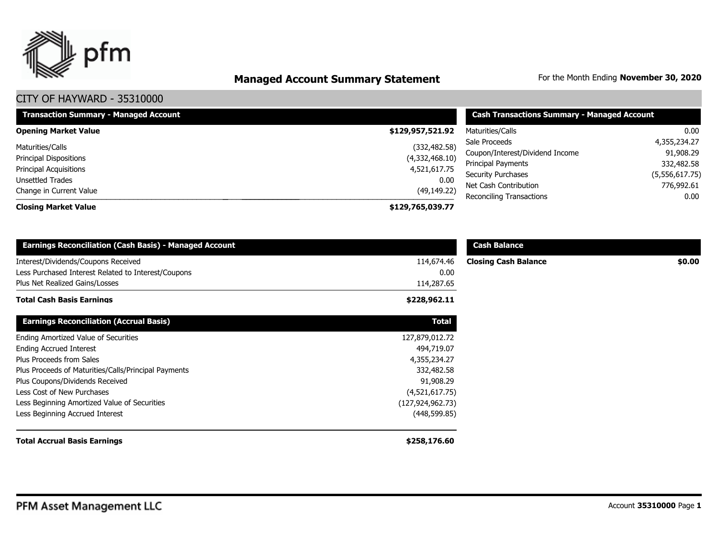

# **Managed Account Summary Statement** For the Month Ending November 30, 2020

| <b>Transaction Summary - Managed Account</b> | <b>Cash Transactions Summary - Managed Account</b> |                                 |                |
|----------------------------------------------|----------------------------------------------------|---------------------------------|----------------|
| <b>Opening Market Value</b>                  | \$129,957,521.92                                   | Maturities/Calls                | 0.00           |
| Maturities/Calls                             | (332, 482.58)                                      | Sale Proceeds                   | 4,355,234.27   |
| <b>Principal Dispositions</b>                | (4,332,468.10)                                     | Coupon/Interest/Dividend Income | 91,908.29      |
|                                              |                                                    | Principal Payments              | 332,482.58     |
| <b>Principal Acquisitions</b>                | 4,521,617.75                                       | <b>Security Purchases</b>       | (5,556,617.75) |
| Unsettled Trades                             | 0.00                                               | Net Cash Contribution           | 776,992.61     |
| Change in Current Value                      | (49, 149.22)                                       | <b>Reconciling Transactions</b> | 0.00           |
| <b>Closing Market Value</b>                  | \$129,765,039.77                                   |                                 |                |

| <b>Earnings Reconciliation (Cash Basis) - Managed Account</b> |                    | <b>Cash Balance</b>         |        |
|---------------------------------------------------------------|--------------------|-----------------------------|--------|
| Interest/Dividends/Coupons Received                           | 114,674.46         | <b>Closing Cash Balance</b> | \$0.00 |
| Less Purchased Interest Related to Interest/Coupons           | 0.00               |                             |        |
| Plus Net Realized Gains/Losses                                | 114,287.65         |                             |        |
| <b>Total Cash Basis Earnings</b>                              | \$228,962.11       |                             |        |
| <b>Earnings Reconciliation (Accrual Basis)</b>                | <b>Total</b>       |                             |        |
| Ending Amortized Value of Securities                          | 127,879,012.72     |                             |        |
| <b>Ending Accrued Interest</b>                                | 494,719.07         |                             |        |
| Plus Proceeds from Sales                                      | 4,355,234.27       |                             |        |
| Plus Proceeds of Maturities/Calls/Principal Payments          | 332,482.58         |                             |        |
| Plus Coupons/Dividends Received                               | 91,908.29          |                             |        |
| Less Cost of New Purchases                                    | (4,521,617.75)     |                             |        |
| Less Beginning Amortized Value of Securities                  | (127, 924, 962.73) |                             |        |
| Less Beginning Accrued Interest                               | (448, 599.85)      |                             |        |
| <b>Total Accrual Basis Earnings</b>                           | \$258,176.60       |                             |        |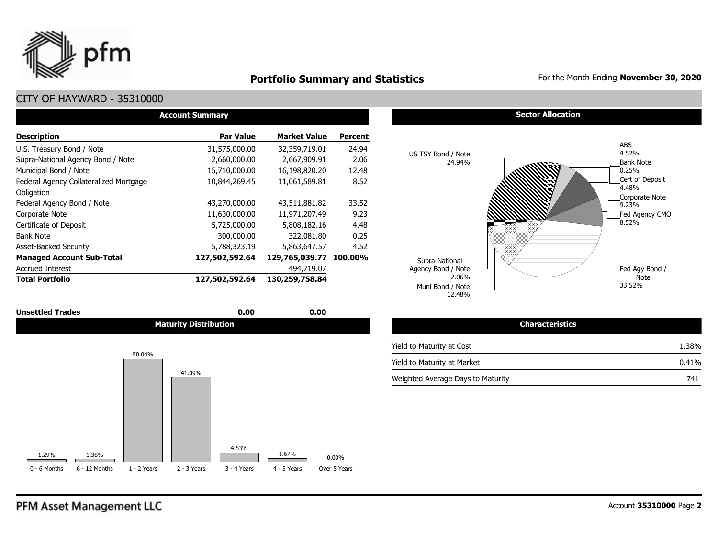

## **Portfolio Summary and Statistics** For the Month Ending **November 30, 2020**

| <b>Account Summary</b>                 |                  |                        |                |  |  |  |  |  |  |
|----------------------------------------|------------------|------------------------|----------------|--|--|--|--|--|--|
| <b>Description</b>                     | <b>Par Value</b> | <b>Market Value</b>    | <b>Percent</b> |  |  |  |  |  |  |
| U.S. Treasury Bond / Note              | 31,575,000.00    | 32,359,719.01          | 24.94          |  |  |  |  |  |  |
| Supra-National Agency Bond / Note      | 2,660,000.00     | 2,667,909.91           | 2.06           |  |  |  |  |  |  |
| Municipal Bond / Note                  | 15,710,000.00    | 16,198,820.20          | 12.48          |  |  |  |  |  |  |
| Federal Agency Collateralized Mortgage | 10,844,269.45    | 11,061,589.81          | 8.52           |  |  |  |  |  |  |
| Obligation                             |                  |                        |                |  |  |  |  |  |  |
| Federal Agency Bond / Note             | 43,270,000.00    | 43,511,881.82          | 33.52          |  |  |  |  |  |  |
| Corporate Note                         | 11,630,000.00    | 11,971,207.49          | 9.23           |  |  |  |  |  |  |
| Certificate of Deposit                 | 5,725,000.00     | 5,808,182.16           | 4.48           |  |  |  |  |  |  |
| <b>Bank Note</b>                       | 300,000.00       | 322,081.80             | 0.25           |  |  |  |  |  |  |
| <b>Asset-Backed Security</b>           | 5,788,323.19     | 5,863,647.57           | 4.52           |  |  |  |  |  |  |
| <b>Managed Account Sub-Total</b>       | 127,502,592.64   | 129,765,039.77 100.00% |                |  |  |  |  |  |  |
| <b>Accrued Interest</b>                |                  | 494,719.07             |                |  |  |  |  |  |  |
| <b>Total Portfolio</b>                 | 127,502,592.64   | 130,259,758.84         |                |  |  |  |  |  |  |

| <b>Unsettled Trades</b> | 0.00                         | 0.00 |
|-------------------------|------------------------------|------|
|                         | <b>Maturity Distribution</b> |      |







| Maturity Distribution | <b>Characteristics</b>            |       |
|-----------------------|-----------------------------------|-------|
|                       | Yield to Maturity at Cost         | 1.38% |
|                       | Yield to Maturity at Market       | 0.41% |
| 41.09%                | Weighted Average Days to Maturity | 741   |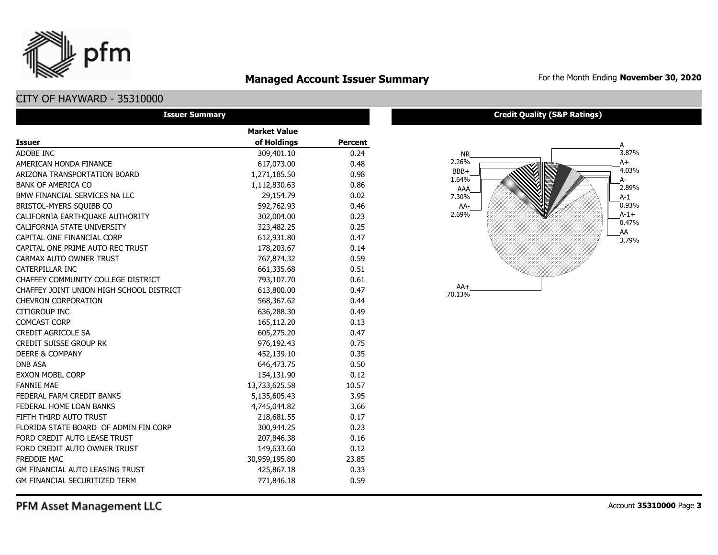

## **Managed Account Issuer Summary** For the Month Ending November 30, 2020

## CITY OF HAYWARD - 35310000

| <b>Issuer Summary</b>                    |                     |                |  |  |  |  |  |  |  |
|------------------------------------------|---------------------|----------------|--|--|--|--|--|--|--|
|                                          | <b>Market Value</b> |                |  |  |  |  |  |  |  |
| <b>Issuer</b>                            | of Holdings         | <b>Percent</b> |  |  |  |  |  |  |  |
| ADOBE INC                                | 309,401.10          | 0.24           |  |  |  |  |  |  |  |
| AMERICAN HONDA FINANCE                   | 617,073.00          | 0.48           |  |  |  |  |  |  |  |
| ARIZONA TRANSPORTATION BOARD             | 1,271,185.50        | 0.98           |  |  |  |  |  |  |  |
| <b>BANK OF AMERICA CO</b>                | 1,112,830.63        | 0.86           |  |  |  |  |  |  |  |
| BMW FINANCIAL SERVICES NA LLC            | 29,154.79           | 0.02           |  |  |  |  |  |  |  |
| BRISTOL-MYERS SOUIBB CO                  | 592,762.93          | 0.46           |  |  |  |  |  |  |  |
| CALIFORNIA EARTHOUAKE AUTHORITY          | 302,004.00          | 0.23           |  |  |  |  |  |  |  |
| CALIFORNIA STATE UNIVERSITY              | 323,482.25          | 0.25           |  |  |  |  |  |  |  |
| CAPITAL ONE FINANCIAL CORP               | 612,931.80          | 0.47           |  |  |  |  |  |  |  |
| CAPITAL ONE PRIME AUTO REC TRUST         | 178,203.67          | 0.14           |  |  |  |  |  |  |  |
| CARMAX AUTO OWNER TRUST                  | 767,874.32          | 0.59           |  |  |  |  |  |  |  |
| CATERPILLAR INC                          | 661,335.68          | 0.51           |  |  |  |  |  |  |  |
| CHAFFEY COMMUNITY COLLEGE DISTRICT       | 793,107.70          | 0.61           |  |  |  |  |  |  |  |
| CHAFFEY JOINT UNION HIGH SCHOOL DISTRICT | 613,800.00          | 0.47           |  |  |  |  |  |  |  |
| <b>CHEVRON CORPORATION</b>               | 568,367.62          | 0.44           |  |  |  |  |  |  |  |
| <b>CITIGROUP INC</b>                     | 636,288.30          | 0.49           |  |  |  |  |  |  |  |
| <b>COMCAST CORP</b>                      | 165,112.20          | 0.13           |  |  |  |  |  |  |  |
| CREDIT AGRICOLE SA                       | 605,275.20          | 0.47           |  |  |  |  |  |  |  |
| <b>CREDIT SUISSE GROUP RK</b>            | 976,192.43          | 0.75           |  |  |  |  |  |  |  |
| <b>DEERE &amp; COMPANY</b>               | 452,139.10          | 0.35           |  |  |  |  |  |  |  |
| <b>DNB ASA</b>                           | 646,473.75          | 0.50           |  |  |  |  |  |  |  |
| <b>EXXON MOBIL CORP</b>                  | 154,131.90          | 0.12           |  |  |  |  |  |  |  |
| <b>FANNIE MAE</b>                        | 13,733,625.58       | 10.57          |  |  |  |  |  |  |  |
| FEDERAL FARM CREDIT BANKS                | 5,135,605.43        | 3.95           |  |  |  |  |  |  |  |
| FEDERAL HOME LOAN BANKS                  | 4,745,044.82        | 3.66           |  |  |  |  |  |  |  |
| FIFTH THIRD AUTO TRUST                   | 218,681.55          | 0.17           |  |  |  |  |  |  |  |
| FLORIDA STATE BOARD OF ADMIN FIN CORP    | 300,944.25          | 0.23           |  |  |  |  |  |  |  |
| FORD CREDIT AUTO LEASE TRUST             | 207,846.38          | 0.16           |  |  |  |  |  |  |  |
| FORD CREDIT AUTO OWNER TRUST             | 149,633.60          | 0.12           |  |  |  |  |  |  |  |
| <b>FREDDIE MAC</b>                       | 30,959,195.80       | 23.85          |  |  |  |  |  |  |  |
| GM FINANCIAL AUTO LEASING TRUST          | 425,867.18          | 0.33           |  |  |  |  |  |  |  |
| <b>GM FINANCIAL SECURITIZED TERM</b>     | 771,846.18          | 0.59           |  |  |  |  |  |  |  |

#### **Credit Quality (S&P Ratings)**

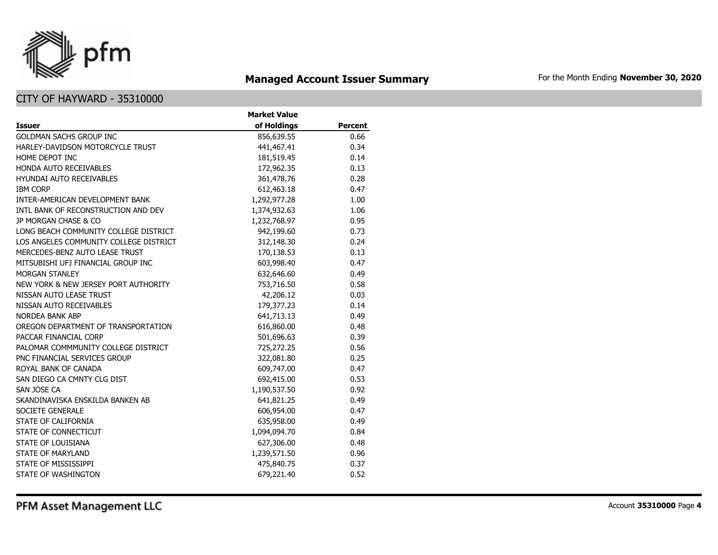

## **Managed Account Issuer Summary** For the Month Ending November 30, 2020

|                                        | <b>Market Value</b> |                |
|----------------------------------------|---------------------|----------------|
| <b>Issuer</b>                          | of Holdings         | <b>Percent</b> |
| <b>GOLDMAN SACHS GROUP INC</b>         | 856,639.55          | 0.66           |
| HARLEY-DAVIDSON MOTORCYCLE TRUST       | 441,467.41          | 0.34           |
| HOME DEPOT INC                         | 181,519.45          | 0.14           |
| <b>HONDA AUTO RECEIVABLES</b>          | 172,962.35          | 0.13           |
| <b>HYUNDAI AUTO RECEIVABLES</b>        | 361,478.76          | 0.28           |
| <b>IBM CORP</b>                        | 612,463.18          | 0.47           |
| INTER-AMERICAN DEVELOPMENT BANK        | 1,292,977.28        | 1.00           |
| INTL BANK OF RECONSTRUCTION AND DEV    | 1,374,932.63        | 1.06           |
| JP MORGAN CHASE & CO                   | 1,232,768.97        | 0.95           |
| LONG BEACH COMMUNITY COLLEGE DISTRICT  | 942,199.60          | 0.73           |
| LOS ANGELES COMMUNITY COLLEGE DISTRICT | 312,148.30          | 0.24           |
| MERCEDES-BENZ AUTO LEASE TRUST         | 170,138.53          | 0.13           |
| MITSUBISHI UFJ FINANCIAL GROUP INC     | 603,998.40          | 0.47           |
| <b>MORGAN STANLEY</b>                  | 632,646.60          | 0.49           |
| NEW YORK & NEW JERSEY PORT AUTHORITY   | 753,716.50          | 0.58           |
| NISSAN AUTO LEASE TRUST                | 42,206.12           | 0.03           |
| NISSAN AUTO RECEIVABLES                | 179,377.23          | 0.14           |
| <b>NORDEA BANK ABP</b>                 | 641,713.13          | 0.49           |
| OREGON DEPARTMENT OF TRANSPORTATION    | 616,860.00          | 0.48           |
| PACCAR FINANCIAL CORP                  | 501,696.63          | 0.39           |
| PALOMAR COMMMUNITY COLLEGE DISTRICT    | 725,272.25          | 0.56           |
| PNC FINANCIAL SERVICES GROUP           | 322,081.80          | 0.25           |
| ROYAL BANK OF CANADA                   | 609,747.00          | 0.47           |
| SAN DIEGO CA CMNTY CLG DIST            | 692,415.00          | 0.53           |
| SAN JOSE CA                            | 1,190,537.50        | 0.92           |
| SKANDINAVISKA ENSKILDA BANKEN AB       | 641,821.25          | 0.49           |
| <b>SOCIETE GENERALE</b>                | 606,954.00          | 0.47           |
| STATE OF CALIFORNIA                    | 635,958.00          | 0.49           |
| STATE OF CONNECTICUT                   | 1,094,094.70        | 0.84           |
| STATE OF LOUISIANA                     | 627,306.00          | 0.48           |
| <b>STATE OF MARYLAND</b>               | 1,239,571.50        | 0.96           |
| STATE OF MISSISSIPPI                   | 475,840.75          | 0.37           |
| STATE OF WASHINGTON                    | 679,221.40          | 0.52           |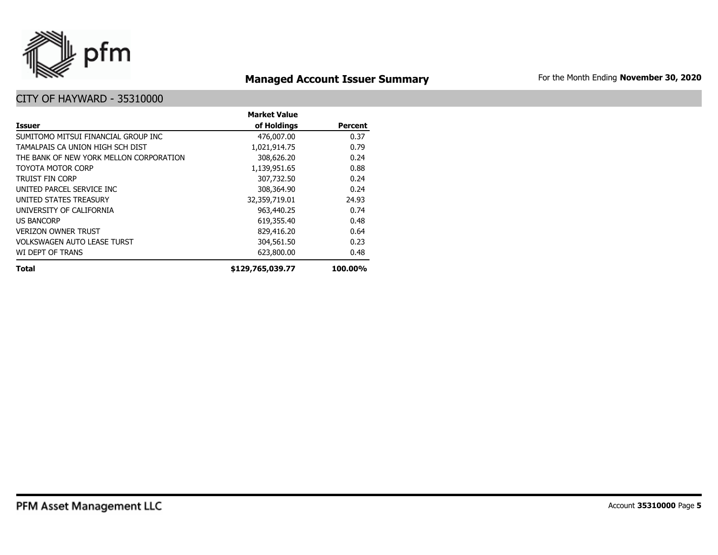

## **Managed Account Issuer Summary** For the Month Ending November 30, 2020

|                                         | <b>Market Value</b> |                |
|-----------------------------------------|---------------------|----------------|
| Issuer                                  | of Holdings         | <b>Percent</b> |
| SUMITOMO MITSUI FINANCIAL GROUP INC     | 476,007.00          | 0.37           |
| TAMALPAIS CA UNION HIGH SCH DIST        | 1,021,914.75        | 0.79           |
| THE BANK OF NEW YORK MELLON CORPORATION | 308,626.20          | 0.24           |
| TOYOTA MOTOR CORP                       | 1,139,951.65        | 0.88           |
| <b>TRUIST FIN CORP</b>                  | 307,732.50          | 0.24           |
| UNITED PARCEL SERVICE INC               | 308,364.90          | 0.24           |
| UNITED STATES TREASURY                  | 32,359,719.01       | 24.93          |
| UNIVERSITY OF CALIFORNIA                | 963,440.25          | 0.74           |
| <b>US BANCORP</b>                       | 619,355.40          | 0.48           |
| VERIZON OWNER TRUST                     | 829,416.20          | 0.64           |
| <b>VOLKSWAGEN AUTO LEASE TURST</b>      | 304,561.50          | 0.23           |
| WI DEPT OF TRANS                        | 623,800.00          | 0.48           |
| <b>Total</b>                            | \$129,765,039.77    | 100.00%        |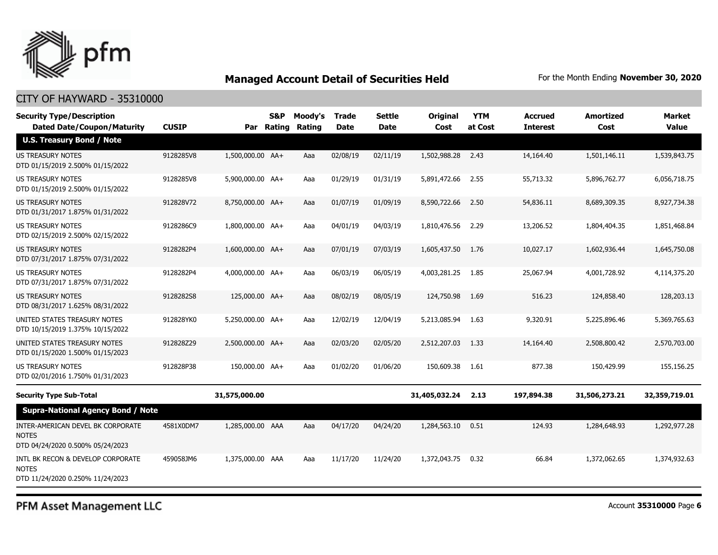

#### CITY OF HAYWARD - 35310000

| <b>Security Type/Description</b>                                                      |              |                  | <b>S&amp;P</b> | Moody's | <b>Trade</b> | <b>Settle</b> | Original      | <b>YTM</b> | <b>Accrued</b>  | <b>Amortized</b> | Market        |
|---------------------------------------------------------------------------------------|--------------|------------------|----------------|---------|--------------|---------------|---------------|------------|-----------------|------------------|---------------|
| <b>Dated Date/Coupon/Maturity</b><br><b>U.S. Treasury Bond / Note</b>                 | <b>CUSIP</b> |                  | Par Rating     | Rating  | <b>Date</b>  | <b>Date</b>   | Cost          | at Cost    | <b>Interest</b> | Cost             | <b>Value</b>  |
| <b>US TREASURY NOTES</b><br>DTD 01/15/2019 2.500% 01/15/2022                          | 9128285V8    | 1,500,000.00 AA+ |                | Aaa     | 02/08/19     | 02/11/19      | 1,502,988.28  | 2.43       | 14,164.40       | 1,501,146.11     | 1,539,843.75  |
| <b>US TREASURY NOTES</b><br>DTD 01/15/2019 2.500% 01/15/2022                          | 9128285V8    | 5,900,000.00 AA+ |                | Aaa     | 01/29/19     | 01/31/19      | 5,891,472.66  | 2.55       | 55,713.32       | 5,896,762.77     | 6,056,718.75  |
| <b>US TREASURY NOTES</b><br>DTD 01/31/2017 1.875% 01/31/2022                          | 912828V72    | 8,750,000.00 AA+ |                | Aaa     | 01/07/19     | 01/09/19      | 8,590,722.66  | 2.50       | 54,836.11       | 8,689,309.35     | 8,927,734.38  |
| US TREASURY NOTES<br>DTD 02/15/2019 2.500% 02/15/2022                                 | 9128286C9    | 1,800,000.00 AA+ |                | Aaa     | 04/01/19     | 04/03/19      | 1,810,476.56  | 2.29       | 13,206.52       | 1,804,404.35     | 1,851,468.84  |
| <b>US TREASURY NOTES</b><br>DTD 07/31/2017 1.875% 07/31/2022                          | 9128282P4    | 1,600,000.00 AA+ |                | Aaa     | 07/01/19     | 07/03/19      | 1,605,437.50  | 1.76       | 10,027.17       | 1,602,936.44     | 1,645,750.08  |
| <b>US TREASURY NOTES</b><br>DTD 07/31/2017 1.875% 07/31/2022                          | 9128282P4    | 4,000,000.00 AA+ |                | Aaa     | 06/03/19     | 06/05/19      | 4,003,281.25  | 1.85       | 25,067.94       | 4,001,728.92     | 4,114,375.20  |
| US TREASURY NOTES<br>DTD 08/31/2017 1.625% 08/31/2022                                 | 9128282S8    | 125,000.00 AA+   |                | Aaa     | 08/02/19     | 08/05/19      | 124,750.98    | 1.69       | 516.23          | 124,858.40       | 128,203.13    |
| UNITED STATES TREASURY NOTES<br>DTD 10/15/2019 1.375% 10/15/2022                      | 912828YK0    | 5,250,000.00 AA+ |                | Aaa     | 12/02/19     | 12/04/19      | 5,213,085.94  | 1.63       | 9,320.91        | 5,225,896.46     | 5,369,765.63  |
| UNITED STATES TREASURY NOTES<br>DTD 01/15/2020 1.500% 01/15/2023                      | 912828Z29    | 2,500,000.00 AA+ |                | Aaa     | 02/03/20     | 02/05/20      | 2,512,207.03  | 1.33       | 14,164.40       | 2,508,800.42     | 2,570,703.00  |
| US TREASURY NOTES<br>DTD 02/01/2016 1.750% 01/31/2023                                 | 912828P38    | 150,000.00 AA+   |                | Aaa     | 01/02/20     | 01/06/20      | 150,609.38    | 1.61       | 877.38          | 150,429.99       | 155,156.25    |
| <b>Security Type Sub-Total</b>                                                        |              | 31,575,000.00    |                |         |              |               | 31,405,032.24 | 2.13       | 197,894.38      | 31,506,273.21    | 32,359,719.01 |
| <b>Supra-National Agency Bond / Note</b>                                              |              |                  |                |         |              |               |               |            |                 |                  |               |
| INTER-AMERICAN DEVEL BK CORPORATE<br><b>NOTES</b><br>DTD 04/24/2020 0.500% 05/24/2023 | 4581X0DM7    | 1,285,000.00 AAA |                | Aaa     | 04/17/20     | 04/24/20      | 1,284,563.10  | 0.51       | 124.93          | 1,284,648.93     | 1,292,977.28  |
| INTL BK RECON & DEVELOP CORPORATE<br><b>NOTES</b><br>DTD 11/24/2020 0.250% 11/24/2023 | 459058JM6    | 1,375,000.00 AAA |                | Aaa     | 11/17/20     | 11/24/20      | 1,372,043.75  | 0.32       | 66.84           | 1,372,062.65     | 1,374,932.63  |

PFM Asset Management LLC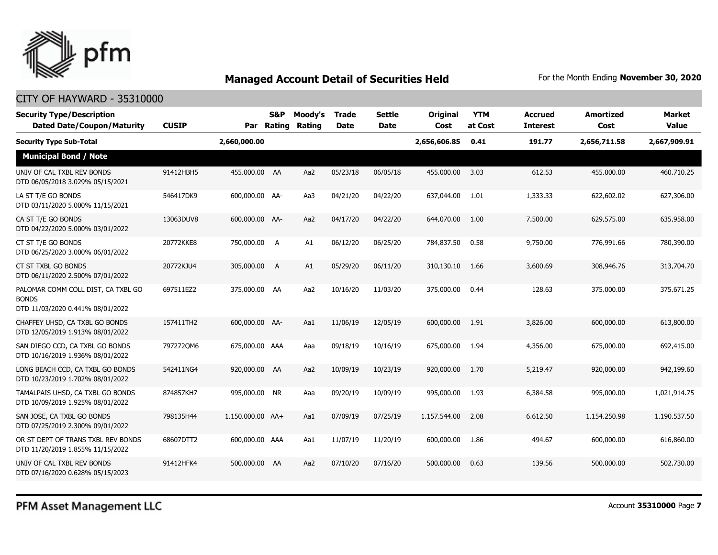

#### CITY OF HAYWARD - 35310000

| <b>Security Type/Description</b><br><b>Dated Date/Coupon/Maturity</b>                  | <b>CUSIP</b> |                  | S&P<br>Par Rating | Moody's<br>Rating | <b>Trade</b><br><b>Date</b> | <b>Settle</b><br><b>Date</b> | Original<br>Cost | <b>YTM</b><br>at Cost | <b>Accrued</b><br>Interest | <b>Amortized</b><br>Cost | <b>Market</b><br><b>Value</b> |
|----------------------------------------------------------------------------------------|--------------|------------------|-------------------|-------------------|-----------------------------|------------------------------|------------------|-----------------------|----------------------------|--------------------------|-------------------------------|
| <b>Security Type Sub-Total</b>                                                         |              | 2,660,000.00     |                   |                   |                             |                              | 2,656,606.85     | 0.41                  | 191.77                     | 2,656,711.58             | 2,667,909.91                  |
| <b>Municipal Bond / Note</b>                                                           |              |                  |                   |                   |                             |                              |                  |                       |                            |                          |                               |
| UNIV OF CAL TXBL REV BONDS<br>DTD 06/05/2018 3.029% 05/15/2021                         | 91412HBH5    | 455,000.00 AA    |                   | Aa2               | 05/23/18                    | 06/05/18                     | 455,000.00       | 3.03                  | 612.53                     | 455,000.00               | 460,710.25                    |
| LA ST T/E GO BONDS<br>DTD 03/11/2020 5.000% 11/15/2021                                 | 546417DK9    | 600,000.00 AA-   |                   | Aa3               | 04/21/20                    | 04/22/20                     | 637,044.00       | 1.01                  | 1,333.33                   | 622,602.02               | 627,306.00                    |
| CA ST T/E GO BONDS<br>DTD 04/22/2020 5.000% 03/01/2022                                 | 13063DUV8    | 600,000.00 AA-   |                   | Aa2               | 04/17/20                    | 04/22/20                     | 644,070.00       | 1.00                  | 7,500.00                   | 629,575.00               | 635,958.00                    |
| CT ST T/E GO BONDS<br>DTD 06/25/2020 3.000% 06/01/2022                                 | 20772KKE8    | 750,000.00       | A                 | A1                | 06/12/20                    | 06/25/20                     | 784,837.50       | 0.58                  | 9,750.00                   | 776,991.66               | 780,390.00                    |
| CT ST TXBL GO BONDS<br>DTD 06/11/2020 2.500% 07/01/2022                                | 20772KJU4    | 305,000.00       | A                 | A1                | 05/29/20                    | 06/11/20                     | 310,130.10       | 1.66                  | 3,600.69                   | 308,946.76               | 313,704.70                    |
| PALOMAR COMM COLL DIST, CA TXBL GO<br><b>BONDS</b><br>DTD 11/03/2020 0.441% 08/01/2022 | 697511EZ2    | 375,000.00 AA    |                   | Aa2               | 10/16/20                    | 11/03/20                     | 375,000.00       | 0.44                  | 128.63                     | 375,000.00               | 375,671.25                    |
| CHAFFEY UHSD, CA TXBL GO BONDS<br>DTD 12/05/2019 1.913% 08/01/2022                     | 157411TH2    | 600,000.00 AA-   |                   | Aa1               | 11/06/19                    | 12/05/19                     | 600,000.00       | 1.91                  | 3,826.00                   | 600,000.00               | 613,800.00                    |
| SAN DIEGO CCD, CA TXBL GO BONDS<br>DTD 10/16/2019 1.936% 08/01/2022                    | 7972720M6    | 675,000.00 AAA   |                   | Aaa               | 09/18/19                    | 10/16/19                     | 675,000.00       | 1.94                  | 4,356.00                   | 675,000.00               | 692,415.00                    |
| LONG BEACH CCD, CA TXBL GO BONDS<br>DTD 10/23/2019 1.702% 08/01/2022                   | 542411NG4    | 920,000.00 AA    |                   | Aa2               | 10/09/19                    | 10/23/19                     | 920,000.00       | 1.70                  | 5,219.47                   | 920,000.00               | 942,199.60                    |
| TAMALPAIS UHSD, CA TXBL GO BONDS<br>DTD 10/09/2019 1.925% 08/01/2022                   | 874857KH7    | 995,000.00 NR    |                   | Aaa               | 09/20/19                    | 10/09/19                     | 995,000.00       | 1.93                  | 6,384.58                   | 995,000.00               | 1,021,914.75                  |
| SAN JOSE, CA TXBL GO BONDS<br>DTD 07/25/2019 2.300% 09/01/2022                         | 798135H44    | 1,150,000.00 AA+ |                   | Aa1               | 07/09/19                    | 07/25/19                     | 1,157,544.00     | 2.08                  | 6,612.50                   | 1,154,250.98             | 1,190,537.50                  |
| OR ST DEPT OF TRANS TXBL REV BONDS<br>DTD 11/20/2019 1.855% 11/15/2022                 | 68607DTT2    | 600,000.00 AAA   |                   | Aa1               | 11/07/19                    | 11/20/19                     | 600,000.00       | 1.86                  | 494.67                     | 600,000.00               | 616,860.00                    |
| UNIV OF CAL TXBL REV BONDS<br>DTD 07/16/2020 0.628% 05/15/2023                         | 91412HFK4    | 500,000.00       | AA                | Aa2               | 07/10/20                    | 07/16/20                     | 500,000.00       | 0.63                  | 139.56                     | 500,000.00               | 502,730.00                    |

PFM Asset Management LLC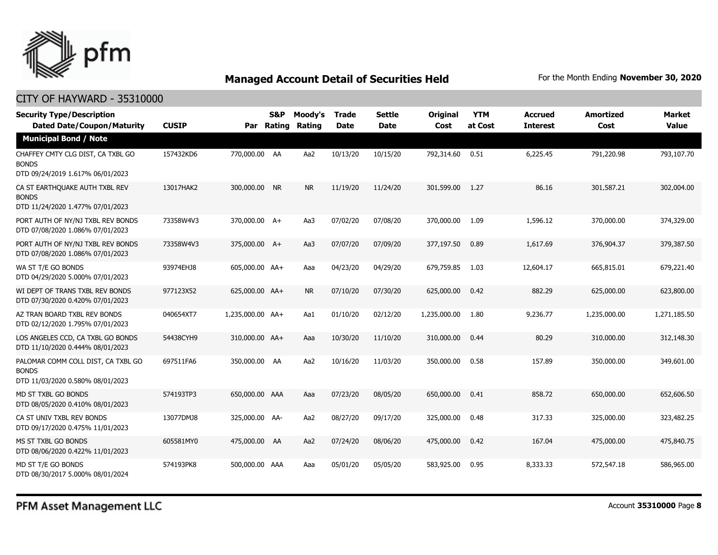

#### CITY OF HAYWARD - 35310000

| <b>Security Type/Description</b><br><b>Dated Date/Coupon/Maturity</b>                  | <b>CUSIP</b> | Par              | <b>S&amp;P</b><br>Rating | Moody's<br>Rating | <b>Trade</b><br><b>Date</b> | <b>Settle</b><br><b>Date</b> | Original<br>Cost | <b>YTM</b><br>at Cost | <b>Accrued</b><br><b>Interest</b> | <b>Amortized</b><br>Cost | Market<br><b>Value</b> |
|----------------------------------------------------------------------------------------|--------------|------------------|--------------------------|-------------------|-----------------------------|------------------------------|------------------|-----------------------|-----------------------------------|--------------------------|------------------------|
| <b>Municipal Bond / Note</b>                                                           |              |                  |                          |                   |                             |                              |                  |                       |                                   |                          |                        |
| CHAFFEY CMTY CLG DIST, CA TXBL GO<br><b>BONDS</b><br>DTD 09/24/2019 1.617% 06/01/2023  | 157432KD6    | 770,000.00 AA    |                          | Aa2               | 10/13/20                    | 10/15/20                     | 792,314.60       | 0.51                  | 6,225.45                          | 791,220.98               | 793,107.70             |
| CA ST EARTHOUAKE AUTH TXBL REV<br><b>BONDS</b><br>DTD 11/24/2020 1.477% 07/01/2023     | 13017HAK2    | 300,000.00 NR    |                          | <b>NR</b>         | 11/19/20                    | 11/24/20                     | 301,599.00       | 1.27                  | 86.16                             | 301,587.21               | 302,004.00             |
| PORT AUTH OF NY/NJ TXBL REV BONDS<br>DTD 07/08/2020 1.086% 07/01/2023                  | 73358W4V3    | 370,000.00 A+    |                          | Aa3               | 07/02/20                    | 07/08/20                     | 370,000.00       | 1.09                  | 1,596.12                          | 370,000.00               | 374,329.00             |
| PORT AUTH OF NY/NJ TXBL REV BONDS<br>DTD 07/08/2020 1.086% 07/01/2023                  | 73358W4V3    | 375,000.00 A+    |                          | Aa3               | 07/07/20                    | 07/09/20                     | 377,197.50       | 0.89                  | 1,617.69                          | 376,904.37               | 379,387.50             |
| WA ST T/E GO BONDS<br>DTD 04/29/2020 5.000% 07/01/2023                                 | 93974EHJ8    | 605,000.00 AA+   |                          | Aaa               | 04/23/20                    | 04/29/20                     | 679,759.85       | 1.03                  | 12,604.17                         | 665,815.01               | 679,221.40             |
| WI DEPT OF TRANS TXBL REV BONDS<br>DTD 07/30/2020 0.420% 07/01/2023                    | 977123X52    | 625,000.00 AA+   |                          | <b>NR</b>         | 07/10/20                    | 07/30/20                     | 625,000.00       | 0.42                  | 882.29                            | 625,000.00               | 623,800.00             |
| AZ TRAN BOARD TXBL REV BONDS<br>DTD 02/12/2020 1.795% 07/01/2023                       | 040654XT7    | 1,235,000.00 AA+ |                          | Aa1               | 01/10/20                    | 02/12/20                     | 1,235,000.00     | 1.80                  | 9,236.77                          | 1,235,000.00             | 1,271,185.50           |
| LOS ANGELES CCD, CA TXBL GO BONDS<br>DTD 11/10/2020 0.444% 08/01/2023                  | 54438CYH9    | 310,000.00 AA+   |                          | Aaa               | 10/30/20                    | 11/10/20                     | 310,000.00       | 0.44                  | 80.29                             | 310,000,00               | 312,148.30             |
| PALOMAR COMM COLL DIST, CA TXBL GO<br><b>BONDS</b><br>DTD 11/03/2020 0.580% 08/01/2023 | 697511FA6    | 350,000.00 AA    |                          | Aa2               | 10/16/20                    | 11/03/20                     | 350,000.00       | 0.58                  | 157.89                            | 350,000.00               | 349,601.00             |
| MD ST TXBL GO BONDS<br>DTD 08/05/2020 0.410% 08/01/2023                                | 574193TP3    | 650,000.00 AAA   |                          | Aaa               | 07/23/20                    | 08/05/20                     | 650,000.00       | 0.41                  | 858.72                            | 650,000.00               | 652,606.50             |
| CA ST UNIV TXBL REV BONDS<br>DTD 09/17/2020 0.475% 11/01/2023                          | 13077DMJ8    | 325,000.00 AA-   |                          | Aa2               | 08/27/20                    | 09/17/20                     | 325,000.00       | 0.48                  | 317.33                            | 325,000.00               | 323,482.25             |
| MS ST TXBL GO BONDS<br>DTD 08/06/2020 0.422% 11/01/2023                                | 605581MY0    | 475,000.00 AA    |                          | Aa2               | 07/24/20                    | 08/06/20                     | 475,000.00       | 0.42                  | 167.04                            | 475,000.00               | 475,840.75             |
| MD ST T/E GO BONDS<br>DTD 08/30/2017 5.000% 08/01/2024                                 | 574193PK8    | 500,000.00 AAA   |                          | Aaa               | 05/01/20                    | 05/05/20                     | 583,925.00       | 0.95                  | 8,333.33                          | 572,547.18               | 586,965.00             |

PFM Asset Management LLC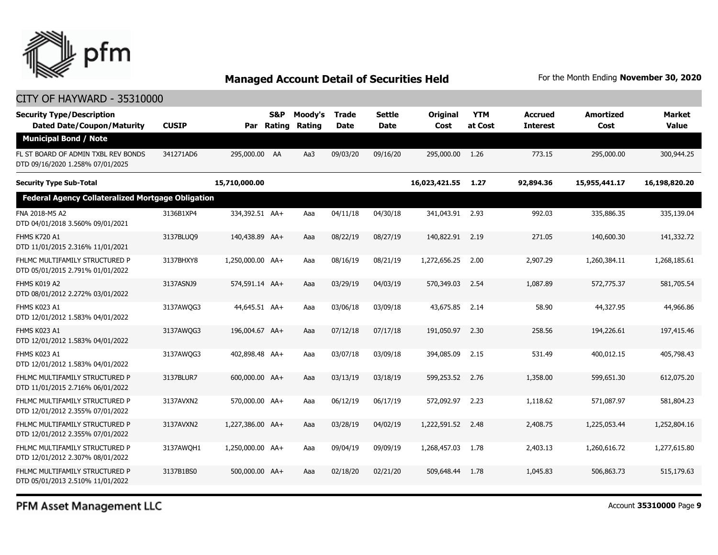

#### CITY OF HAYWARD - 35310000

| <b>Security Type/Description</b><br><b>Dated Date/Coupon/Maturity</b>   | <b>CUSIP</b> | Par              | S&P<br>Rating | Moody's<br>Rating | <b>Trade</b><br><b>Date</b> | <b>Settle</b><br>Date | Original<br>Cost | <b>YTM</b><br>at Cost | <b>Accrued</b><br><b>Interest</b> | <b>Amortized</b><br>Cost | <b>Market</b><br><b>Value</b> |
|-------------------------------------------------------------------------|--------------|------------------|---------------|-------------------|-----------------------------|-----------------------|------------------|-----------------------|-----------------------------------|--------------------------|-------------------------------|
| <b>Municipal Bond / Note</b>                                            |              |                  |               |                   |                             |                       |                  |                       |                                   |                          |                               |
| FL ST BOARD OF ADMIN TXBL REV BONDS<br>DTD 09/16/2020 1.258% 07/01/2025 | 341271AD6    | 295,000.00 AA    |               | Aa3               | 09/03/20                    | 09/16/20              | 295,000.00       | 1.26                  | 773.15                            | 295,000.00               | 300,944.25                    |
| <b>Security Type Sub-Total</b>                                          |              | 15,710,000.00    |               |                   |                             |                       | 16,023,421.55    | 1.27                  | 92,894.36                         | 15,955,441.17            | 16,198,820.20                 |
| <b>Federal Agency Collateralized Mortgage Obligation</b>                |              |                  |               |                   |                             |                       |                  |                       |                                   |                          |                               |
| FNA 2018-M5 A2<br>DTD 04/01/2018 3.560% 09/01/2021                      | 3136B1XP4    | 334,392.51 AA+   |               | Aaa               | 04/11/18                    | 04/30/18              | 341,043.91 2.93  |                       | 992.03                            | 335,886.35               | 335,139.04                    |
| <b>FHMS K720 A1</b><br>DTD 11/01/2015 2.316% 11/01/2021                 | 3137BLUQ9    | 140,438.89 AA+   |               | Aaa               | 08/22/19                    | 08/27/19              | 140,822.91       | 2.19                  | 271.05                            | 140,600.30               | 141,332.72                    |
| FHLMC MULTIFAMILY STRUCTURED P<br>DTD 05/01/2015 2.791% 01/01/2022      | 3137BHXY8    | 1,250,000.00 AA+ |               | Aaa               | 08/16/19                    | 08/21/19              | 1,272,656.25     | 2.00                  | 2,907.29                          | 1,260,384.11             | 1,268,185.61                  |
| FHMS K019 A2<br>DTD 08/01/2012 2.272% 03/01/2022                        | 3137ASNJ9    | 574,591.14 AA+   |               | Aaa               | 03/29/19                    | 04/03/19              | 570,349.03       | 2.54                  | 1,087.89                          | 572,775.37               | 581,705.54                    |
| FHMS K023 A1<br>DTD 12/01/2012 1.583% 04/01/2022                        | 3137AWOG3    | 44,645.51 AA+    |               | Aaa               | 03/06/18                    | 03/09/18              | 43,675.85        | 2.14                  | 58.90                             | 44,327.95                | 44,966.86                     |
| FHMS K023 A1<br>DTD 12/01/2012 1.583% 04/01/2022                        | 3137AWQG3    | 196,004.67 AA+   |               | Aaa               | 07/12/18                    | 07/17/18              | 191,050.97       | 2.30                  | 258.56                            | 194,226.61               | 197,415.46                    |
| FHMS K023 A1<br>DTD 12/01/2012 1.583% 04/01/2022                        | 3137AWOG3    | 402,898.48 AA+   |               | Aaa               | 03/07/18                    | 03/09/18              | 394,085.09       | 2.15                  | 531.49                            | 400,012.15               | 405,798.43                    |
| FHLMC MULTIFAMILY STRUCTURED P<br>DTD 11/01/2015 2.716% 06/01/2022      | 3137BLUR7    | 600,000.00 AA+   |               | Aaa               | 03/13/19                    | 03/18/19              | 599,253.52       | 2.76                  | 1,358,00                          | 599,651.30               | 612.075.20                    |
| FHLMC MULTIFAMILY STRUCTURED P<br>DTD 12/01/2012 2.355% 07/01/2022      | 3137AVXN2    | 570,000.00 AA+   |               | Aaa               | 06/12/19                    | 06/17/19              | 572,092.97       | 2.23                  | 1,118.62                          | 571,087.97               | 581,804.23                    |
| FHLMC MULTIFAMILY STRUCTURED P<br>DTD 12/01/2012 2.355% 07/01/2022      | 3137AVXN2    | 1,227,386.00 AA+ |               | Aaa               | 03/28/19                    | 04/02/19              | 1,222,591.52     | 2.48                  | 2,408.75                          | 1,225,053.44             | 1,252,804.16                  |
| FHLMC MULTIFAMILY STRUCTURED P<br>DTD 12/01/2012 2.307% 08/01/2022      | 3137AWOH1    | 1,250,000.00 AA+ |               | Aaa               | 09/04/19                    | 09/09/19              | 1,268,457,03     | 1.78                  | 2,403.13                          | 1,260,616.72             | 1,277,615.80                  |
| FHLMC MULTIFAMILY STRUCTURED P<br>DTD 05/01/2013 2.510% 11/01/2022      | 3137B1BS0    | 500,000.00 AA+   |               | Aaa               | 02/18/20                    | 02/21/20              | 509,648,44       | 1.78                  | 1,045.83                          | 506,863,73               | 515,179.63                    |

PFM Asset Management LLC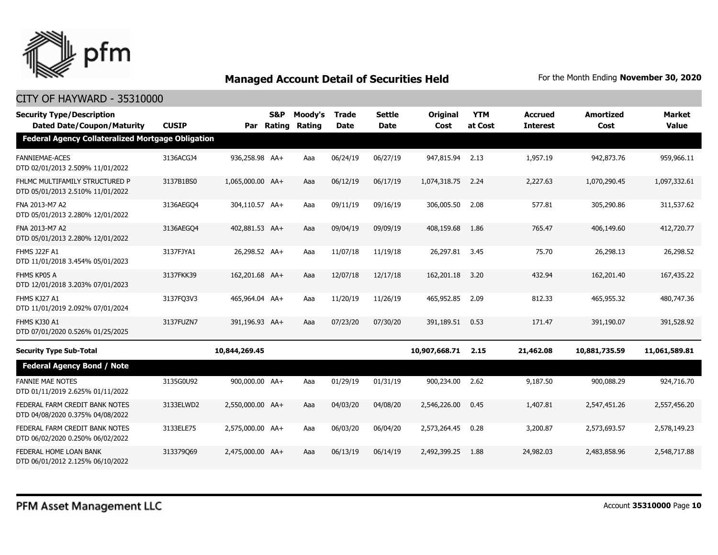

| <b>Security Type/Description</b><br><b>Dated Date/Coupon/Maturity</b> | <b>CUSIP</b> |                  | <b>S&amp;P</b><br>Par Rating | Moody's<br>Rating | <b>Trade</b><br><b>Date</b> | <b>Settle</b><br><b>Date</b> | Original<br>Cost | <b>YTM</b><br>at Cost | <b>Accrued</b><br><b>Interest</b> | <b>Amortized</b><br>Cost | <b>Market</b><br><b>Value</b> |
|-----------------------------------------------------------------------|--------------|------------------|------------------------------|-------------------|-----------------------------|------------------------------|------------------|-----------------------|-----------------------------------|--------------------------|-------------------------------|
| <b>Federal Agency Collateralized Mortgage Obligation</b>              |              |                  |                              |                   |                             |                              |                  |                       |                                   |                          |                               |
| <b>FANNIEMAE-ACES</b><br>DTD 02/01/2013 2.509% 11/01/2022             | 3136ACGJ4    | 936,258.98 AA+   |                              | Aaa               | 06/24/19                    | 06/27/19                     | 947,815.94       | 2.13                  | 1,957.19                          | 942,873.76               | 959,966.11                    |
| FHLMC MULTIFAMILY STRUCTURED P<br>DTD 05/01/2013 2.510% 11/01/2022    | 3137B1BS0    | 1,065,000.00 AA+ |                              | Aaa               | 06/12/19                    | 06/17/19                     | 1,074,318.75     | 2.24                  | 2,227.63                          | 1,070,290.45             | 1,097,332.61                  |
| FNA 2013-M7 A2<br>DTD 05/01/2013 2.280% 12/01/2022                    | 3136AEGO4    | 304,110.57 AA+   |                              | Aaa               | 09/11/19                    | 09/16/19                     | 306,005.50       | 2.08                  | 577.81                            | 305,290.86               | 311,537,62                    |
| FNA 2013-M7 A2<br>DTD 05/01/2013 2.280% 12/01/2022                    | 3136AEGO4    | 402,881.53 AA+   |                              | Aaa               | 09/04/19                    | 09/09/19                     | 408,159.68       | 1.86                  | 765.47                            | 406,149.60               | 412,720.77                    |
| <b>FHMS J22F A1</b><br>DTD 11/01/2018 3.454% 05/01/2023               | 3137FJYA1    | 26,298.52 AA+    |                              | Aaa               | 11/07/18                    | 11/19/18                     | 26,297.81        | 3.45                  | 75.70                             | 26,298.13                | 26,298.52                     |
| FHMS KP05 A<br>DTD 12/01/2018 3.203% 07/01/2023                       | 3137FKK39    | 162,201.68 AA+   |                              | Aaa               | 12/07/18                    | 12/17/18                     | 162,201.18       | 3.20                  | 432.94                            | 162,201.40               | 167,435.22                    |
| FHMS KJ27 A1<br>DTD 11/01/2019 2.092% 07/01/2024                      | 3137FQ3V3    | 465,964.04 AA+   |                              | Aaa               | 11/20/19                    | 11/26/19                     | 465,952.85       | 2.09                  | 812.33                            | 465,955.32               | 480,747.36                    |
| FHMS KJ30 A1<br>DTD 07/01/2020 0.526% 01/25/2025                      | 3137FUZN7    | 391,196.93 AA+   |                              | Aaa               | 07/23/20                    | 07/30/20                     | 391,189.51       | 0.53                  | 171.47                            | 391,190.07               | 391,528.92                    |
| <b>Security Type Sub-Total</b>                                        |              | 10,844,269.45    |                              |                   |                             |                              | 10,907,668.71    | 2.15                  | 21,462.08                         | 10,881,735.59            | 11,061,589.81                 |
| <b>Federal Agency Bond / Note</b>                                     |              |                  |                              |                   |                             |                              |                  |                       |                                   |                          |                               |
| <b>FANNIE MAE NOTES</b><br>DTD 01/11/2019 2.625% 01/11/2022           | 3135G0U92    | 900,000.00 AA+   |                              | Aaa               | 01/29/19                    | 01/31/19                     | 900,234.00       | 2.62                  | 9,187.50                          | 900,088.29               | 924,716.70                    |
| FEDERAL FARM CREDIT BANK NOTES<br>DTD 04/08/2020 0.375% 04/08/2022    | 3133ELWD2    | 2,550,000.00 AA+ |                              | Aaa               | 04/03/20                    | 04/08/20                     | 2,546,226,00     | 0.45                  | 1,407.81                          | 2,547,451.26             | 2,557,456.20                  |
| FEDERAL FARM CREDIT BANK NOTES<br>DTD 06/02/2020 0.250% 06/02/2022    | 3133ELE75    | 2,575,000.00 AA+ |                              | Aaa               | 06/03/20                    | 06/04/20                     | 2,573,264.45     | 0.28                  | 3,200.87                          | 2,573,693.57             | 2,578,149.23                  |
| FEDERAL HOME LOAN BANK<br>DTD 06/01/2012 2.125% 06/10/2022            | 313379069    | 2.475.000.00 AA+ |                              | Aaa               | 06/13/19                    | 06/14/19                     | 2,492,399.25     | 1.88                  | 24,982.03                         | 2,483,858.96             | 2,548,717.88                  |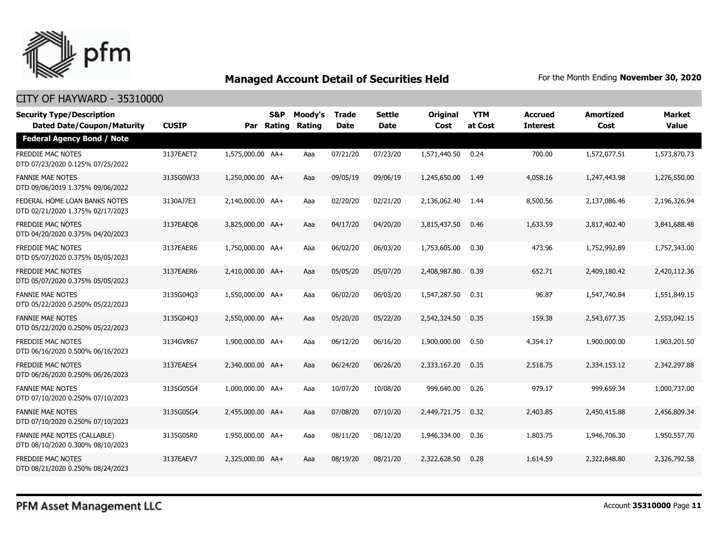

| <b>Security Type/Description</b><br><b>Dated Date/Coupon/Maturity</b> | <b>CUSIP</b> |                  | <b>S&amp;P</b><br>Par Rating | Moody's<br><b>Rating</b> | <b>Trade</b><br><b>Date</b> | <b>Settle</b><br>Date | <b>Original</b><br>Cost | <b>YTM</b><br>at Cost | <b>Accrued</b><br><b>Interest</b> | <b>Amortized</b><br>Cost | <b>Market</b><br><b>Value</b> |
|-----------------------------------------------------------------------|--------------|------------------|------------------------------|--------------------------|-----------------------------|-----------------------|-------------------------|-----------------------|-----------------------------------|--------------------------|-------------------------------|
| <b>Federal Agency Bond / Note</b>                                     |              |                  |                              |                          |                             |                       |                         |                       |                                   |                          |                               |
| <b>FREDDIE MAC NOTES</b><br>DTD 07/23/2020 0.125% 07/25/2022          | 3137EAET2    | 1,575,000.00 AA+ |                              | Aaa                      | 07/21/20                    | 07/23/20              | 1,571,440.50            | 0.24                  | 700.00                            | 1,572,077.51             | 1,573,870.73                  |
| <b>FANNIE MAE NOTES</b><br>DTD 09/06/2019 1.375% 09/06/2022           | 3135G0W33    | 1,250,000.00 AA+ |                              | Aaa                      | 09/05/19                    | 09/06/19              | 1,245,650.00            | 1.49                  | 4,058.16                          | 1,247,443.98             | 1,276,550.00                  |
| FEDERAL HOME LOAN BANKS NOTES<br>DTD 02/21/2020 1.375% 02/17/2023     | 3130AJ7E3    | 2,140,000.00 AA+ |                              | Aaa                      | 02/20/20                    | 02/21/20              | 2,136,062.40            | 1.44                  | 8,500.56                          | 2,137,086.46             | 2,196,326.94                  |
| <b>FREDDIE MAC NOTES</b><br>DTD 04/20/2020 0.375% 04/20/2023          | 3137EAEO8    | 3,825,000.00 AA+ |                              | Aaa                      | 04/17/20                    | 04/20/20              | 3,815,437.50            | 0.46                  | 1,633.59                          | 3,817,402.40             | 3,841,688.48                  |
| <b>FREDDIE MAC NOTES</b><br>DTD 05/07/2020 0.375% 05/05/2023          | 3137EAER6    | 1,750,000.00 AA+ |                              | Aaa                      | 06/02/20                    | 06/03/20              | 1,753,605.00            | 0.30                  | 473.96                            | 1,752,992.89             | 1,757,343.00                  |
| <b>FREDDIE MAC NOTES</b><br>DTD 05/07/2020 0.375% 05/05/2023          | 3137EAER6    | 2.410.000.00 AA+ |                              | Aaa                      | 05/05/20                    | 05/07/20              | 2,408,987.80            | 0.39                  | 652.71                            | 2,409,180.42             | 2,420,112.36                  |
| <b>FANNIE MAE NOTES</b><br>DTD 05/22/2020 0.250% 05/22/2023           | 3135G04O3    | 1,550,000.00 AA+ |                              | Aaa                      | 06/02/20                    | 06/03/20              | 1,547,287.50            | 0.31                  | 96.87                             | 1,547,740.84             | 1,551,849.15                  |
| <b>FANNIE MAE NOTES</b><br>DTD 05/22/2020 0.250% 05/22/2023           | 3135G04Q3    | 2,550,000.00 AA+ |                              | Aaa                      | 05/20/20                    | 05/22/20              | 2,542,324.50            | 0.35                  | 159.38                            | 2,543,677.35             | 2,553,042.15                  |
| <b>FREDDIE MAC NOTES</b><br>DTD 06/16/2020 0.500% 06/16/2023          | 3134GVR67    | 1,900,000.00 AA+ |                              | Aaa                      | 06/12/20                    | 06/16/20              | 1,900,000.00            | 0.50                  | 4,354.17                          | 1,900,000.00             | 1,903,201.50                  |
| <b>FREDDIE MAC NOTES</b><br>DTD 06/26/2020 0.250% 06/26/2023          | 3137EAES4    | 2,340,000.00 AA+ |                              | Aaa                      | 06/24/20                    | 06/26/20              | 2,333,167.20            | 0.35                  | 2,518.75                          | 2,334,153.12             | 2,342,297.88                  |
| <b>FANNIE MAE NOTES</b><br>DTD 07/10/2020 0.250% 07/10/2023           | 3135G05G4    | 1,000,000.00 AA+ |                              | Aaa                      | 10/07/20                    | 10/08/20              | 999,640.00              | 0.26                  | 979.17                            | 999,659.34               | 1,000,737.00                  |
| <b>FANNIE MAE NOTES</b><br>DTD 07/10/2020 0.250% 07/10/2023           | 3135G05G4    | 2,455,000.00 AA+ |                              | Aaa                      | 07/08/20                    | 07/10/20              | 2,449,721.75            | 0.32                  | 2,403.85                          | 2,450,415.88             | 2,456,809.34                  |
| FANNIE MAE NOTES (CALLABLE)<br>DTD 08/10/2020 0.300% 08/10/2023       | 3135G05R0    | 1.950.000.00 AA+ |                              | Aaa                      | 08/11/20                    | 08/12/20              | 1,946,334.00            | 0.36                  | 1,803.75                          | 1,946,706,30             | 1,950,557.70                  |
| <b>FREDDIE MAC NOTES</b><br>DTD 08/21/2020 0.250% 08/24/2023          | 3137EAEV7    | 2.325.000.00 AA+ |                              | Aaa                      | 08/19/20                    | 08/21/20              | 2,322,628.50            | 0.28                  | 1,614.59                          | 2,322,848.80             | 2,326,792.58                  |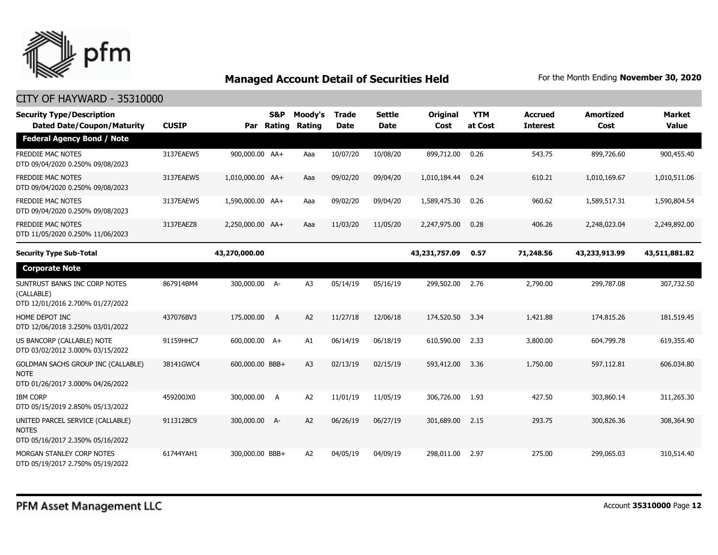

| <b>Security Type/Description</b><br><b>Dated Date/Coupon/Maturity</b>                 | <b>CUSIP</b> | Par              | <b>S&amp;P</b><br><b>Rating</b> | Moody's<br>Rating | Trade<br><b>Date</b> | <b>Settle</b><br><b>Date</b> | Original<br>Cost | <b>YTM</b><br>at Cost | <b>Accrued</b><br><b>Interest</b> | <b>Amortized</b><br>Cost | <b>Market</b><br><b>Value</b> |
|---------------------------------------------------------------------------------------|--------------|------------------|---------------------------------|-------------------|----------------------|------------------------------|------------------|-----------------------|-----------------------------------|--------------------------|-------------------------------|
| <b>Federal Agency Bond / Note</b>                                                     |              |                  |                                 |                   |                      |                              |                  |                       |                                   |                          |                               |
| <b>FREDDIE MAC NOTES</b><br>DTD 09/04/2020 0.250% 09/08/2023                          | 3137EAEW5    | 900,000.00 AA+   |                                 | Aaa               | 10/07/20             | 10/08/20                     | 899,712.00       | 0.26                  | 543.75                            | 899,726.60               | 900,455.40                    |
| <b>FREDDIE MAC NOTES</b><br>DTD 09/04/2020 0.250% 09/08/2023                          | 3137EAEW5    | 1,010,000.00 AA+ |                                 | Aaa               | 09/02/20             | 09/04/20                     | 1,010,184.44     | 0.24                  | 610.21                            | 1,010,169.67             | 1,010,511.06                  |
| <b>FREDDIE MAC NOTES</b><br>DTD 09/04/2020 0.250% 09/08/2023                          | 3137EAEW5    | 1,590,000.00 AA+ |                                 | Aaa               | 09/02/20             | 09/04/20                     | 1,589,475.30     | 0.26                  | 960.62                            | 1,589,517.31             | 1,590,804.54                  |
| <b>FREDDIE MAC NOTES</b><br>DTD 11/05/2020 0.250% 11/06/2023                          | 3137EAEZ8    | 2,250,000.00 AA+ |                                 | Aaa               | 11/03/20             | 11/05/20                     | 2,247,975.00     | 0.28                  | 406.26                            | 2,248,023.04             | 2,249,892.00                  |
| <b>Security Type Sub-Total</b>                                                        |              | 43,270,000.00    |                                 |                   |                      |                              | 43,231,757.09    | 0.57                  | 71,248.56                         | 43,233,913.99            | 43,511,881.82                 |
| <b>Corporate Note</b>                                                                 |              |                  |                                 |                   |                      |                              |                  |                       |                                   |                          |                               |
| SUNTRUST BANKS INC CORP NOTES<br>(CALLABLE)<br>DTD 12/01/2016 2.700% 01/27/2022       | 867914BM4    | 300,000.00 A-    |                                 | A <sub>3</sub>    | 05/14/19             | 05/16/19                     | 299,502.00       | 2.76                  | 2,790.00                          | 299,787.08               | 307,732.50                    |
| HOME DEPOT INC<br>DTD 12/06/2018 3.250% 03/01/2022                                    | 437076BV3    | 175,000.00       | $\overline{A}$                  | A <sub>2</sub>    | 11/27/18             | 12/06/18                     | 174,520.50       | 3.34                  | 1,421.88                          | 174,815.26               | 181,519.45                    |
| US BANCORP (CALLABLE) NOTE<br>DTD 03/02/2012 3.000% 03/15/2022                        | 91159HHC7    | 600,000.00 A+    |                                 | A1                | 06/14/19             | 06/18/19                     | 610,590.00       | 2.33                  | 3,800.00                          | 604,799.78               | 619,355.40                    |
| GOLDMAN SACHS GROUP INC (CALLABLE)<br><b>NOTE</b><br>DTD 01/26/2017 3.000% 04/26/2022 | 38141GWC4    | 600,000.00 BBB+  |                                 | A <sub>3</sub>    | 02/13/19             | 02/15/19                     | 593,412.00       | 3.36                  | 1,750.00                          | 597,112.81               | 606.034.80                    |
| <b>IBM CORP</b><br>DTD 05/15/2019 2.850% 05/13/2022                                   | 459200JX0    | 300,000.00       | A                               | A2                | 11/01/19             | 11/05/19                     | 306,726.00       | 1.93                  | 427.50                            | 303,860.14               | 311,265.30                    |
| UNITED PARCEL SERVICE (CALLABLE)<br><b>NOTES</b><br>DTD 05/16/2017 2.350% 05/16/2022  | 911312BC9    | 300,000.00 A-    |                                 | A2                | 06/26/19             | 06/27/19                     | 301,689.00       | 2.15                  | 293.75                            | 300,826.36               | 308,364.90                    |
| MORGAN STANLEY CORP NOTES<br>DTD 05/19/2017 2.750% 05/19/2022                         | 61744YAH1    | 300,000.00 BBB+  |                                 | A <sub>2</sub>    | 04/05/19             | 04/09/19                     | 298,011.00       | 2.97                  | 275.00                            | 299,065.03               | 310,514.40                    |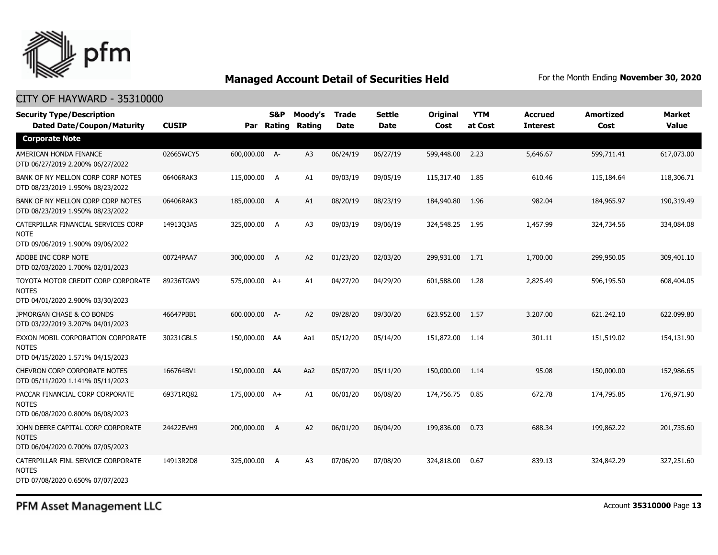

#### CITY OF HAYWARD - 35310000

| <b>Security Type/Description</b><br><b>Dated Date/Coupon/Maturity</b>                  | <b>CUSIP</b> |               | S&P<br>Par Rating | Moody's<br>Rating | <b>Trade</b><br><b>Date</b> | <b>Settle</b><br><b>Date</b> | <b>Original</b><br>Cost | <b>YTM</b><br>at Cost | <b>Accrued</b><br><b>Interest</b> | <b>Amortized</b><br>Cost | <b>Market</b><br><b>Value</b> |
|----------------------------------------------------------------------------------------|--------------|---------------|-------------------|-------------------|-----------------------------|------------------------------|-------------------------|-----------------------|-----------------------------------|--------------------------|-------------------------------|
| <b>Corporate Note</b>                                                                  |              |               |                   |                   |                             |                              |                         |                       |                                   |                          |                               |
| AMERICAN HONDA FINANCE<br>DTD 06/27/2019 2.200% 06/27/2022                             | 02665WCY5    | 600,000.00 A- |                   | A3                | 06/24/19                    | 06/27/19                     | 599,448.00              | 2.23                  | 5,646.67                          | 599,711.41               | 617,073.00                    |
| BANK OF NY MELLON CORP CORP NOTES<br>DTD 08/23/2019 1.950% 08/23/2022                  | 06406RAK3    | 115,000.00 A  |                   | A1                | 09/03/19                    | 09/05/19                     | 115,317.40              | 1.85                  | 610.46                            | 115,184.64               | 118,306.71                    |
| BANK OF NY MELLON CORP CORP NOTES<br>DTD 08/23/2019 1.950% 08/23/2022                  | 06406RAK3    | 185,000.00 A  |                   | A1                | 08/20/19                    | 08/23/19                     | 184,940.80              | 1.96                  | 982.04                            | 184,965.97               | 190,319.49                    |
| CATERPILLAR FINANCIAL SERVICES CORP<br><b>NOTE</b><br>DTD 09/06/2019 1.900% 09/06/2022 | 14913Q3A5    | 325,000.00 A  |                   | A3                | 09/03/19                    | 09/06/19                     | 324,548.25              | 1.95                  | 1,457.99                          | 324,734.56               | 334,084.08                    |
| ADOBE INC CORP NOTE<br>DTD 02/03/2020 1.700% 02/01/2023                                | 00724PAA7    | 300,000.00 A  |                   | A <sub>2</sub>    | 01/23/20                    | 02/03/20                     | 299,931.00              | 1.71                  | 1,700.00                          | 299,950.05               | 309,401.10                    |
| TOYOTA MOTOR CREDIT CORP CORPORATE<br><b>NOTES</b><br>DTD 04/01/2020 2.900% 03/30/2023 | 89236TGW9    | 575,000.00 A+ |                   | A1                | 04/27/20                    | 04/29/20                     | 601,588.00              | 1.28                  | 2,825.49                          | 596,195.50               | 608,404.05                    |
| JPMORGAN CHASE & CO BONDS<br>DTD 03/22/2019 3.207% 04/01/2023                          | 46647PBB1    | 600,000.00 A- |                   | A <sub>2</sub>    | 09/28/20                    | 09/30/20                     | 623,952.00              | 1.57                  | 3,207.00                          | 621,242.10               | 622,099.80                    |
| EXXON MOBIL CORPORATION CORPORATE<br><b>NOTES</b><br>DTD 04/15/2020 1.571% 04/15/2023  | 30231GBL5    | 150,000.00 AA |                   | Aa1               | 05/12/20                    | 05/14/20                     | 151,872.00              | 1.14                  | 301.11                            | 151,519.02               | 154,131.90                    |
| CHEVRON CORP CORPORATE NOTES<br>DTD 05/11/2020 1.141% 05/11/2023                       | 166764BV1    | 150,000.00 AA |                   | Aa2               | 05/07/20                    | 05/11/20                     | 150,000.00              | 1.14                  | 95.08                             | 150,000.00               | 152,986.65                    |
| PACCAR FINANCIAL CORP CORPORATE<br><b>NOTES</b><br>DTD 06/08/2020 0.800% 06/08/2023    | 69371RQ82    | 175,000.00 A+ |                   | A1                | 06/01/20                    | 06/08/20                     | 174,756.75              | 0.85                  | 672.78                            | 174,795.85               | 176,971.90                    |
| JOHN DEERE CAPITAL CORP CORPORATE<br><b>NOTES</b><br>DTD 06/04/2020 0.700% 07/05/2023  | 24422EVH9    | 200,000.00 A  |                   | A <sub>2</sub>    | 06/01/20                    | 06/04/20                     | 199,836.00              | 0.73                  | 688.34                            | 199,862.22               | 201,735.60                    |
| CATERPILLAR FINL SERVICE CORPORATE<br><b>NOTES</b><br>DTD 07/08/2020 0.650% 07/07/2023 | 14913R2D8    | 325,000.00 A  |                   | A <sub>3</sub>    | 07/06/20                    | 07/08/20                     | 324,818.00              | 0.67                  | 839.13                            | 324,842.29               | 327,251.60                    |

PFM Asset Management LLC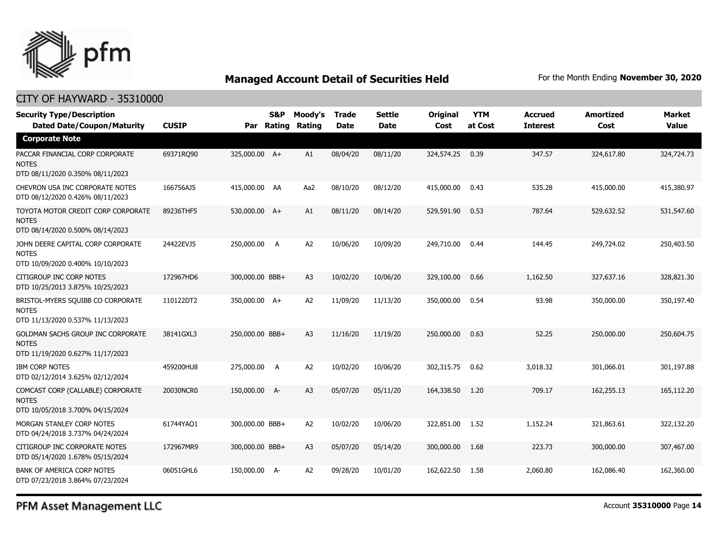

#### CITY OF HAYWARD - 35310000

| <b>Security Type/Description</b><br><b>Dated Date/Coupon/Maturity</b>                  | <b>CUSIP</b> | Par             | S&P<br>Rating | Moody's<br>Rating | <b>Trade</b><br>Date | <b>Settle</b><br><b>Date</b> | Original<br>Cost | <b>YTM</b><br>at Cost | <b>Accrued</b><br><b>Interest</b> | <b>Amortized</b><br>Cost | <b>Market</b><br><b>Value</b> |
|----------------------------------------------------------------------------------------|--------------|-----------------|---------------|-------------------|----------------------|------------------------------|------------------|-----------------------|-----------------------------------|--------------------------|-------------------------------|
| <b>Corporate Note</b>                                                                  |              |                 |               |                   |                      |                              |                  |                       |                                   |                          |                               |
| PACCAR FINANCIAL CORP CORPORATE<br><b>NOTES</b><br>DTD 08/11/2020 0.350% 08/11/2023    | 69371RQ90    | 325,000.00 A+   |               | A1                | 08/04/20             | 08/11/20                     | 324,574.25       | 0.39                  | 347.57                            | 324,617.80               | 324,724.73                    |
| CHEVRON USA INC CORPORATE NOTES<br>DTD 08/12/2020 0.426% 08/11/2023                    | 166756AJ5    | 415,000.00 AA   |               | Aa2               | 08/10/20             | 08/12/20                     | 415,000.00       | 0.43                  | 535.28                            | 415,000.00               | 415,380.97                    |
| TOYOTA MOTOR CREDIT CORP CORPORATE<br><b>NOTES</b><br>DTD 08/14/2020 0.500% 08/14/2023 | 89236THF5    | 530,000.00 A+   |               | A1                | 08/11/20             | 08/14/20                     | 529,591.90       | 0.53                  | 787.64                            | 529,632.52               | 531,547.60                    |
| JOHN DEERE CAPITAL CORP CORPORATE<br><b>NOTES</b><br>DTD 10/09/2020 0.400% 10/10/2023  | 24422EVJ5    | 250,000.00      | A             | A <sub>2</sub>    | 10/06/20             | 10/09/20                     | 249,710.00       | 0.44                  | 144.45                            | 249,724.02               | 250,403.50                    |
| CITIGROUP INC CORP NOTES<br>DTD 10/25/2013 3.875% 10/25/2023                           | 172967HD6    | 300,000.00 BBB+ |               | A <sub>3</sub>    | 10/02/20             | 10/06/20                     | 329,100.00       | 0.66                  | 1,162.50                          | 327,637.16               | 328,821.30                    |
| BRISTOL-MYERS SQUIBB CO CORPORATE<br><b>NOTES</b><br>DTD 11/13/2020 0.537% 11/13/2023  | 110122DT2    | 350,000.00 A+   |               | A <sub>2</sub>    | 11/09/20             | 11/13/20                     | 350,000.00       | 0.54                  | 93.98                             | 350,000.00               | 350,197.40                    |
| GOLDMAN SACHS GROUP INC CORPORATE<br><b>NOTES</b><br>DTD 11/19/2020 0.627% 11/17/2023  | 38141GXL3    | 250,000.00 BBB+ |               | A <sub>3</sub>    | 11/16/20             | 11/19/20                     | 250,000.00       | 0.63                  | 52.25                             | 250,000.00               | 250,604.75                    |
| <b>IBM CORP NOTES</b><br>DTD 02/12/2014 3.625% 02/12/2024                              | 459200HU8    | 275,000.00      | A             | A <sub>2</sub>    | 10/02/20             | 10/06/20                     | 302,315.75       | 0.62                  | 3,018.32                          | 301,066.01               | 301,197.88                    |
| COMCAST CORP (CALLABLE) CORPORATE<br><b>NOTES</b><br>DTD 10/05/2018 3.700% 04/15/2024  | 20030NCR0    | 150,000.00 A-   |               | A <sub>3</sub>    | 05/07/20             | 05/11/20                     | 164,338.50       | 1.20                  | 709.17                            | 162,255.13               | 165,112.20                    |
| MORGAN STANLEY CORP NOTES<br>DTD 04/24/2018 3.737% 04/24/2024                          | 61744YAQ1    | 300,000.00 BBB+ |               | A <sub>2</sub>    | 10/02/20             | 10/06/20                     | 322,851.00       | 1.52                  | 1,152.24                          | 321,863.61               | 322,132.20                    |
| CITIGROUP INC CORPORATE NOTES<br>DTD 05/14/2020 1.678% 05/15/2024                      | 172967MR9    | 300,000.00 BBB+ |               | A <sub>3</sub>    | 05/07/20             | 05/14/20                     | 300,000.00       | 1.68                  | 223.73                            | 300,000.00               | 307,467.00                    |
| BANK OF AMERICA CORP NOTES<br>DTD 07/23/2018 3.864% 07/23/2024                         | 06051GHL6    | 150,000.00 A-   |               | A <sub>2</sub>    | 09/28/20             | 10/01/20                     | 162,622.50       | 1.58                  | 2,060.80                          | 162,086.40               | 162,360.00                    |

PFM Asset Management LLC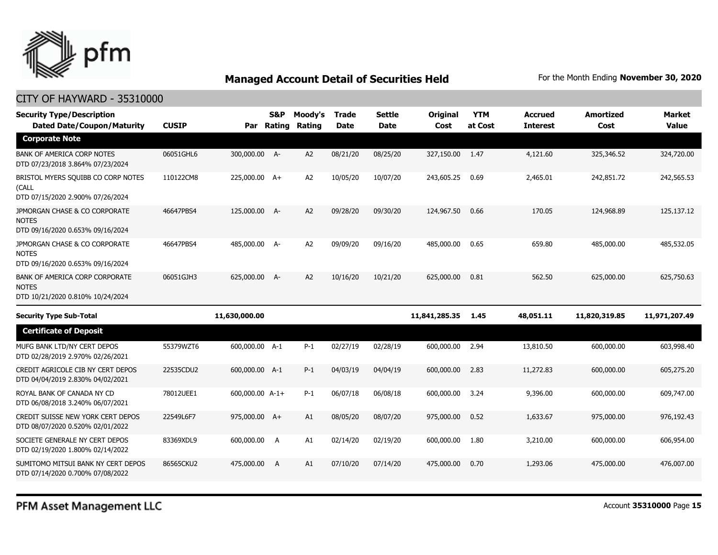

| <b>Security Type/Description</b><br><b>Dated Date/Coupon/Maturity</b>              | <b>CUSIP</b> | Par             | S&P<br>Rating | Moody's<br>Rating | <b>Trade</b><br><b>Date</b> | <b>Settle</b><br><b>Date</b> | Original<br>Cost | <b>YTM</b><br>at Cost | <b>Accrued</b><br><b>Interest</b> | <b>Amortized</b><br>Cost | <b>Market</b><br><b>Value</b> |
|------------------------------------------------------------------------------------|--------------|-----------------|---------------|-------------------|-----------------------------|------------------------------|------------------|-----------------------|-----------------------------------|--------------------------|-------------------------------|
| <b>Corporate Note</b>                                                              |              |                 |               |                   |                             |                              |                  |                       |                                   |                          |                               |
| <b>BANK OF AMERICA CORP NOTES</b><br>DTD 07/23/2018 3.864% 07/23/2024              | 06051GHL6    | 300,000.00 A-   |               | A2                | 08/21/20                    | 08/25/20                     | 327,150.00       | 1.47                  | 4,121.60                          | 325,346.52               | 324,720.00                    |
| BRISTOL MYERS SQUIBB CO CORP NOTES<br>(CALL<br>DTD 07/15/2020 2.900% 07/26/2024    | 110122CM8    | 225,000.00 A+   |               | A2                | 10/05/20                    | 10/07/20                     | 243,605.25       | 0.69                  | 2,465.01                          | 242,851.72               | 242,565.53                    |
| JPMORGAN CHASE & CO CORPORATE<br><b>NOTES</b><br>DTD 09/16/2020 0.653% 09/16/2024  | 46647PBS4    | 125,000.00 A-   |               | A2                | 09/28/20                    | 09/30/20                     | 124,967.50       | 0.66                  | 170.05                            | 124,968.89               | 125,137.12                    |
| JPMORGAN CHASE & CO CORPORATE<br><b>NOTES</b><br>DTD 09/16/2020 0.653% 09/16/2024  | 46647PBS4    | 485,000.00 A-   |               | A <sub>2</sub>    | 09/09/20                    | 09/16/20                     | 485,000.00       | 0.65                  | 659.80                            | 485,000.00               | 485,532.05                    |
| BANK OF AMERICA CORP CORPORATE<br><b>NOTES</b><br>DTD 10/21/2020 0.810% 10/24/2024 | 06051GJH3    | 625,000.00 A-   |               | A <sub>2</sub>    | 10/16/20                    | 10/21/20                     | 625,000.00       | 0.81                  | 562.50                            | 625,000.00               | 625,750.63                    |
| <b>Security Type Sub-Total</b>                                                     |              | 11,630,000.00   |               |                   |                             |                              | 11,841,285.35    | 1.45                  | 48,051.11                         | 11,820,319.85            | 11,971,207.49                 |
| <b>Certificate of Deposit</b>                                                      |              |                 |               |                   |                             |                              |                  |                       |                                   |                          |                               |
| MUFG BANK LTD/NY CERT DEPOS<br>DTD 02/28/2019 2.970% 02/26/2021                    | 55379WZT6    | 600,000.00 A-1  |               | $P-1$             | 02/27/19                    | 02/28/19                     | 600,000.00       | 2.94                  | 13,810.50                         | 600,000.00               | 603,998.40                    |
| CREDIT AGRICOLE CIB NY CERT DEPOS<br>DTD 04/04/2019 2.830% 04/02/2021              | 22535CDU2    | 600,000.00 A-1  |               | $P-1$             | 04/03/19                    | 04/04/19                     | 600,000.00       | 2.83                  | 11,272.83                         | 600,000.00               | 605,275.20                    |
| ROYAL BANK OF CANADA NY CD<br>DTD 06/08/2018 3.240% 06/07/2021                     | 78012UEE1    | 600,000.00 A-1+ |               | $P-1$             | 06/07/18                    | 06/08/18                     | 600,000.00       | 3.24                  | 9,396.00                          | 600,000.00               | 609,747.00                    |
| CREDIT SUISSE NEW YORK CERT DEPOS<br>DTD 08/07/2020 0.520% 02/01/2022              | 22549L6F7    | 975,000.00 A+   |               | A1                | 08/05/20                    | 08/07/20                     | 975,000.00       | 0.52                  | 1,633,67                          | 975,000.00               | 976,192.43                    |
| SOCIETE GENERALE NY CERT DEPOS<br>DTD 02/19/2020 1.800% 02/14/2022                 | 83369XDL9    | 600,000.00      | A             | A1                | 02/14/20                    | 02/19/20                     | 600,000.00       | 1.80                  | 3,210,00                          | 600,000.00               | 606,954.00                    |
| SUMITOMO MITSUI BANK NY CERT DEPOS<br>DTD 07/14/2020 0.700% 07/08/2022             | 86565CKU2    | 475,000.00      | A             | A1                | 07/10/20                    | 07/14/20                     | 475,000,00       | 0.70                  | 1,293.06                          | 475,000,00               | 476,007.00                    |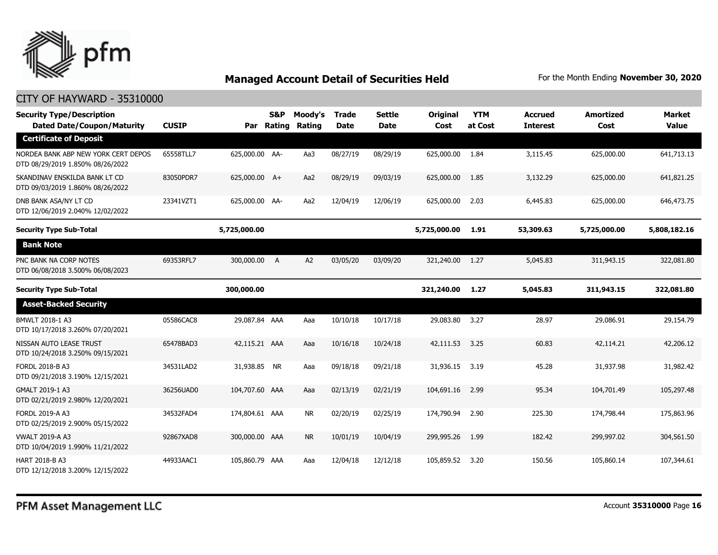

| <b>Security Type/Description</b><br><b>Dated Date/Coupon/Maturity</b>   | <b>CUSIP</b> | Par            | S&P<br>Rating | Moody's<br>Rating | <b>Trade</b><br><b>Date</b> | <b>Settle</b><br><b>Date</b> | Original<br>Cost | <b>YTM</b><br>at Cost | <b>Accrued</b><br><b>Interest</b> | <b>Amortized</b><br>Cost | <b>Market</b><br><b>Value</b> |
|-------------------------------------------------------------------------|--------------|----------------|---------------|-------------------|-----------------------------|------------------------------|------------------|-----------------------|-----------------------------------|--------------------------|-------------------------------|
| <b>Certificate of Deposit</b>                                           |              |                |               |                   |                             |                              |                  |                       |                                   |                          |                               |
| NORDEA BANK ABP NEW YORK CERT DEPOS<br>DTD 08/29/2019 1.850% 08/26/2022 | 65558TLL7    | 625,000.00 AA- |               | Aa3               | 08/27/19                    | 08/29/19                     | 625,000.00       | 1.84                  | 3,115.45                          | 625,000.00               | 641,713.13                    |
| SKANDINAV ENSKILDA BANK LT CD<br>DTD 09/03/2019 1.860% 08/26/2022       | 83050PDR7    | 625,000.00 A+  |               | Aa2               | 08/29/19                    | 09/03/19                     | 625,000.00       | 1.85                  | 3,132.29                          | 625,000.00               | 641,821.25                    |
| DNB BANK ASA/NY LT CD<br>DTD 12/06/2019 2.040% 12/02/2022               | 23341VZT1    | 625,000.00 AA- |               | Aa2               | 12/04/19                    | 12/06/19                     | 625,000.00       | 2.03                  | 6,445.83                          | 625,000.00               | 646,473.75                    |
| <b>Security Type Sub-Total</b>                                          |              | 5,725,000.00   |               |                   |                             |                              | 5,725,000.00     | 1.91                  | 53,309.63                         | 5,725,000.00             | 5,808,182.16                  |
| <b>Bank Note</b>                                                        |              |                |               |                   |                             |                              |                  |                       |                                   |                          |                               |
| PNC BANK NA CORP NOTES<br>DTD 06/08/2018 3.500% 06/08/2023              | 69353RFL7    | 300,000.00 A   |               | A2                | 03/05/20                    | 03/09/20                     | 321,240.00 1.27  |                       | 5,045.83                          | 311,943.15               | 322,081.80                    |
| <b>Security Type Sub-Total</b>                                          |              | 300,000.00     |               |                   |                             |                              | 321,240.00       | 1.27                  | 5,045.83                          | 311,943.15               | 322,081.80                    |
| <b>Asset-Backed Security</b>                                            |              |                |               |                   |                             |                              |                  |                       |                                   |                          |                               |
| BMWLT 2018-1 A3<br>DTD 10/17/2018 3.260% 07/20/2021                     | 05586CAC8    | 29,087.84 AAA  |               | Aaa               | 10/10/18                    | 10/17/18                     | 29,083.80        | 3.27                  | 28.97                             | 29,086.91                | 29,154.79                     |
| NISSAN AUTO LEASE TRUST<br>DTD 10/24/2018 3.250% 09/15/2021             | 65478BAD3    | 42,115.21 AAA  |               | Aaa               | 10/16/18                    | 10/24/18                     | 42,111.53        | 3.25                  | 60.83                             | 42,114.21                | 42,206.12                     |
| FORDL 2018-B A3<br>DTD 09/21/2018 3.190% 12/15/2021                     | 34531LAD2    | 31,938.85 NR   |               | Aaa               | 09/18/18                    | 09/21/18                     | 31,936.15        | 3.19                  | 45.28                             | 31,937.98                | 31,982.42                     |
| GMALT 2019-1 A3<br>DTD 02/21/2019 2.980% 12/20/2021                     | 36256UAD0    | 104,707.60 AAA |               | Aaa               | 02/13/19                    | 02/21/19                     | 104,691.16       | 2.99                  | 95.34                             | 104,701.49               | 105,297.48                    |
| FORDL 2019-A A3<br>DTD 02/25/2019 2.900% 05/15/2022                     | 34532FAD4    | 174,804.61 AAA |               | <b>NR</b>         | 02/20/19                    | 02/25/19                     | 174,790.94       | 2.90                  | 225.30                            | 174,798.44               | 175,863.96                    |
| <b>VWALT 2019-A A3</b><br>DTD 10/04/2019 1.990% 11/21/2022              | 92867XAD8    | 300,000.00 AAA |               | <b>NR</b>         | 10/01/19                    | 10/04/19                     | 299,995.26       | 1.99                  | 182.42                            | 299,997.02               | 304,561.50                    |
| <b>HART 2018-B A3</b><br>DTD 12/12/2018 3.200% 12/15/2022               | 44933AAC1    | 105,860.79 AAA |               | Aaa               | 12/04/18                    | 12/12/18                     | 105,859.52       | 3.20                  | 150.56                            | 105,860.14               | 107,344.61                    |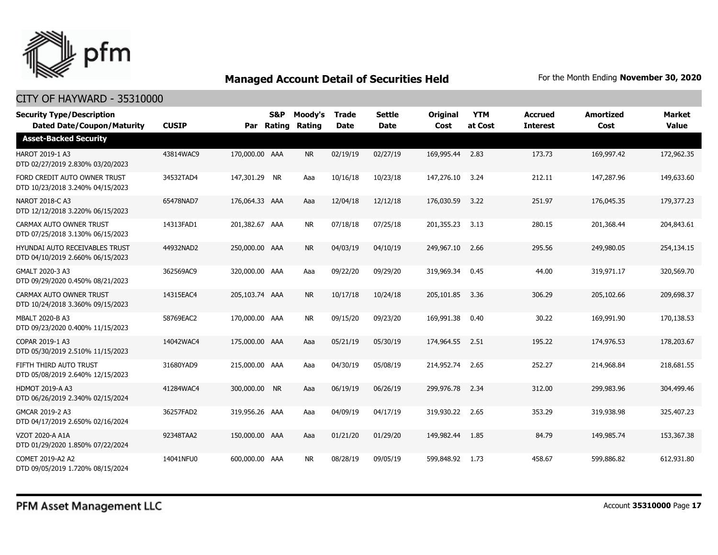

| <b>Security Type/Description</b><br><b>Dated Date/Coupon/Maturity</b> | <b>CUSIP</b> | Par            | <b>S&amp;P</b><br>Rating | Moody's<br>Rating | <b>Trade</b><br><b>Date</b> | <b>Settle</b><br><b>Date</b> | <b>Original</b><br>Cost | <b>YTM</b><br>at Cost | <b>Accrued</b><br><b>Interest</b> | <b>Amortized</b><br>Cost | <b>Market</b><br><b>Value</b> |
|-----------------------------------------------------------------------|--------------|----------------|--------------------------|-------------------|-----------------------------|------------------------------|-------------------------|-----------------------|-----------------------------------|--------------------------|-------------------------------|
| <b>Asset-Backed Security</b>                                          |              |                |                          |                   |                             |                              |                         |                       |                                   |                          |                               |
| HAROT 2019-1 A3<br>DTD 02/27/2019 2.830% 03/20/2023                   | 43814WAC9    | 170,000.00 AAA |                          | <b>NR</b>         | 02/19/19                    | 02/27/19                     | 169,995.44              | 2.83                  | 173.73                            | 169,997.42               | 172,962.35                    |
| FORD CREDIT AUTO OWNER TRUST<br>DTD 10/23/2018 3.240% 04/15/2023      | 34532TAD4    | 147,301.29 NR  |                          | Aaa               | 10/16/18                    | 10/23/18                     | 147,276.10              | 3.24                  | 212.11                            | 147,287.96               | 149,633.60                    |
| NAROT 2018-C A3<br>DTD 12/12/2018 3.220% 06/15/2023                   | 65478NAD7    | 176,064.33 AAA |                          | Aaa               | 12/04/18                    | 12/12/18                     | 176,030.59              | 3.22                  | 251.97                            | 176,045.35               | 179,377.23                    |
| CARMAX AUTO OWNER TRUST<br>DTD 07/25/2018 3.130% 06/15/2023           | 14313FAD1    | 201,382.67 AAA |                          | <b>NR</b>         | 07/18/18                    | 07/25/18                     | 201,355.23              | 3.13                  | 280.15                            | 201,368.44               | 204,843.61                    |
| HYUNDAI AUTO RECEIVABLES TRUST<br>DTD 04/10/2019 2.660% 06/15/2023    | 44932NAD2    | 250,000.00 AAA |                          | <b>NR</b>         | 04/03/19                    | 04/10/19                     | 249,967.10              | 2.66                  | 295.56                            | 249,980.05               | 254,134.15                    |
| GMALT 2020-3 A3<br>DTD 09/29/2020 0.450% 08/21/2023                   | 362569AC9    | 320,000.00 AAA |                          | Aaa               | 09/22/20                    | 09/29/20                     | 319,969.34              | 0.45                  | 44.00                             | 319,971.17               | 320,569.70                    |
| CARMAX AUTO OWNER TRUST<br>DTD 10/24/2018 3.360% 09/15/2023           | 14315EAC4    | 205,103.74 AAA |                          | <b>NR</b>         | 10/17/18                    | 10/24/18                     | 205,101.85              | 3.36                  | 306.29                            | 205,102.66               | 209,698.37                    |
| MBALT 2020-B A3<br>DTD 09/23/2020 0.400% 11/15/2023                   | 58769EAC2    | 170,000.00 AAA |                          | <b>NR</b>         | 09/15/20                    | 09/23/20                     | 169,991.38              | 0.40                  | 30.22                             | 169,991.90               | 170,138.53                    |
| COPAR 2019-1 A3<br>DTD 05/30/2019 2.510% 11/15/2023                   | 14042WAC4    | 175,000.00 AAA |                          | Aaa               | 05/21/19                    | 05/30/19                     | 174,964.55              | 2.51                  | 195.22                            | 174,976.53               | 178,203.67                    |
| FIFTH THIRD AUTO TRUST<br>DTD 05/08/2019 2.640% 12/15/2023            | 31680YAD9    | 215,000.00 AAA |                          | Aaa               | 04/30/19                    | 05/08/19                     | 214,952.74              | 2.65                  | 252.27                            | 214,968.84               | 218,681.55                    |
| <b>HDMOT 2019-A A3</b><br>DTD 06/26/2019 2.340% 02/15/2024            | 41284WAC4    | 300,000.00 NR  |                          | Aaa               | 06/19/19                    | 06/26/19                     | 299,976.78              | 2.34                  | 312.00                            | 299,983.96               | 304,499.46                    |
| GMCAR 2019-2 A3<br>DTD 04/17/2019 2.650% 02/16/2024                   | 36257FAD2    | 319,956.26 AAA |                          | Aaa               | 04/09/19                    | 04/17/19                     | 319,930.22              | 2.65                  | 353.29                            | 319,938.98               | 325,407.23                    |
| <b>VZOT 2020-A A1A</b><br>DTD 01/29/2020 1.850% 07/22/2024            | 92348TAA2    | 150,000.00 AAA |                          | Aaa               | 01/21/20                    | 01/29/20                     | 149,982.44              | 1.85                  | 84.79                             | 149,985,74               | 153,367,38                    |
| COMET 2019-A2 A2<br>DTD 09/05/2019 1.720% 08/15/2024                  | 14041NFU0    | 600,000.00 AAA |                          | <b>NR</b>         | 08/28/19                    | 09/05/19                     | 599,848.92              | 1.73                  | 458.67                            | 599,886.82               | 612,931.80                    |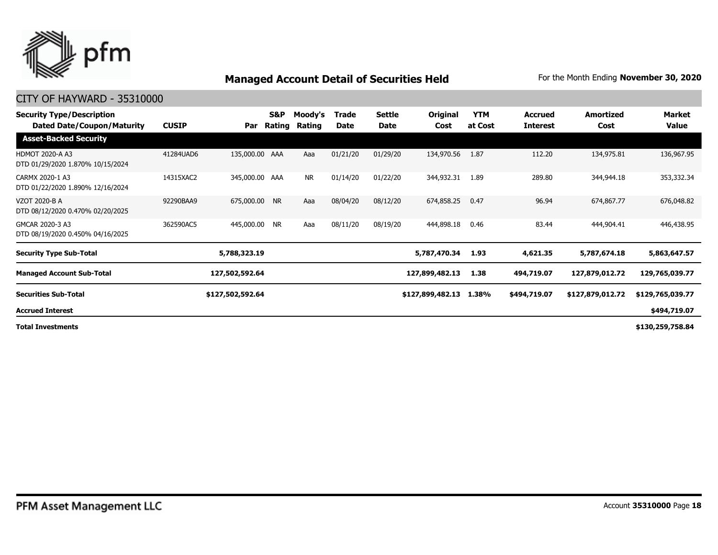

| <b>Security Type/Description</b><br><b>Dated Date/Coupon/Maturity</b> | <b>CUSIP</b> | Par              | S&P<br>Rating | Moody's<br>Rating | Trade<br>Date | <b>Settle</b><br><b>Date</b> | <b>Original</b><br>Cost | <b>YTM</b><br>at Cost | <b>Accrued</b><br><b>Interest</b> | <b>Amortized</b><br>Cost | Market<br>Value  |
|-----------------------------------------------------------------------|--------------|------------------|---------------|-------------------|---------------|------------------------------|-------------------------|-----------------------|-----------------------------------|--------------------------|------------------|
| <b>Asset-Backed Security</b>                                          |              |                  |               |                   |               |                              |                         |                       |                                   |                          |                  |
| <b>HDMOT 2020-A A3</b><br>DTD 01/29/2020 1.870% 10/15/2024            | 41284UAD6    | 135,000.00 AAA   |               | Aaa               | 01/21/20      | 01/29/20                     | 134,970.56              | 1.87                  | 112.20                            | 134,975.81               | 136,967.95       |
| CARMX 2020-1 A3<br>DTD 01/22/2020 1.890% 12/16/2024                   | 14315XAC2    | 345,000.00 AAA   |               | <b>NR</b>         | 01/14/20      | 01/22/20                     | 344,932.31              | 1.89                  | 289.80                            | 344,944.18               | 353,332.34       |
| <b>VZOT 2020-B A</b><br>DTD 08/12/2020 0.470% 02/20/2025              | 92290BAA9    | 675,000.00 NR    |               | Aaa               | 08/04/20      | 08/12/20                     | 674,858.25              | 0.47                  | 96.94                             | 674,867.77               | 676,048.82       |
| GMCAR 2020-3 A3<br>DTD 08/19/2020 0.450% 04/16/2025                   | 362590AC5    | 445,000.00       | <b>NR</b>     | Aaa               | 08/11/20      | 08/19/20                     | 444,898.18              | 0.46                  | 83.44                             | 444,904.41               | 446,438.95       |
| <b>Security Type Sub-Total</b>                                        |              | 5,788,323.19     |               |                   |               |                              | 5,787,470.34            | 1.93                  | 4,621.35                          | 5,787,674.18             | 5,863,647.57     |
| <b>Managed Account Sub-Total</b>                                      |              | 127,502,592.64   |               |                   |               |                              | 127,899,482.13          | 1.38                  | 494,719.07                        | 127,879,012.72           | 129,765,039.77   |
| <b>Securities Sub-Total</b>                                           |              | \$127,502,592.64 |               |                   |               |                              | \$127,899,482.13        | 1.38%                 | \$494,719.07                      | \$127,879,012.72         | \$129,765,039.77 |
| <b>Accrued Interest</b>                                               |              |                  |               |                   |               |                              |                         |                       |                                   |                          | \$494,719.07     |
| <b>Total Investments</b>                                              |              |                  |               |                   |               |                              |                         |                       |                                   |                          | \$130,259,758.84 |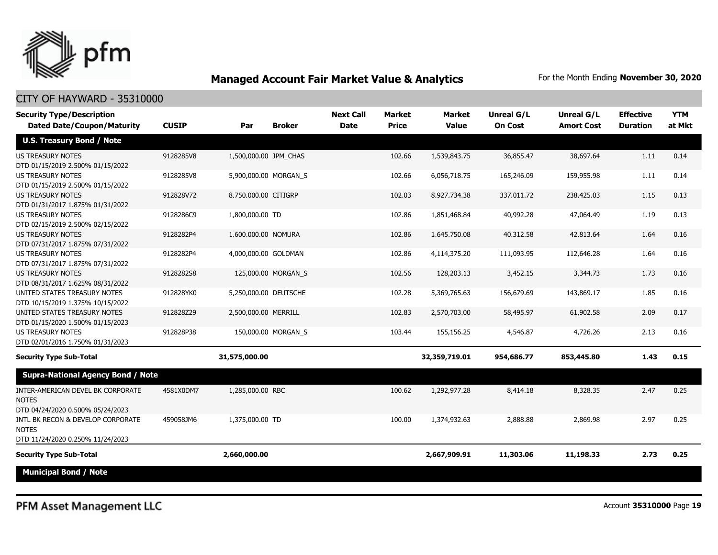

#### CITY OF HAYWARD - 35310000

| <b>Security Type/Description</b><br><b>Dated Date/Coupon/Maturity</b>                 | <b>CUSIP</b> | Par                   | <b>Broker</b>       | <b>Next Call</b><br><b>Date</b> | <b>Market</b><br><b>Price</b> | <b>Market</b><br><b>Value</b> | Unreal G/L<br><b>On Cost</b> | Unreal G/L<br><b>Amort Cost</b> | <b>Effective</b><br><b>Duration</b> | <b>YTM</b><br>at Mkt |
|---------------------------------------------------------------------------------------|--------------|-----------------------|---------------------|---------------------------------|-------------------------------|-------------------------------|------------------------------|---------------------------------|-------------------------------------|----------------------|
| <b>U.S. Treasury Bond / Note</b>                                                      |              |                       |                     |                                 |                               |                               |                              |                                 |                                     |                      |
| <b>US TREASURY NOTES</b><br>DTD 01/15/2019 2.500% 01/15/2022                          | 9128285V8    | 1,500,000.00 JPM CHAS |                     |                                 | 102.66                        | 1,539,843.75                  | 36,855.47                    | 38,697.64                       | 1.11                                | 0.14                 |
| <b>US TREASURY NOTES</b><br>DTD 01/15/2019 2.500% 01/15/2022                          | 9128285V8    | 5,900,000.00 MORGAN_S |                     |                                 | 102.66                        | 6,056,718.75                  | 165,246.09                   | 159,955.98                      | 1.11                                | 0.14                 |
| <b>US TREASURY NOTES</b><br>DTD 01/31/2017 1.875% 01/31/2022                          | 912828V72    | 8,750,000.00 CITIGRP  |                     |                                 | 102.03                        | 8,927,734.38                  | 337,011.72                   | 238,425.03                      | 1.15                                | 0.13                 |
| US TREASURY NOTES<br>DTD 02/15/2019 2.500% 02/15/2022                                 | 9128286C9    | 1,800,000.00 TD       |                     |                                 | 102.86                        | 1,851,468.84                  | 40,992.28                    | 47,064.49                       | 1.19                                | 0.13                 |
| <b>US TREASURY NOTES</b><br>DTD 07/31/2017 1.875% 07/31/2022                          | 9128282P4    | 1,600,000.00 NOMURA   |                     |                                 | 102.86                        | 1,645,750.08                  | 40,312.58                    | 42,813.64                       | 1.64                                | 0.16                 |
| <b>US TREASURY NOTES</b><br>DTD 07/31/2017 1.875% 07/31/2022                          | 9128282P4    | 4,000,000.00 GOLDMAN  |                     |                                 | 102.86                        | 4,114,375.20                  | 111,093.95                   | 112,646.28                      | 1.64                                | 0.16                 |
| <b>US TREASURY NOTES</b><br>DTD 08/31/2017 1.625% 08/31/2022                          | 9128282S8    |                       | 125,000.00 MORGAN_S |                                 | 102.56                        | 128,203.13                    | 3,452.15                     | 3,344.73                        | 1.73                                | 0.16                 |
| UNITED STATES TREASURY NOTES<br>DTD 10/15/2019 1.375% 10/15/2022                      | 912828YK0    | 5,250,000.00 DEUTSCHE |                     |                                 | 102.28                        | 5,369,765.63                  | 156,679.69                   | 143,869.17                      | 1.85                                | 0.16                 |
| UNITED STATES TREASURY NOTES<br>DTD 01/15/2020 1.500% 01/15/2023                      | 912828Z29    | 2,500,000.00 MERRILL  |                     |                                 | 102.83                        | 2,570,703.00                  | 58,495.97                    | 61,902.58                       | 2.09                                | 0.17                 |
| <b>US TREASURY NOTES</b><br>DTD 02/01/2016 1.750% 01/31/2023                          | 912828P38    |                       | 150,000.00 MORGAN S |                                 | 103.44                        | 155,156.25                    | 4,546.87                     | 4,726.26                        | 2.13                                | 0.16                 |
| <b>Security Type Sub-Total</b>                                                        |              | 31,575,000.00         |                     |                                 |                               | 32,359,719.01                 | 954,686.77                   | 853,445.80                      | 1.43                                | 0.15                 |
| <b>Supra-National Agency Bond / Note</b>                                              |              |                       |                     |                                 |                               |                               |                              |                                 |                                     |                      |
| INTER-AMERICAN DEVEL BK CORPORATE<br><b>NOTES</b><br>DTD 04/24/2020 0.500% 05/24/2023 | 4581X0DM7    | 1,285,000.00 RBC      |                     |                                 | 100.62                        | 1,292,977.28                  | 8,414.18                     | 8,328.35                        | 2.47                                | 0.25                 |
| INTL BK RECON & DEVELOP CORPORATE<br><b>NOTES</b><br>DTD 11/24/2020 0.250% 11/24/2023 | 459058JM6    | 1,375,000.00 TD       |                     |                                 | 100.00                        | 1,374,932.63                  | 2,888.88                     | 2,869.98                        | 2.97                                | 0.25                 |
| <b>Security Type Sub-Total</b>                                                        |              | 2,660,000.00          |                     |                                 |                               | 2,667,909.91                  | 11,303.06                    | 11,198.33                       | 2.73                                | 0.25                 |
| <b>Municipal Bond / Note</b>                                                          |              |                       |                     |                                 |                               |                               |                              |                                 |                                     |                      |

PFM Asset Management LLC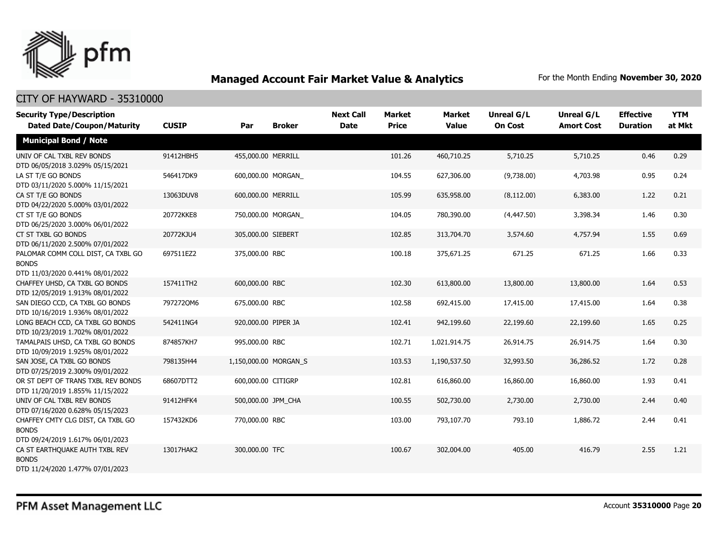

| <b>Security Type/Description</b><br><b>Dated Date/Coupon/Maturity</b>                  | <b>CUSIP</b> | Par                   | <b>Broker</b> | <b>Next Call</b><br><b>Date</b> | Market<br><b>Price</b> | <b>Market</b><br><b>Value</b> | <b>Unreal G/L</b><br><b>On Cost</b> | Unreal G/L<br><b>Amort Cost</b> | <b>Effective</b><br><b>Duration</b> | <b>YTM</b><br>at Mkt |
|----------------------------------------------------------------------------------------|--------------|-----------------------|---------------|---------------------------------|------------------------|-------------------------------|-------------------------------------|---------------------------------|-------------------------------------|----------------------|
| <b>Municipal Bond / Note</b>                                                           |              |                       |               |                                 |                        |                               |                                     |                                 |                                     |                      |
| UNIV OF CAL TXBL REV BONDS<br>DTD 06/05/2018 3.029% 05/15/2021                         | 91412HBH5    | 455,000.00 MERRILL    |               |                                 | 101.26                 | 460,710.25                    | 5,710.25                            | 5,710.25                        | 0.46                                | 0.29                 |
| LA ST T/E GO BONDS<br>DTD 03/11/2020 5.000% 11/15/2021                                 | 546417DK9    | 600,000.00 MORGAN     |               |                                 | 104.55                 | 627,306.00                    | (9,738.00)                          | 4,703.98                        | 0.95                                | 0.24                 |
| CA ST T/E GO BONDS<br>DTD 04/22/2020 5.000% 03/01/2022                                 | 13063DUV8    | 600,000.00 MERRILL    |               |                                 | 105.99                 | 635,958.00                    | (8, 112.00)                         | 6,383.00                        | 1.22                                | 0.21                 |
| CT ST T/E GO BONDS<br>DTD 06/25/2020 3.000% 06/01/2022                                 | 20772KKE8    | 750,000.00 MORGAN     |               |                                 | 104.05                 | 780,390.00                    | (4, 447.50)                         | 3,398.34                        | 1.46                                | 0.30                 |
| CT ST TXBL GO BONDS<br>DTD 06/11/2020 2.500% 07/01/2022                                | 20772KJU4    | 305,000.00 SIEBERT    |               |                                 | 102.85                 | 313,704.70                    | 3,574.60                            | 4,757.94                        | 1.55                                | 0.69                 |
| PALOMAR COMM COLL DIST, CA TXBL GO<br><b>BONDS</b><br>DTD 11/03/2020 0.441% 08/01/2022 | 697511EZ2    | 375,000.00 RBC        |               |                                 | 100.18                 | 375,671.25                    | 671.25                              | 671.25                          | 1.66                                | 0.33                 |
| CHAFFEY UHSD, CA TXBL GO BONDS<br>DTD 12/05/2019 1.913% 08/01/2022                     | 157411TH2    | 600,000.00 RBC        |               |                                 | 102.30                 | 613,800.00                    | 13,800.00                           | 13,800.00                       | 1.64                                | 0.53                 |
| SAN DIEGO CCD, CA TXBL GO BONDS<br>DTD 10/16/2019 1.936% 08/01/2022                    | 7972720M6    | 675,000.00 RBC        |               |                                 | 102.58                 | 692,415.00                    | 17,415.00                           | 17,415.00                       | 1.64                                | 0.38                 |
| LONG BEACH CCD, CA TXBL GO BONDS<br>DTD 10/23/2019 1.702% 08/01/2022                   | 542411NG4    | 920,000.00 PIPER JA   |               |                                 | 102.41                 | 942,199.60                    | 22,199.60                           | 22,199.60                       | 1.65                                | 0.25                 |
| TAMALPAIS UHSD, CA TXBL GO BONDS<br>DTD 10/09/2019 1.925% 08/01/2022                   | 874857KH7    | 995,000.00 RBC        |               |                                 | 102.71                 | 1,021,914.75                  | 26,914.75                           | 26,914.75                       | 1.64                                | 0.30                 |
| SAN JOSE, CA TXBL GO BONDS<br>DTD 07/25/2019 2.300% 09/01/2022                         | 798135H44    | 1,150,000.00 MORGAN_S |               |                                 | 103.53                 | 1,190,537.50                  | 32,993.50                           | 36,286.52                       | 1.72                                | 0.28                 |
| OR ST DEPT OF TRANS TXBL REV BONDS<br>DTD 11/20/2019 1.855% 11/15/2022                 | 68607DTT2    | 600,000.00 CITIGRP    |               |                                 | 102.81                 | 616,860.00                    | 16,860.00                           | 16,860.00                       | 1.93                                | 0.41                 |
| UNIV OF CAL TXBL REV BONDS<br>DTD 07/16/2020 0.628% 05/15/2023                         | 91412HFK4    | 500,000.00 JPM_CHA    |               |                                 | 100.55                 | 502,730.00                    | 2,730.00                            | 2,730.00                        | 2.44                                | 0.40                 |
| CHAFFEY CMTY CLG DIST, CA TXBL GO<br><b>BONDS</b><br>DTD 09/24/2019 1.617% 06/01/2023  | 157432KD6    | 770,000.00 RBC        |               |                                 | 103.00                 | 793,107.70                    | 793.10                              | 1,886.72                        | 2.44                                | 0.41                 |
| CA ST EARTHQUAKE AUTH TXBL REV<br><b>BONDS</b><br>DTD 11/24/2020 1.477% 07/01/2023     | 13017HAK2    | 300,000.00 TFC        |               |                                 | 100.67                 | 302,004.00                    | 405.00                              | 416.79                          | 2.55                                | 1.21                 |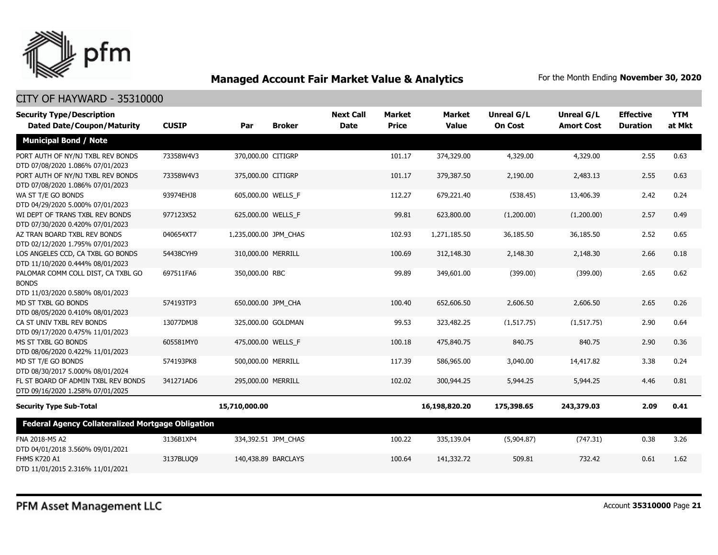

| <b>Security Type/Description</b>                                                       |              |                       |                     | <b>Next Call</b> | <b>Market</b> | <b>Market</b> | <b>Unreal G/L</b> | Unreal G/L        | <b>Effective</b> | <b>YTM</b> |
|----------------------------------------------------------------------------------------|--------------|-----------------------|---------------------|------------------|---------------|---------------|-------------------|-------------------|------------------|------------|
| <b>Dated Date/Coupon/Maturity</b>                                                      | <b>CUSIP</b> | Par                   | <b>Broker</b>       | <b>Date</b>      | <b>Price</b>  | <b>Value</b>  | <b>On Cost</b>    | <b>Amort Cost</b> | <b>Duration</b>  | at Mkt     |
| <b>Municipal Bond / Note</b>                                                           |              |                       |                     |                  |               |               |                   |                   |                  |            |
| PORT AUTH OF NY/NJ TXBL REV BONDS<br>DTD 07/08/2020 1.086% 07/01/2023                  | 73358W4V3    | 370,000.00 CITIGRP    |                     |                  | 101.17        | 374,329.00    | 4,329.00          | 4,329.00          | 2.55             | 0.63       |
| PORT AUTH OF NY/NJ TXBL REV BONDS<br>DTD 07/08/2020 1.086% 07/01/2023                  | 73358W4V3    | 375,000.00 CITIGRP    |                     |                  | 101.17        | 379,387.50    | 2,190.00          | 2,483.13          | 2.55             | 0.63       |
| WA ST T/E GO BONDS<br>DTD 04/29/2020 5.000% 07/01/2023                                 | 93974EHJ8    | 605,000.00 WELLS_F    |                     |                  | 112.27        | 679,221.40    | (538.45)          | 13,406.39         | 2.42             | 0.24       |
| WI DEPT OF TRANS TXBL REV BONDS<br>DTD 07/30/2020 0.420% 07/01/2023                    | 977123X52    | 625,000.00 WELLS_F    |                     |                  | 99.81         | 623,800.00    | (1,200.00)        | (1,200.00)        | 2.57             | 0.49       |
| AZ TRAN BOARD TXBL REV BONDS<br>DTD 02/12/2020 1.795% 07/01/2023                       | 040654XT7    | 1,235,000.00 JPM_CHAS |                     |                  | 102.93        | 1,271,185.50  | 36,185.50         | 36,185.50         | 2.52             | 0.65       |
| LOS ANGELES CCD, CA TXBL GO BONDS<br>DTD 11/10/2020 0.444% 08/01/2023                  | 54438CYH9    | 310,000.00 MERRILL    |                     |                  | 100.69        | 312,148.30    | 2,148.30          | 2,148.30          | 2.66             | 0.18       |
| PALOMAR COMM COLL DIST, CA TXBL GO<br><b>BONDS</b><br>DTD 11/03/2020 0.580% 08/01/2023 | 697511FA6    | 350,000.00 RBC        |                     |                  | 99.89         | 349,601.00    | (399.00)          | (399.00)          | 2.65             | 0.62       |
| MD ST TXBL GO BONDS<br>DTD 08/05/2020 0.410% 08/01/2023                                | 574193TP3    | 650,000.00 JPM CHA    |                     |                  | 100.40        | 652,606.50    | 2,606.50          | 2,606.50          | 2.65             | 0.26       |
| CA ST UNIV TXBL REV BONDS<br>DTD 09/17/2020 0.475% 11/01/2023                          | 13077DMJ8    |                       | 325,000.00 GOLDMAN  |                  | 99.53         | 323,482.25    | (1, 517.75)       | (1, 517.75)       | 2.90             | 0.64       |
| MS ST TXBL GO BONDS<br>DTD 08/06/2020 0.422% 11/01/2023                                | 605581MY0    | 475,000.00 WELLS_F    |                     |                  | 100.18        | 475,840.75    | 840.75            | 840.75            | 2.90             | 0.36       |
| MD ST T/E GO BONDS<br>DTD 08/30/2017 5.000% 08/01/2024                                 | 574193PK8    | 500,000.00 MERRILL    |                     |                  | 117.39        | 586,965.00    | 3,040.00          | 14,417.82         | 3.38             | 0.24       |
| FL ST BOARD OF ADMIN TXBL REV BONDS<br>DTD 09/16/2020 1.258% 07/01/2025                | 341271AD6    | 295,000.00 MERRILL    |                     |                  | 102.02        | 300,944.25    | 5,944.25          | 5,944.25          | 4.46             | 0.81       |
| <b>Security Type Sub-Total</b>                                                         |              | 15,710,000.00         |                     |                  |               | 16,198,820.20 | 175,398.65        | 243,379.03        | 2.09             | 0.41       |
| <b>Federal Agency Collateralized Mortgage Obligation</b>                               |              |                       |                     |                  |               |               |                   |                   |                  |            |
| FNA 2018-M5 A2<br>DTD 04/01/2018 3.560% 09/01/2021                                     | 3136B1XP4    |                       | 334,392.51 JPM_CHAS |                  | 100.22        | 335,139.04    | (5,904.87)        | (747.31)          | 0.38             | 3.26       |
| <b>FHMS K720 A1</b><br>DTD 11/01/2015 2.316% 11/01/2021                                | 3137BLUQ9    |                       | 140,438.89 BARCLAYS |                  | 100.64        | 141,332.72    | 509.81            | 732.42            | 0.61             | 1.62       |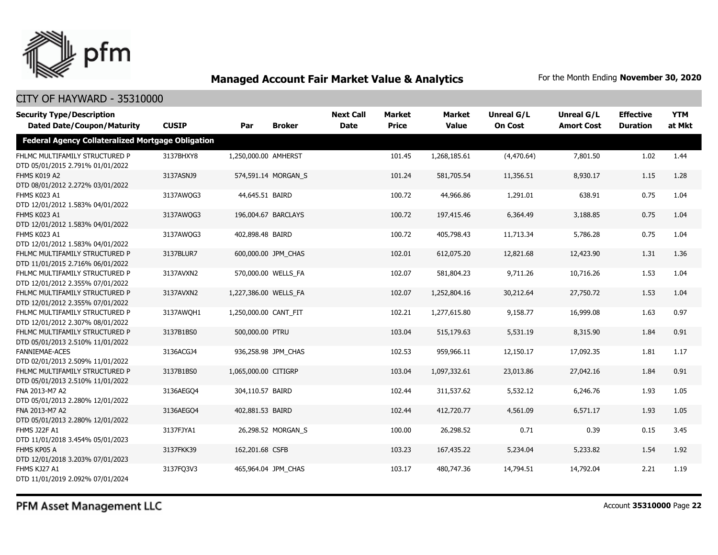

#### CITY OF HAYWARD - 35310000

| <b>Security Type/Description</b><br><b>Dated Date/Coupon/Maturity</b> | <b>CUSIP</b> | Par                   | <b>Broker</b>       | <b>Next Call</b><br><b>Date</b> | <b>Market</b><br><b>Price</b> | <b>Market</b><br><b>Value</b> | <b>Unreal G/L</b><br><b>On Cost</b> | Unreal G/L<br><b>Amort Cost</b> | <b>Effective</b><br><b>Duration</b> | <b>YTM</b><br>at Mkt |
|-----------------------------------------------------------------------|--------------|-----------------------|---------------------|---------------------------------|-------------------------------|-------------------------------|-------------------------------------|---------------------------------|-------------------------------------|----------------------|
| <b>Federal Agency Collateralized Mortgage Obligation</b>              |              |                       |                     |                                 |                               |                               |                                     |                                 |                                     |                      |
| FHLMC MULTIFAMILY STRUCTURED P<br>DTD 05/01/2015 2.791% 01/01/2022    | 3137BHXY8    | 1,250,000.00 AMHERST  |                     |                                 | 101.45                        | 1,268,185.61                  | (4,470.64)                          | 7,801.50                        | 1.02                                | 1.44                 |
| FHMS K019 A2<br>DTD 08/01/2012 2.272% 03/01/2022                      | 3137ASNJ9    |                       | 574,591.14 MORGAN S |                                 | 101.24                        | 581,705.54                    | 11,356.51                           | 8,930.17                        | 1.15                                | 1.28                 |
| FHMS K023 A1<br>DTD 12/01/2012 1.583% 04/01/2022                      | 3137AWOG3    | 44,645.51 BAIRD       |                     |                                 | 100.72                        | 44,966.86                     | 1,291.01                            | 638.91                          | 0.75                                | 1.04                 |
| FHMS K023 A1<br>DTD 12/01/2012 1.583% 04/01/2022                      | 3137AWQG3    |                       | 196,004.67 BARCLAYS |                                 | 100.72                        | 197,415.46                    | 6,364.49                            | 3,188.85                        | 0.75                                | 1.04                 |
| FHMS K023 A1<br>DTD 12/01/2012 1.583% 04/01/2022                      | 3137AWQG3    | 402,898.48 BAIRD      |                     |                                 | 100.72                        | 405,798.43                    | 11,713.34                           | 5,786.28                        | 0.75                                | 1.04                 |
| FHLMC MULTIFAMILY STRUCTURED P<br>DTD 11/01/2015 2.716% 06/01/2022    | 3137BLUR7    |                       | 600,000.00 JPM CHAS |                                 | 102.01                        | 612,075.20                    | 12,821.68                           | 12,423.90                       | 1.31                                | 1.36                 |
| FHLMC MULTIFAMILY STRUCTURED P<br>DTD 12/01/2012 2.355% 07/01/2022    | 3137AVXN2    |                       | 570,000.00 WELLS FA |                                 | 102.07                        | 581,804.23                    | 9,711.26                            | 10,716.26                       | 1.53                                | 1.04                 |
| FHLMC MULTIFAMILY STRUCTURED P<br>DTD 12/01/2012 2.355% 07/01/2022    | 3137AVXN2    | 1,227,386.00 WELLS FA |                     |                                 | 102.07                        | 1,252,804.16                  | 30,212.64                           | 27,750.72                       | 1.53                                | 1.04                 |
| FHLMC MULTIFAMILY STRUCTURED P<br>DTD 12/01/2012 2.307% 08/01/2022    | 3137AWQH1    | 1,250,000.00 CANT FIT |                     |                                 | 102.21                        | 1,277,615.80                  | 9,158.77                            | 16,999.08                       | 1.63                                | 0.97                 |
| FHLMC MULTIFAMILY STRUCTURED P<br>DTD 05/01/2013 2.510% 11/01/2022    | 3137B1BS0    | 500,000.00 PTRU       |                     |                                 | 103.04                        | 515,179.63                    | 5,531.19                            | 8,315.90                        | 1.84                                | 0.91                 |
| <b>FANNIEMAE-ACES</b><br>DTD 02/01/2013 2.509% 11/01/2022             | 3136ACGJ4    |                       | 936,258.98 JPM CHAS |                                 | 102.53                        | 959,966.11                    | 12,150.17                           | 17,092.35                       | 1.81                                | 1.17                 |
| FHLMC MULTIFAMILY STRUCTURED P<br>DTD 05/01/2013 2.510% 11/01/2022    | 3137B1BS0    | 1,065,000.00 CITIGRP  |                     |                                 | 103.04                        | 1,097,332.61                  | 23,013.86                           | 27,042.16                       | 1.84                                | 0.91                 |
| FNA 2013-M7 A2<br>DTD 05/01/2013 2.280% 12/01/2022                    | 3136AEGO4    | 304,110.57 BAIRD      |                     |                                 | 102.44                        | 311,537.62                    | 5,532.12                            | 6,246.76                        | 1.93                                | 1.05                 |
| FNA 2013-M7 A2<br>DTD 05/01/2013 2.280% 12/01/2022                    | 3136AEGQ4    | 402,881.53 BAIRD      |                     |                                 | 102.44                        | 412,720.77                    | 4,561.09                            | 6,571.17                        | 1.93                                | 1.05                 |
| <b>FHMS J22F A1</b><br>DTD 11/01/2018 3.454% 05/01/2023               | 3137FJYA1    |                       | 26,298.52 MORGAN S  |                                 | 100.00                        | 26,298.52                     | 0.71                                | 0.39                            | 0.15                                | 3.45                 |
| FHMS KP05 A<br>DTD 12/01/2018 3.203% 07/01/2023                       | 3137FKK39    | 162,201.68 CSFB       |                     |                                 | 103.23                        | 167,435.22                    | 5,234.04                            | 5,233.82                        | 1.54                                | 1.92                 |
| FHMS KJ27 A1<br>DTD 11/01/2019 2.092% 07/01/2024                      | 3137FQ3V3    |                       | 465,964.04 JPM CHAS |                                 | 103.17                        | 480,747.36                    | 14,794.51                           | 14,792.04                       | 2.21                                | 1.19                 |

## PFM Asset Management LLC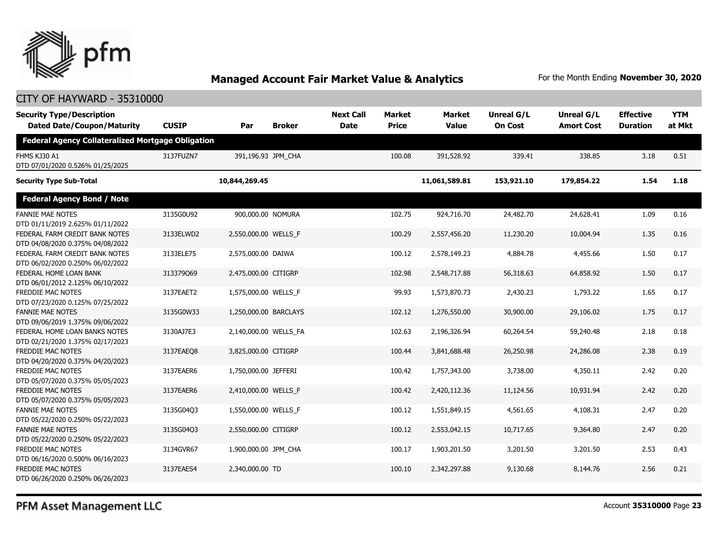

#### CITY OF HAYWARD - 35310000

| <b>Security Type/Description</b><br><b>Dated Date/Coupon/Maturity</b> | <b>CUSIP</b> | Par                   | <b>Broker</b> | <b>Next Call</b><br><b>Date</b> | <b>Market</b><br><b>Price</b> | <b>Market</b><br><b>Value</b> | Unreal G/L<br><b>On Cost</b> | Unreal G/L<br><b>Amort Cost</b> | <b>Effective</b><br><b>Duration</b> | <b>YTM</b><br>at Mkt |
|-----------------------------------------------------------------------|--------------|-----------------------|---------------|---------------------------------|-------------------------------|-------------------------------|------------------------------|---------------------------------|-------------------------------------|----------------------|
| <b>Federal Agency Collateralized Mortgage Obligation</b>              |              |                       |               |                                 |                               |                               |                              |                                 |                                     |                      |
| FHMS KJ30 A1<br>DTD 07/01/2020 0.526% 01/25/2025                      | 3137FUZN7    | 391,196.93 JPM_CHA    |               |                                 | 100.08                        | 391,528.92                    | 339.41                       | 338.85                          | 3.18                                | 0.51                 |
| <b>Security Type Sub-Total</b>                                        |              | 10,844,269.45         |               |                                 |                               | 11,061,589.81                 | 153,921.10                   | 179,854.22                      | 1.54                                | 1.18                 |
| <b>Federal Agency Bond / Note</b>                                     |              |                       |               |                                 |                               |                               |                              |                                 |                                     |                      |
| <b>FANNIE MAE NOTES</b><br>DTD 01/11/2019 2.625% 01/11/2022           | 3135G0U92    | 900,000.00 NOMURA     |               |                                 | 102.75                        | 924,716.70                    | 24,482.70                    | 24,628.41                       | 1.09                                | 0.16                 |
| FEDERAL FARM CREDIT BANK NOTES<br>DTD 04/08/2020 0.375% 04/08/2022    | 3133ELWD2    | 2,550,000.00 WELLS_F  |               |                                 | 100.29                        | 2,557,456.20                  | 11,230.20                    | 10,004.94                       | 1.35                                | 0.16                 |
| FEDERAL FARM CREDIT BANK NOTES<br>DTD 06/02/2020 0.250% 06/02/2022    | 3133ELE75    | 2,575,000.00 DAIWA    |               |                                 | 100.12                        | 2,578,149.23                  | 4,884.78                     | 4,455.66                        | 1.50                                | 0.17                 |
| FEDERAL HOME LOAN BANK<br>DTD 06/01/2012 2.125% 06/10/2022            | 313379069    | 2,475,000.00 CITIGRP  |               |                                 | 102.98                        | 2,548,717.88                  | 56,318.63                    | 64,858.92                       | 1.50                                | 0.17                 |
| <b>FREDDIE MAC NOTES</b><br>DTD 07/23/2020 0.125% 07/25/2022          | 3137EAET2    | 1,575,000.00 WELLS_F  |               |                                 | 99.93                         | 1,573,870.73                  | 2,430.23                     | 1,793.22                        | 1.65                                | 0.17                 |
| <b>FANNIE MAE NOTES</b><br>DTD 09/06/2019 1.375% 09/06/2022           | 3135G0W33    | 1,250,000.00 BARCLAYS |               |                                 | 102.12                        | 1,276,550.00                  | 30,900.00                    | 29,106.02                       | 1.75                                | 0.17                 |
| FEDERAL HOME LOAN BANKS NOTES<br>DTD 02/21/2020 1.375% 02/17/2023     | 3130AJ7E3    | 2,140,000.00 WELLS_FA |               |                                 | 102.63                        | 2,196,326.94                  | 60,264.54                    | 59,240.48                       | 2.18                                | 0.18                 |
| FREDDIE MAC NOTES<br>DTD 04/20/2020 0.375% 04/20/2023                 | 3137EAEO8    | 3,825,000.00 CITIGRP  |               |                                 | 100.44                        | 3,841,688.48                  | 26,250.98                    | 24,286.08                       | 2.38                                | 0.19                 |
| <b>FREDDIE MAC NOTES</b><br>DTD 05/07/2020 0.375% 05/05/2023          | 3137EAER6    | 1,750,000.00 JEFFERI  |               |                                 | 100.42                        | 1,757,343.00                  | 3,738.00                     | 4,350.11                        | 2.42                                | 0.20                 |
| <b>FREDDIE MAC NOTES</b><br>DTD 05/07/2020 0.375% 05/05/2023          | 3137EAER6    | 2,410,000.00 WELLS F  |               |                                 | 100.42                        | 2,420,112.36                  | 11,124.56                    | 10,931.94                       | 2.42                                | 0.20                 |
| <b>FANNIE MAE NOTES</b><br>DTD 05/22/2020 0.250% 05/22/2023           | 3135G04Q3    | 1,550,000.00 WELLS_F  |               |                                 | 100.12                        | 1,551,849.15                  | 4,561.65                     | 4,108.31                        | 2.47                                | 0.20                 |
| <b>FANNIE MAE NOTES</b><br>DTD 05/22/2020 0.250% 05/22/2023           | 3135G04Q3    | 2,550,000.00 CITIGRP  |               |                                 | 100.12                        | 2,553,042.15                  | 10,717.65                    | 9,364.80                        | 2.47                                | 0.20                 |
| FREDDIE MAC NOTES<br>DTD 06/16/2020 0.500% 06/16/2023                 | 3134GVR67    | 1,900,000.00 JPM_CHA  |               |                                 | 100.17                        | 1,903,201.50                  | 3,201.50                     | 3,201.50                        | 2.53                                | 0.43                 |
| <b>FREDDIE MAC NOTES</b><br>DTD 06/26/2020 0.250% 06/26/2023          | 3137EAES4    | 2,340,000.00 TD       |               |                                 | 100.10                        | 2,342,297.88                  | 9,130.68                     | 8,144,76                        | 2.56                                | 0.21                 |

PFM Asset Management LLC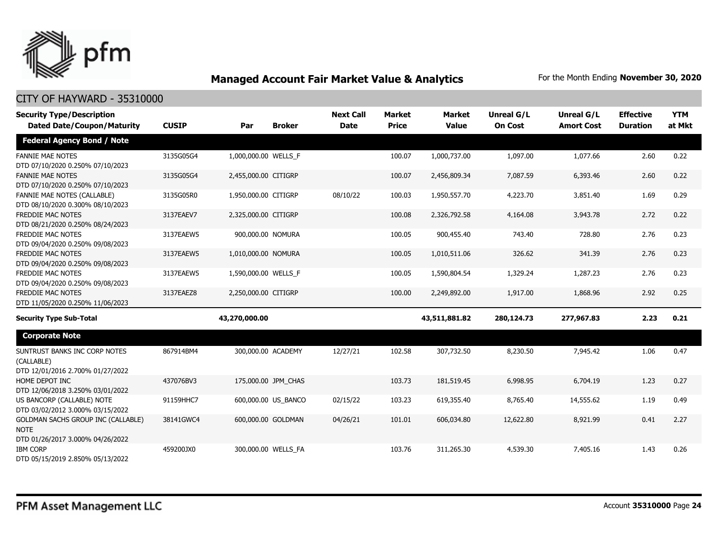

| <b>Security Type/Description</b>                                                      |              |                      |                     | <b>Next Call</b> | <b>Market</b> | <b>Market</b> | <b>Unreal G/L</b> | Unreal G/L        | <b>Effective</b> | <b>YTM</b> |
|---------------------------------------------------------------------------------------|--------------|----------------------|---------------------|------------------|---------------|---------------|-------------------|-------------------|------------------|------------|
| <b>Dated Date/Coupon/Maturity</b>                                                     | <b>CUSIP</b> | Par                  | <b>Broker</b>       | <b>Date</b>      | <b>Price</b>  | <b>Value</b>  | <b>On Cost</b>    | <b>Amort Cost</b> | <b>Duration</b>  | at Mkt     |
| <b>Federal Agency Bond / Note</b>                                                     |              |                      |                     |                  |               |               |                   |                   |                  |            |
| <b>FANNIE MAE NOTES</b><br>DTD 07/10/2020 0.250% 07/10/2023                           | 3135G05G4    | 1,000,000.00 WELLS_F |                     |                  | 100.07        | 1,000,737.00  | 1,097.00          | 1,077.66          | 2.60             | 0.22       |
| <b>FANNIE MAE NOTES</b><br>DTD 07/10/2020 0.250% 07/10/2023                           | 3135G05G4    | 2,455,000.00 CITIGRP |                     |                  | 100.07        | 2,456,809.34  | 7,087.59          | 6,393.46          | 2.60             | 0.22       |
| FANNIE MAE NOTES (CALLABLE)<br>DTD 08/10/2020 0.300% 08/10/2023                       | 3135G05R0    | 1,950,000.00 CITIGRP |                     | 08/10/22         | 100.03        | 1,950,557.70  | 4,223.70          | 3,851.40          | 1.69             | 0.29       |
| FREDDIE MAC NOTES<br>DTD 08/21/2020 0.250% 08/24/2023                                 | 3137EAEV7    | 2,325,000.00 CITIGRP |                     |                  | 100.08        | 2,326,792.58  | 4,164.08          | 3,943.78          | 2.72             | 0.22       |
| <b>FREDDIE MAC NOTES</b><br>DTD 09/04/2020 0.250% 09/08/2023                          | 3137EAEW5    | 900,000.00 NOMURA    |                     |                  | 100.05        | 900,455.40    | 743.40            | 728.80            | 2.76             | 0.23       |
| <b>FREDDIE MAC NOTES</b><br>DTD 09/04/2020 0.250% 09/08/2023                          | 3137EAEW5    | 1,010,000.00 NOMURA  |                     |                  | 100.05        | 1,010,511.06  | 326.62            | 341.39            | 2.76             | 0.23       |
| FREDDIE MAC NOTES<br>DTD 09/04/2020 0.250% 09/08/2023                                 | 3137EAEW5    | 1,590,000.00 WELLS_F |                     |                  | 100.05        | 1,590,804.54  | 1,329.24          | 1,287.23          | 2.76             | 0.23       |
| FREDDIE MAC NOTES<br>DTD 11/05/2020 0.250% 11/06/2023                                 | 3137EAEZ8    | 2,250,000.00 CITIGRP |                     |                  | 100.00        | 2,249,892.00  | 1,917.00          | 1,868.96          | 2.92             | 0.25       |
| <b>Security Type Sub-Total</b>                                                        |              | 43,270,000.00        |                     |                  |               | 43,511,881.82 | 280,124.73        | 277,967.83        | 2.23             | 0.21       |
| <b>Corporate Note</b>                                                                 |              |                      |                     |                  |               |               |                   |                   |                  |            |
| SUNTRUST BANKS INC CORP NOTES<br>(CALLABLE)<br>DTD 12/01/2016 2.700% 01/27/2022       | 867914BM4    | 300,000.00 ACADEMY   |                     | 12/27/21         | 102.58        | 307,732.50    | 8,230.50          | 7,945.42          | 1.06             | 0.47       |
| HOME DEPOT INC<br>DTD 12/06/2018 3.250% 03/01/2022                                    | 437076BV3    |                      | 175,000.00 JPM CHAS |                  | 103.73        | 181,519.45    | 6,998.95          | 6,704.19          | 1.23             | 0.27       |
| US BANCORP (CALLABLE) NOTE<br>DTD 03/02/2012 3.000% 03/15/2022                        | 91159HHC7    |                      | 600,000.00 US BANCO | 02/15/22         | 103.23        | 619,355.40    | 8,765.40          | 14,555.62         | 1.19             | 0.49       |
| GOLDMAN SACHS GROUP INC (CALLABLE)<br><b>NOTE</b><br>DTD 01/26/2017 3.000% 04/26/2022 | 38141GWC4    | 600,000.00 GOLDMAN   |                     | 04/26/21         | 101.01        | 606,034.80    | 12,622.80         | 8,921.99          | 0.41             | 2.27       |
| <b>IBM CORP</b><br>DTD 05/15/2019 2.850% 05/13/2022                                   | 459200JX0    |                      | 300,000.00 WELLS FA |                  | 103.76        | 311,265.30    | 4,539.30          | 7,405.16          | 1.43             | 0.26       |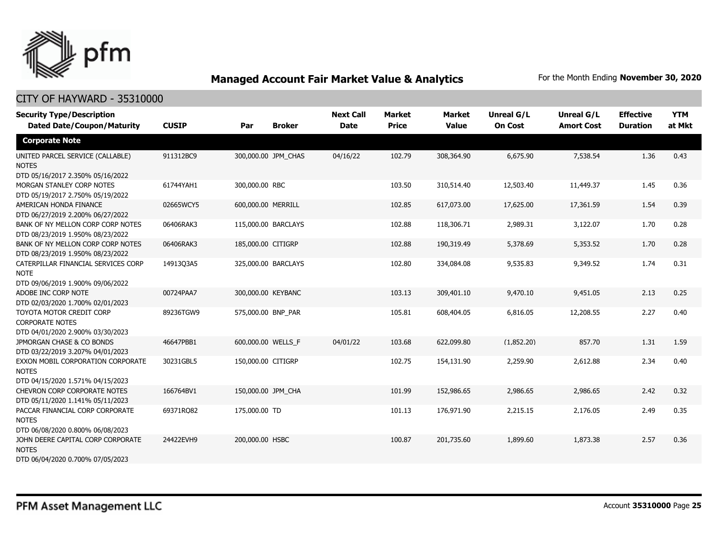

| <b>Security Type/Description</b><br><b>Dated Date/Coupon/Maturity</b>                  | <b>CUSIP</b> | Par                 | <b>Broker</b> | <b>Next Call</b><br><b>Date</b> | <b>Market</b><br><b>Price</b> | <b>Market</b><br><b>Value</b> | <b>Unreal G/L</b><br><b>On Cost</b> | Unreal G/L<br><b>Amort Cost</b> | <b>Effective</b><br><b>Duration</b> | <b>YTM</b><br>at Mkt |
|----------------------------------------------------------------------------------------|--------------|---------------------|---------------|---------------------------------|-------------------------------|-------------------------------|-------------------------------------|---------------------------------|-------------------------------------|----------------------|
| <b>Corporate Note</b>                                                                  |              |                     |               |                                 |                               |                               |                                     |                                 |                                     |                      |
| UNITED PARCEL SERVICE (CALLABLE)<br><b>NOTES</b><br>DTD 05/16/2017 2.350% 05/16/2022   | 911312BC9    | 300,000.00 JPM_CHAS |               | 04/16/22                        | 102.79                        | 308,364.90                    | 6,675.90                            | 7,538.54                        | 1.36                                | 0.43                 |
| MORGAN STANLEY CORP NOTES<br>DTD 05/19/2017 2.750% 05/19/2022                          | 61744YAH1    | 300,000.00 RBC      |               |                                 | 103.50                        | 310,514.40                    | 12,503.40                           | 11,449.37                       | 1.45                                | 0.36                 |
| AMERICAN HONDA FINANCE<br>DTD 06/27/2019 2.200% 06/27/2022                             | 02665WCY5    | 600,000.00 MERRILL  |               |                                 | 102.85                        | 617,073.00                    | 17,625.00                           | 17,361.59                       | 1.54                                | 0.39                 |
| BANK OF NY MELLON CORP CORP NOTES<br>DTD 08/23/2019 1.950% 08/23/2022                  | 06406RAK3    | 115,000.00 BARCLAYS |               |                                 | 102.88                        | 118,306.71                    | 2,989.31                            | 3,122.07                        | 1.70                                | 0.28                 |
| BANK OF NY MELLON CORP CORP NOTES<br>DTD 08/23/2019 1.950% 08/23/2022                  | 06406RAK3    | 185,000.00 CITIGRP  |               |                                 | 102.88                        | 190,319.49                    | 5,378.69                            | 5,353.52                        | 1.70                                | 0.28                 |
| CATERPILLAR FINANCIAL SERVICES CORP<br><b>NOTE</b><br>DTD 09/06/2019 1.900% 09/06/2022 | 14913Q3A5    | 325,000.00 BARCLAYS |               |                                 | 102.80                        | 334,084.08                    | 9,535.83                            | 9,349.52                        | 1.74                                | 0.31                 |
| ADOBE INC CORP NOTE<br>DTD 02/03/2020 1.700% 02/01/2023                                | 00724PAA7    | 300,000.00 KEYBANC  |               |                                 | 103.13                        | 309,401.10                    | 9,470.10                            | 9,451.05                        | 2.13                                | 0.25                 |
| TOYOTA MOTOR CREDIT CORP<br><b>CORPORATE NOTES</b><br>DTD 04/01/2020 2.900% 03/30/2023 | 89236TGW9    | 575,000.00 BNP PAR  |               |                                 | 105.81                        | 608,404.05                    | 6,816.05                            | 12,208.55                       | 2.27                                | 0.40                 |
| JPMORGAN CHASE & CO BONDS<br>DTD 03/22/2019 3.207% 04/01/2023                          | 46647PBB1    | 600,000.00 WELLS F  |               | 04/01/22                        | 103.68                        | 622,099.80                    | (1,852.20)                          | 857.70                          | 1.31                                | 1.59                 |
| EXXON MOBIL CORPORATION CORPORATE<br><b>NOTES</b><br>DTD 04/15/2020 1.571% 04/15/2023  | 30231GBL5    | 150,000.00 CITIGRP  |               |                                 | 102.75                        | 154,131.90                    | 2,259.90                            | 2,612.88                        | 2.34                                | 0.40                 |
| CHEVRON CORP CORPORATE NOTES<br>DTD 05/11/2020 1.141% 05/11/2023                       | 166764BV1    | 150,000.00 JPM_CHA  |               |                                 | 101.99                        | 152,986.65                    | 2,986.65                            | 2,986.65                        | 2.42                                | 0.32                 |
| PACCAR FINANCIAL CORP CORPORATE<br><b>NOTES</b><br>DTD 06/08/2020 0.800% 06/08/2023    | 69371RQ82    | 175,000.00 TD       |               |                                 | 101.13                        | 176,971.90                    | 2,215.15                            | 2,176.05                        | 2.49                                | 0.35                 |
| JOHN DEERE CAPITAL CORP CORPORATE<br><b>NOTES</b><br>DTD 06/04/2020 0.700% 07/05/2023  | 24422EVH9    | 200,000.00 HSBC     |               |                                 | 100.87                        | 201,735.60                    | 1,899.60                            | 1,873.38                        | 2.57                                | 0.36                 |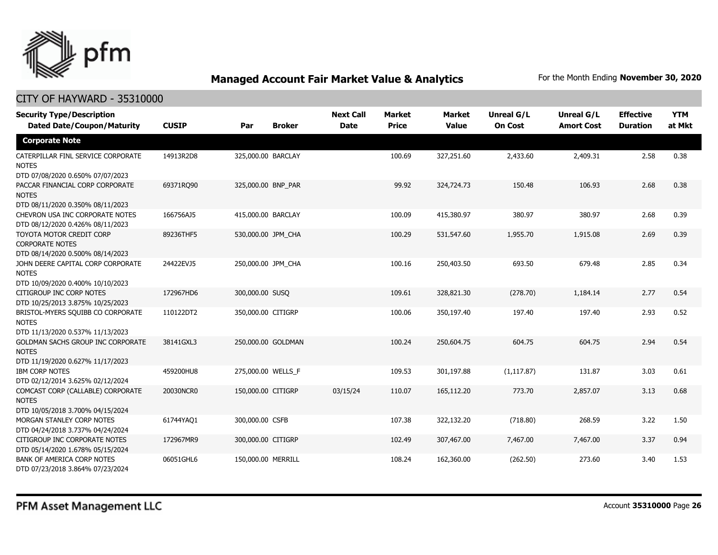

| <b>Security Type/Description</b>                                                       |              |                    |               | <b>Next Call</b> | <b>Market</b> | <b>Market</b> | <b>Unreal G/L</b> | Unreal G/L        | <b>Effective</b> | <b>YTM</b> |
|----------------------------------------------------------------------------------------|--------------|--------------------|---------------|------------------|---------------|---------------|-------------------|-------------------|------------------|------------|
| <b>Dated Date/Coupon/Maturity</b>                                                      | <b>CUSIP</b> | Par                | <b>Broker</b> | <b>Date</b>      | <b>Price</b>  | <b>Value</b>  | <b>On Cost</b>    | <b>Amort Cost</b> | <b>Duration</b>  | at Mkt     |
| <b>Corporate Note</b>                                                                  |              |                    |               |                  |               |               |                   |                   |                  |            |
| CATERPILLAR FINL SERVICE CORPORATE<br><b>NOTES</b><br>DTD 07/08/2020 0.650% 07/07/2023 | 14913R2D8    | 325,000.00 BARCLAY |               |                  | 100.69        | 327,251.60    | 2,433.60          | 2,409.31          | 2.58             | 0.38       |
| PACCAR FINANCIAL CORP CORPORATE<br><b>NOTES</b><br>DTD 08/11/2020 0.350% 08/11/2023    | 69371RO90    | 325,000.00 BNP_PAR |               |                  | 99.92         | 324,724.73    | 150.48            | 106.93            | 2.68             | 0.38       |
| CHEVRON USA INC CORPORATE NOTES<br>DTD 08/12/2020 0.426% 08/11/2023                    | 166756AJ5    | 415,000.00 BARCLAY |               |                  | 100.09        | 415,380.97    | 380.97            | 380.97            | 2.68             | 0.39       |
| TOYOTA MOTOR CREDIT CORP<br><b>CORPORATE NOTES</b><br>DTD 08/14/2020 0.500% 08/14/2023 | 89236THF5    | 530,000.00 JPM CHA |               |                  | 100.29        | 531,547.60    | 1,955.70          | 1,915.08          | 2.69             | 0.39       |
| JOHN DEERE CAPITAL CORP CORPORATE<br><b>NOTES</b><br>DTD 10/09/2020 0.400% 10/10/2023  | 24422EVJ5    | 250,000.00 JPM CHA |               |                  | 100.16        | 250,403.50    | 693.50            | 679.48            | 2.85             | 0.34       |
| CITIGROUP INC CORP NOTES<br>DTD 10/25/2013 3.875% 10/25/2023                           | 172967HD6    | 300,000.00 SUSQ    |               |                  | 109.61        | 328,821.30    | (278.70)          | 1,184.14          | 2.77             | 0.54       |
| BRISTOL-MYERS SQUIBB CO CORPORATE<br><b>NOTES</b><br>DTD 11/13/2020 0.537% 11/13/2023  | 110122DT2    | 350,000.00 CITIGRP |               |                  | 100.06        | 350,197.40    | 197.40            | 197.40            | 2.93             | 0.52       |
| GOLDMAN SACHS GROUP INC CORPORATE<br><b>NOTES</b><br>DTD 11/19/2020 0.627% 11/17/2023  | 38141GXL3    | 250,000.00 GOLDMAN |               |                  | 100.24        | 250,604.75    | 604.75            | 604.75            | 2.94             | 0.54       |
| <b>IBM CORP NOTES</b><br>DTD 02/12/2014 3.625% 02/12/2024                              | 459200HU8    | 275,000.00 WELLS_F |               |                  | 109.53        | 301,197.88    | (1, 117.87)       | 131.87            | 3.03             | 0.61       |
| COMCAST CORP (CALLABLE) CORPORATE<br><b>NOTES</b><br>DTD 10/05/2018 3.700% 04/15/2024  | 20030NCR0    | 150,000.00 CITIGRP |               | 03/15/24         | 110.07        | 165,112.20    | 773.70            | 2,857.07          | 3.13             | 0.68       |
| MORGAN STANLEY CORP NOTES<br>DTD 04/24/2018 3.737% 04/24/2024                          | 61744YAQ1    | 300,000.00 CSFB    |               |                  | 107.38        | 322,132.20    | (718.80)          | 268.59            | 3.22             | 1.50       |
| CITIGROUP INC CORPORATE NOTES<br>DTD 05/14/2020 1.678% 05/15/2024                      | 172967MR9    | 300,000.00 CITIGRP |               |                  | 102.49        | 307,467.00    | 7,467.00          | 7,467.00          | 3.37             | 0.94       |
| BANK OF AMERICA CORP NOTES<br>DTD 07/23/2018 3.864% 07/23/2024                         | 06051GHL6    | 150,000.00 MERRILL |               |                  | 108.24        | 162,360.00    | (262.50)          | 273.60            | 3.40             | 1.53       |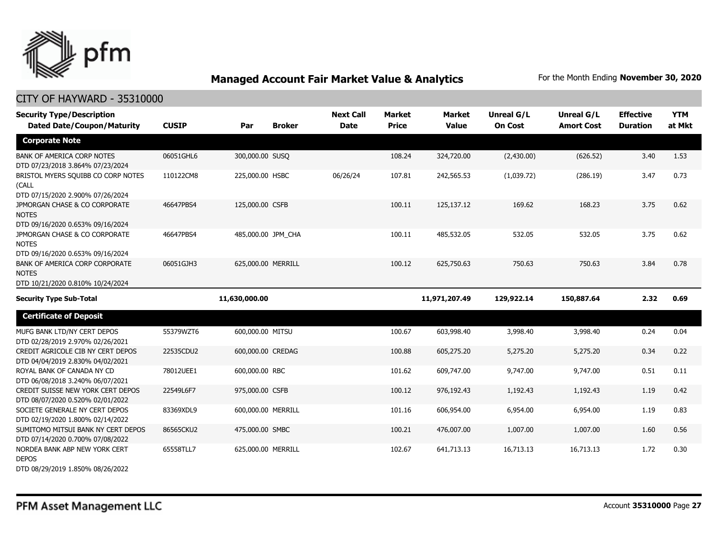

| <b>Security Type/Description</b><br><b>Dated Date/Coupon/Maturity</b>              | <b>CUSIP</b> | Par                | <b>Broker</b> | <b>Next Call</b><br><b>Date</b> | <b>Market</b><br><b>Price</b> | <b>Market</b><br><b>Value</b> | <b>Unreal G/L</b><br><b>On Cost</b> | Unreal G/L<br><b>Amort Cost</b> | <b>Effective</b><br><b>Duration</b> | <b>YTM</b><br>at Mkt |
|------------------------------------------------------------------------------------|--------------|--------------------|---------------|---------------------------------|-------------------------------|-------------------------------|-------------------------------------|---------------------------------|-------------------------------------|----------------------|
| <b>Corporate Note</b>                                                              |              |                    |               |                                 |                               |                               |                                     |                                 |                                     |                      |
| <b>BANK OF AMERICA CORP NOTES</b><br>DTD 07/23/2018 3.864% 07/23/2024              | 06051GHL6    | 300,000.00 SUSQ    |               |                                 | 108.24                        | 324,720.00                    | (2,430.00)                          | (626.52)                        | 3.40                                | 1.53                 |
| BRISTOL MYERS SQUIBB CO CORP NOTES<br>(CALL<br>DTD 07/15/2020 2.900% 07/26/2024    | 110122CM8    | 225,000.00 HSBC    |               | 06/26/24                        | 107.81                        | 242,565.53                    | (1,039.72)                          | (286.19)                        | 3.47                                | 0.73                 |
| JPMORGAN CHASE & CO CORPORATE<br><b>NOTES</b><br>DTD 09/16/2020 0.653% 09/16/2024  | 46647PBS4    | 125,000.00 CSFB    |               |                                 | 100.11                        | 125,137.12                    | 169.62                              | 168.23                          | 3.75                                | 0.62                 |
| JPMORGAN CHASE & CO CORPORATE<br><b>NOTES</b><br>DTD 09/16/2020 0.653% 09/16/2024  | 46647PBS4    | 485,000.00 JPM_CHA |               |                                 | 100.11                        | 485,532.05                    | 532.05                              | 532.05                          | 3.75                                | 0.62                 |
| BANK OF AMERICA CORP CORPORATE<br><b>NOTES</b><br>DTD 10/21/2020 0.810% 10/24/2024 | 06051GJH3    | 625,000.00 MERRILL |               |                                 | 100.12                        | 625,750.63                    | 750.63                              | 750.63                          | 3.84                                | 0.78                 |
| <b>Security Type Sub-Total</b>                                                     |              | 11,630,000.00      |               |                                 |                               | 11,971,207.49                 | 129,922.14                          | 150,887.64                      | 2.32                                | 0.69                 |
| <b>Certificate of Deposit</b>                                                      |              |                    |               |                                 |                               |                               |                                     |                                 |                                     |                      |
| MUFG BANK LTD/NY CERT DEPOS<br>DTD 02/28/2019 2.970% 02/26/2021                    | 55379WZT6    | 600,000.00 MITSU   |               |                                 | 100.67                        | 603,998.40                    | 3,998.40                            | 3,998.40                        | 0.24                                | 0.04                 |
| CREDIT AGRICOLE CIB NY CERT DEPOS<br>DTD 04/04/2019 2.830% 04/02/2021              | 22535CDU2    | 600,000.00 CREDAG  |               |                                 | 100.88                        | 605,275.20                    | 5,275.20                            | 5,275.20                        | 0.34                                | 0.22                 |
| ROYAL BANK OF CANADA NY CD<br>DTD 06/08/2018 3.240% 06/07/2021                     | 78012UEE1    | 600,000.00 RBC     |               |                                 | 101.62                        | 609,747.00                    | 9,747.00                            | 9,747.00                        | 0.51                                | 0.11                 |
| CREDIT SUISSE NEW YORK CERT DEPOS<br>DTD 08/07/2020 0.520% 02/01/2022              | 22549L6F7    | 975,000.00 CSFB    |               |                                 | 100.12                        | 976,192.43                    | 1,192.43                            | 1,192.43                        | 1.19                                | 0.42                 |
| SOCIETE GENERALE NY CERT DEPOS<br>DTD 02/19/2020 1.800% 02/14/2022                 | 83369XDL9    | 600,000.00 MERRILL |               |                                 | 101.16                        | 606,954.00                    | 6,954.00                            | 6,954.00                        | 1.19                                | 0.83                 |
| SUMITOMO MITSUI BANK NY CERT DEPOS<br>DTD 07/14/2020 0.700% 07/08/2022             | 86565CKU2    | 475,000.00 SMBC    |               |                                 | 100.21                        | 476,007.00                    | 1,007.00                            | 1,007.00                        | 1.60                                | 0.56                 |
| NORDEA BANK ABP NEW YORK CERT<br><b>DEPOS</b><br>DTD 08/29/2019 1.850% 08/26/2022  | 65558TLL7    | 625,000.00 MERRILL |               |                                 | 102.67                        | 641,713.13                    | 16,713.13                           | 16,713.13                       | 1.72                                | 0.30                 |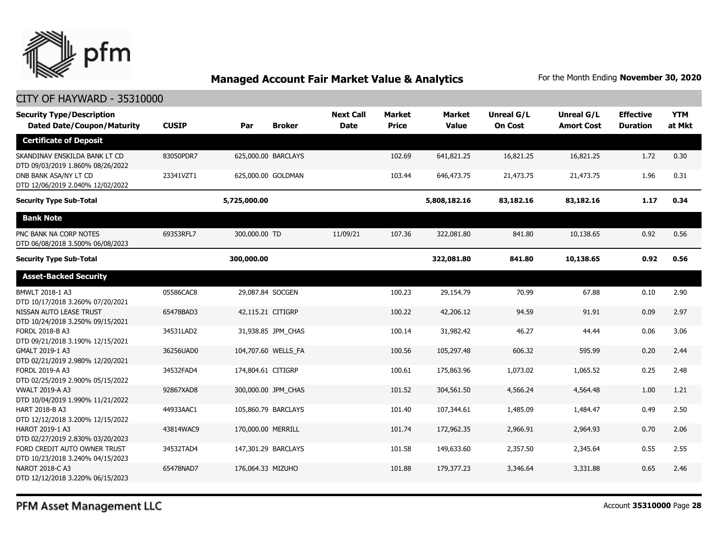

| <b>Security Type/Description</b><br><b>Dated Date/Coupon/Maturity</b> | <b>CUSIP</b> | Par                | <b>Broker</b>       | <b>Next Call</b><br><b>Date</b> | <b>Market</b><br><b>Price</b> | <b>Market</b><br><b>Value</b> | Unreal G/L<br><b>On Cost</b> | Unreal G/L<br><b>Amort Cost</b> | <b>Effective</b><br><b>Duration</b> | <b>YTM</b><br>at Mkt |
|-----------------------------------------------------------------------|--------------|--------------------|---------------------|---------------------------------|-------------------------------|-------------------------------|------------------------------|---------------------------------|-------------------------------------|----------------------|
| <b>Certificate of Deposit</b>                                         |              |                    |                     |                                 |                               |                               |                              |                                 |                                     |                      |
| SKANDINAV ENSKILDA BANK LT CD<br>DTD 09/03/2019 1.860% 08/26/2022     | 83050PDR7    |                    | 625,000.00 BARCLAYS |                                 | 102.69                        | 641,821.25                    | 16,821.25                    | 16,821.25                       | 1.72                                | 0.30                 |
| DNB BANK ASA/NY LT CD<br>DTD 12/06/2019 2.040% 12/02/2022             | 23341VZT1    |                    | 625,000.00 GOLDMAN  |                                 | 103.44                        | 646,473.75                    | 21,473.75                    | 21,473.75                       | 1.96                                | 0.31                 |
| <b>Security Type Sub-Total</b>                                        |              | 5,725,000.00       |                     |                                 |                               | 5,808,182.16                  | 83,182.16                    | 83,182.16                       | 1.17                                | 0.34                 |
| <b>Bank Note</b>                                                      |              |                    |                     |                                 |                               |                               |                              |                                 |                                     |                      |
| PNC BANK NA CORP NOTES<br>DTD 06/08/2018 3.500% 06/08/2023            | 69353RFL7    | 300,000.00 TD      |                     | 11/09/21                        | 107.36                        | 322,081.80                    | 841.80                       | 10,138.65                       | 0.92                                | 0.56                 |
| <b>Security Type Sub-Total</b>                                        |              | 300,000.00         |                     |                                 |                               | 322,081.80                    | 841.80                       | 10,138.65                       | 0.92                                | 0.56                 |
| <b>Asset-Backed Security</b>                                          |              |                    |                     |                                 |                               |                               |                              |                                 |                                     |                      |
| BMWLT 2018-1 A3<br>DTD 10/17/2018 3.260% 07/20/2021                   | 05586CAC8    | 29,087.84 SOCGEN   |                     |                                 | 100.23                        | 29,154.79                     | 70.99                        | 67.88                           | 0.10                                | 2.90                 |
| NISSAN AUTO LEASE TRUST<br>DTD 10/24/2018 3.250% 09/15/2021           | 65478BAD3    | 42,115.21 CITIGRP  |                     |                                 | 100.22                        | 42,206.12                     | 94.59                        | 91.91                           | 0.09                                | 2.97                 |
| FORDL 2018-B A3<br>DTD 09/21/2018 3.190% 12/15/2021                   | 34531LAD2    |                    | 31,938.85 JPM_CHAS  |                                 | 100.14                        | 31,982.42                     | 46.27                        | 44.44                           | 0.06                                | 3.06                 |
| GMALT 2019-1 A3<br>DTD 02/21/2019 2.980% 12/20/2021                   | 36256UAD0    |                    | 104,707.60 WELLS_FA |                                 | 100.56                        | 105,297.48                    | 606.32                       | 595.99                          | 0.20                                | 2.44                 |
| FORDL 2019-A A3<br>DTD 02/25/2019 2.900% 05/15/2022                   | 34532FAD4    | 174,804.61 CITIGRP |                     |                                 | 100.61                        | 175,863.96                    | 1,073.02                     | 1,065.52                        | 0.25                                | 2.48                 |
| <b>VWALT 2019-A A3</b><br>DTD 10/04/2019 1.990% 11/21/2022            | 92867XAD8    |                    | 300,000.00 JPM_CHAS |                                 | 101.52                        | 304,561.50                    | 4,566.24                     | 4,564.48                        | 1.00                                | 1.21                 |
| HART 2018-B A3<br>DTD 12/12/2018 3.200% 12/15/2022                    | 44933AAC1    |                    | 105,860.79 BARCLAYS |                                 | 101.40                        | 107,344.61                    | 1,485.09                     | 1,484.47                        | 0.49                                | 2.50                 |
| HAROT 2019-1 A3<br>DTD 02/27/2019 2.830% 03/20/2023                   | 43814WAC9    | 170,000.00 MERRILL |                     |                                 | 101.74                        | 172,962.35                    | 2,966.91                     | 2,964.93                        | 0.70                                | 2.06                 |
| FORD CREDIT AUTO OWNER TRUST<br>DTD 10/23/2018 3.240% 04/15/2023      | 34532TAD4    |                    | 147,301.29 BARCLAYS |                                 | 101.58                        | 149,633.60                    | 2,357.50                     | 2,345.64                        | 0.55                                | 2.55                 |
| NAROT 2018-C A3<br>DTD 12/12/2018 3.220% 06/15/2023                   | 65478NAD7    | 176,064.33 MIZUHO  |                     |                                 | 101.88                        | 179,377.23                    | 3,346.64                     | 3,331.88                        | 0.65                                | 2.46                 |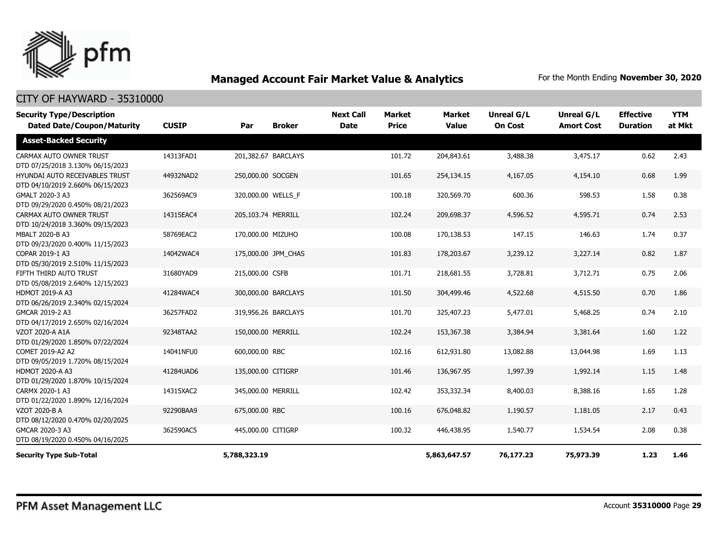

| <b>Security Type/Description</b><br><b>Dated Date/Coupon/Maturity</b> | <b>CUSIP</b> | Par                 | <b>Broker</b> | <b>Next Call</b><br><b>Date</b> | Market<br><b>Price</b> | <b>Market</b><br><b>Value</b> | Unreal G/L<br><b>On Cost</b> | <b>Unreal G/L</b><br><b>Amort Cost</b> | <b>Effective</b><br><b>Duration</b> | <b>YTM</b><br>at Mkt |
|-----------------------------------------------------------------------|--------------|---------------------|---------------|---------------------------------|------------------------|-------------------------------|------------------------------|----------------------------------------|-------------------------------------|----------------------|
| <b>Asset-Backed Security</b>                                          |              |                     |               |                                 |                        |                               |                              |                                        |                                     |                      |
| CARMAX AUTO OWNER TRUST<br>DTD 07/25/2018 3.130% 06/15/2023           | 14313FAD1    | 201,382.67 BARCLAYS |               |                                 | 101.72                 | 204,843.61                    | 3,488.38                     | 3,475.17                               | 0.62                                | 2.43                 |
| HYUNDAI AUTO RECEIVABLES TRUST<br>DTD 04/10/2019 2.660% 06/15/2023    | 44932NAD2    | 250,000.00 SOCGEN   |               |                                 | 101.65                 | 254,134.15                    | 4,167.05                     | 4,154.10                               | 0.68                                | 1.99                 |
| GMALT 2020-3 A3<br>DTD 09/29/2020 0.450% 08/21/2023                   | 362569AC9    | 320,000.00 WELLS_F  |               |                                 | 100.18                 | 320,569.70                    | 600.36                       | 598.53                                 | 1.58                                | 0.38                 |
| CARMAX AUTO OWNER TRUST<br>DTD 10/24/2018 3.360% 09/15/2023           | 14315EAC4    | 205,103.74 MERRILL  |               |                                 | 102.24                 | 209,698.37                    | 4,596.52                     | 4,595.71                               | 0.74                                | 2.53                 |
| <b>MBALT 2020-B A3</b><br>DTD 09/23/2020 0.400% 11/15/2023            | 58769EAC2    | 170,000.00 MIZUHO   |               |                                 | 100.08                 | 170,138.53                    | 147.15                       | 146.63                                 | 1.74                                | 0.37                 |
| COPAR 2019-1 A3<br>DTD 05/30/2019 2.510% 11/15/2023                   | 14042WAC4    | 175,000.00 JPM CHAS |               |                                 | 101.83                 | 178,203.67                    | 3,239.12                     | 3,227.14                               | 0.82                                | 1.87                 |
| FIFTH THIRD AUTO TRUST<br>DTD 05/08/2019 2.640% 12/15/2023            | 31680YAD9    | 215,000.00 CSFB     |               |                                 | 101.71                 | 218,681.55                    | 3,728.81                     | 3,712.71                               | 0.75                                | 2.06                 |
| <b>HDMOT 2019-A A3</b><br>DTD 06/26/2019 2.340% 02/15/2024            | 41284WAC4    | 300,000.00 BARCLAYS |               |                                 | 101.50                 | 304,499.46                    | 4,522.68                     | 4,515.50                               | 0.70                                | 1.86                 |
| GMCAR 2019-2 A3<br>DTD 04/17/2019 2.650% 02/16/2024                   | 36257FAD2    | 319,956.26 BARCLAYS |               |                                 | 101.70                 | 325,407.23                    | 5,477.01                     | 5,468.25                               | 0.74                                | 2.10                 |
| VZOT 2020-A A1A<br>DTD 01/29/2020 1.850% 07/22/2024                   | 92348TAA2    | 150,000.00 MERRILL  |               |                                 | 102.24                 | 153,367.38                    | 3,384.94                     | 3,381.64                               | 1.60                                | 1.22                 |
| COMET 2019-A2 A2<br>DTD 09/05/2019 1.720% 08/15/2024                  | 14041NFU0    | 600,000.00 RBC      |               |                                 | 102.16                 | 612,931.80                    | 13,082.88                    | 13,044.98                              | 1.69                                | 1.13                 |
| <b>HDMOT 2020-A A3</b><br>DTD 01/29/2020 1.870% 10/15/2024            | 41284UAD6    | 135,000.00 CITIGRP  |               |                                 | 101.46                 | 136,967.95                    | 1,997.39                     | 1,992.14                               | 1.15                                | 1.48                 |
| CARMX 2020-1 A3<br>DTD 01/22/2020 1.890% 12/16/2024                   | 14315XAC2    | 345,000.00 MERRILL  |               |                                 | 102.42                 | 353,332.34                    | 8,400.03                     | 8,388.16                               | 1.65                                | 1.28                 |
| VZOT 2020-B A<br>DTD 08/12/2020 0.470% 02/20/2025                     | 92290BAA9    | 675,000.00 RBC      |               |                                 | 100.16                 | 676,048.82                    | 1,190.57                     | 1,181.05                               | 2.17                                | 0.43                 |
| GMCAR 2020-3 A3<br>DTD 08/19/2020 0.450% 04/16/2025                   | 362590AC5    | 445,000.00 CITIGRP  |               |                                 | 100.32                 | 446,438.95                    | 1,540.77                     | 1,534.54                               | 2.08                                | 0.38                 |
| <b>Security Type Sub-Total</b>                                        |              | 5,788,323.19        |               |                                 |                        | 5,863,647.57                  | 76,177.23                    | 75,973.39                              | 1.23                                | 1.46                 |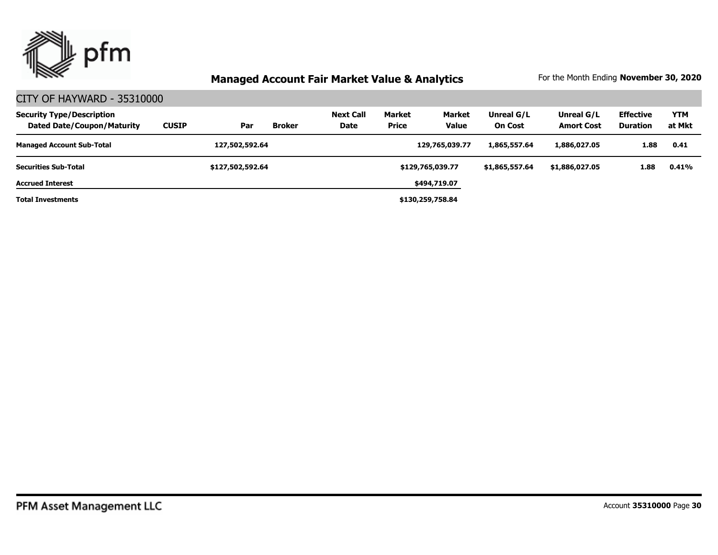

| <b>Security Type/Description</b><br><b>Dated Date/Coupon/Maturity</b> | <b>CUSIP</b> | Par              | <b>Broker</b> | <b>Next Call</b><br>Date | <b>Market</b><br><b>Price</b> | <b>Market</b><br><b>Value</b> | Unreal G/L<br><b>On Cost</b> | Unreal G/L<br><b>Amort Cost</b> | <b>Effective</b><br><b>Duration</b> | <b>YTM</b><br>at Mkt |
|-----------------------------------------------------------------------|--------------|------------------|---------------|--------------------------|-------------------------------|-------------------------------|------------------------------|---------------------------------|-------------------------------------|----------------------|
| <b>Managed Account Sub-Total</b>                                      |              | 127,502,592.64   |               |                          |                               | 129,765,039.77                | 1,865,557,64                 | 1,886,027.05                    | 1.88                                | 0.41                 |
| <b>Securities Sub-Total</b>                                           |              | \$127,502,592.64 |               |                          |                               | \$129,765,039.77              | \$1,865,557.64               | \$1,886,027.05                  | 1.88                                | 0.41%                |
| <b>Accrued Interest</b>                                               |              |                  |               |                          |                               | \$494,719.07                  |                              |                                 |                                     |                      |
| <b>Total Investments</b>                                              |              |                  |               |                          |                               | \$130,259,758.84              |                              |                                 |                                     |                      |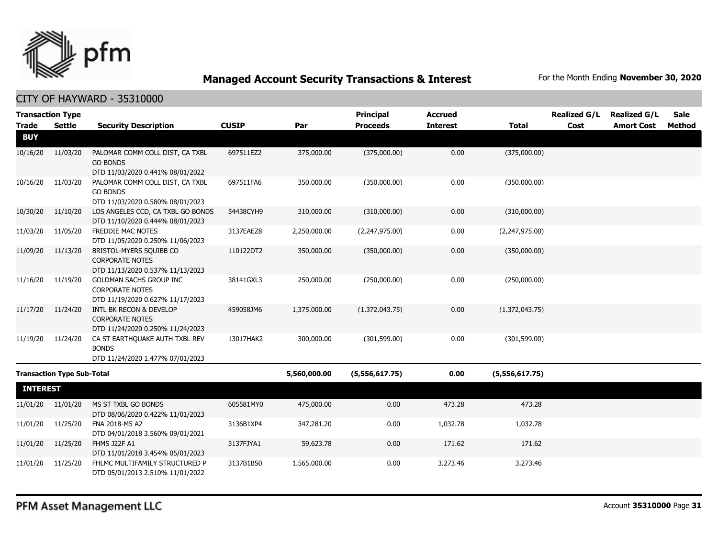

CITY OF HAYWARD - 35310000

| <b>Transaction Type</b> |                                   |                                                                    |              |              | <b>Principal</b> | <b>Accrued</b>  |                | <b>Realized G/L</b> | <b>Realized G/L</b> | Sale          |
|-------------------------|-----------------------------------|--------------------------------------------------------------------|--------------|--------------|------------------|-----------------|----------------|---------------------|---------------------|---------------|
| Trade                   | <b>Settle</b>                     | <b>Security Description</b>                                        | <b>CUSIP</b> | Par          | <b>Proceeds</b>  | <b>Interest</b> | <b>Total</b>   | Cost                | <b>Amort Cost</b>   | <b>Method</b> |
| <b>BUY</b>              |                                   |                                                                    |              |              |                  |                 |                |                     |                     |               |
| 10/16/20                | 11/03/20                          | PALOMAR COMM COLL DIST, CA TXBL                                    | 697511EZ2    | 375,000.00   | (375,000.00)     | 0.00            | (375,000.00)   |                     |                     |               |
|                         |                                   | <b>GO BONDS</b>                                                    |              |              |                  |                 |                |                     |                     |               |
|                         |                                   | DTD 11/03/2020 0.441% 08/01/2022                                   |              |              |                  |                 |                |                     |                     |               |
| 10/16/20                | 11/03/20                          | PALOMAR COMM COLL DIST, CA TXBL                                    | 697511FA6    | 350,000.00   | (350,000.00)     | 0.00            | (350,000.00)   |                     |                     |               |
|                         |                                   | <b>GO BONDS</b><br>DTD 11/03/2020 0.580% 08/01/2023                |              |              |                  |                 |                |                     |                     |               |
| 10/30/20                | 11/10/20                          | LOS ANGELES CCD, CA TXBL GO BONDS                                  | 54438CYH9    | 310,000.00   | (310,000.00)     | 0.00            | (310,000.00)   |                     |                     |               |
|                         |                                   | DTD 11/10/2020 0.444% 08/01/2023                                   |              |              |                  |                 |                |                     |                     |               |
| 11/03/20                | 11/05/20                          | FREDDIE MAC NOTES                                                  | 3137EAEZ8    | 2,250,000.00 | (2,247,975.00)   | 0.00            | (2,247,975.00) |                     |                     |               |
|                         |                                   | DTD 11/05/2020 0.250% 11/06/2023                                   |              |              |                  |                 |                |                     |                     |               |
| 11/09/20                | 11/13/20                          | BRISTOL-MYERS SQUIBB CO                                            | 110122DT2    | 350,000.00   | (350,000.00)     | 0.00            | (350,000.00)   |                     |                     |               |
|                         |                                   | <b>CORPORATE NOTES</b>                                             |              |              |                  |                 |                |                     |                     |               |
|                         |                                   | DTD 11/13/2020 0.537% 11/13/2023                                   |              |              |                  |                 |                |                     |                     |               |
| 11/16/20                | 11/19/20                          | GOLDMAN SACHS GROUP INC<br><b>CORPORATE NOTES</b>                  | 38141GXL3    | 250,000.00   | (250,000.00)     | 0.00            | (250,000.00)   |                     |                     |               |
|                         |                                   | DTD 11/19/2020 0.627% 11/17/2023                                   |              |              |                  |                 |                |                     |                     |               |
| 11/17/20                | 11/24/20                          | INTL BK RECON & DEVELOP                                            | 459058JM6    | 1,375,000.00 | (1,372,043.75)   | 0.00            | (1,372,043.75) |                     |                     |               |
|                         |                                   | <b>CORPORATE NOTES</b>                                             |              |              |                  |                 |                |                     |                     |               |
|                         |                                   | DTD 11/24/2020 0.250% 11/24/2023                                   |              |              |                  |                 |                |                     |                     |               |
| 11/19/20                | 11/24/20                          | CA ST EARTHQUAKE AUTH TXBL REV                                     | 13017HAK2    | 300,000.00   | (301, 599.00)    | 0.00            | (301, 599.00)  |                     |                     |               |
|                         |                                   | <b>BONDS</b>                                                       |              |              |                  |                 |                |                     |                     |               |
|                         |                                   | DTD 11/24/2020 1.477% 07/01/2023                                   |              |              |                  |                 |                |                     |                     |               |
|                         | <b>Transaction Type Sub-Total</b> |                                                                    |              | 5,560,000.00 | (5,556,617.75)   | 0.00            | (5,556,617.75) |                     |                     |               |
| <b>INTEREST</b>         |                                   |                                                                    |              |              |                  |                 |                |                     |                     |               |
| 11/01/20                | 11/01/20                          | MS ST TXBL GO BONDS                                                | 605581MY0    | 475,000.00   | 0.00             | 473.28          | 473.28         |                     |                     |               |
|                         |                                   | DTD 08/06/2020 0.422% 11/01/2023                                   |              |              |                  |                 |                |                     |                     |               |
| 11/01/20                | 11/25/20                          | FNA 2018-M5 A2                                                     | 3136B1XP4    | 347,281.20   | 0.00             | 1,032.78        | 1,032.78       |                     |                     |               |
|                         |                                   | DTD 04/01/2018 3.560% 09/01/2021                                   |              |              |                  |                 |                |                     |                     |               |
| 11/01/20                | 11/25/20                          | FHMS J22F A1                                                       | 3137FJYA1    | 59,623.78    | 0.00             | 171.62          | 171.62         |                     |                     |               |
| 11/01/20                | 11/25/20                          | DTD 11/01/2018 3.454% 05/01/2023<br>FHLMC MULTIFAMILY STRUCTURED P | 3137B1BS0    | 1,565,000.00 | 0.00             | 3,273.46        | 3,273.46       |                     |                     |               |
|                         |                                   | DTD 05/01/2013 2.510% 11/01/2022                                   |              |              |                  |                 |                |                     |                     |               |
|                         |                                   |                                                                    |              |              |                  |                 |                |                     |                     |               |

PFM Asset Management LLC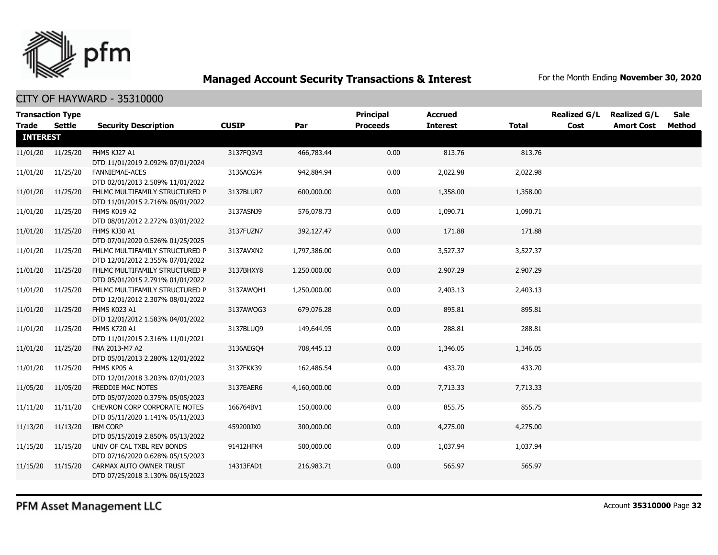

| <b>Transaction Type</b> |          |                                                                    |              |              | <b>Principal</b> | <b>Accrued</b>  |              | <b>Realized G/L</b> | <b>Realized G/L</b> | Sale   |
|-------------------------|----------|--------------------------------------------------------------------|--------------|--------------|------------------|-----------------|--------------|---------------------|---------------------|--------|
| <b>Trade</b>            | Settle   | <b>Security Description</b>                                        | <b>CUSIP</b> | Par          | <b>Proceeds</b>  | <b>Interest</b> | <b>Total</b> | Cost                | <b>Amort Cost</b>   | Method |
| <b>INTEREST</b>         |          |                                                                    |              |              |                  |                 |              |                     |                     |        |
| 11/01/20                | 11/25/20 | FHMS KJ27 A1<br>DTD 11/01/2019 2.092% 07/01/2024                   | 3137FQ3V3    | 466,783.44   | 0.00             | 813.76          | 813.76       |                     |                     |        |
| 11/01/20                | 11/25/20 | <b>FANNIEMAE-ACES</b><br>DTD 02/01/2013 2.509% 11/01/2022          | 3136ACGJ4    | 942,884.94   | 0.00             | 2,022.98        | 2,022.98     |                     |                     |        |
| 11/01/20                | 11/25/20 | FHLMC MULTIFAMILY STRUCTURED P<br>DTD 11/01/2015 2.716% 06/01/2022 | 3137BLUR7    | 600,000.00   | 0.00             | 1,358.00        | 1,358.00     |                     |                     |        |
| 11/01/20                | 11/25/20 | FHMS K019 A2<br>DTD 08/01/2012 2.272% 03/01/2022                   | 3137ASNJ9    | 576,078.73   | 0.00             | 1,090.71        | 1,090.71     |                     |                     |        |
| 11/01/20                | 11/25/20 | FHMS KJ30 A1<br>DTD 07/01/2020 0.526% 01/25/2025                   | 3137FUZN7    | 392,127.47   | 0.00             | 171.88          | 171.88       |                     |                     |        |
| 11/01/20                | 11/25/20 | FHLMC MULTIFAMILY STRUCTURED P<br>DTD 12/01/2012 2.355% 07/01/2022 | 3137AVXN2    | 1,797,386.00 | 0.00             | 3,527.37        | 3,527.37     |                     |                     |        |
| 11/01/20                | 11/25/20 | FHLMC MULTIFAMILY STRUCTURED P<br>DTD 05/01/2015 2.791% 01/01/2022 | 3137BHXY8    | 1,250,000.00 | 0.00             | 2,907.29        | 2,907.29     |                     |                     |        |
| 11/01/20                | 11/25/20 | FHLMC MULTIFAMILY STRUCTURED P<br>DTD 12/01/2012 2.307% 08/01/2022 | 3137AWOH1    | 1,250,000.00 | 0.00             | 2,403.13        | 2,403.13     |                     |                     |        |
| 11/01/20                | 11/25/20 | FHMS K023 A1<br>DTD 12/01/2012 1.583% 04/01/2022                   | 3137AWQG3    | 679,076.28   | 0.00             | 895.81          | 895.81       |                     |                     |        |
| 11/01/20                | 11/25/20 | <b>FHMS K720 A1</b><br>DTD 11/01/2015 2.316% 11/01/2021            | 3137BLUO9    | 149,644.95   | 0.00             | 288.81          | 288.81       |                     |                     |        |
| 11/01/20                | 11/25/20 | FNA 2013-M7 A2<br>DTD 05/01/2013 2.280% 12/01/2022                 | 3136AEGQ4    | 708,445.13   | 0.00             | 1,346.05        | 1,346.05     |                     |                     |        |
| 11/01/20                | 11/25/20 | FHMS KP05 A<br>DTD 12/01/2018 3.203% 07/01/2023                    | 3137FKK39    | 162,486.54   | 0.00             | 433.70          | 433.70       |                     |                     |        |
| 11/05/20                | 11/05/20 | FREDDIE MAC NOTES<br>DTD 05/07/2020 0.375% 05/05/2023              | 3137EAER6    | 4,160,000.00 | 0.00             | 7,713.33        | 7,713.33     |                     |                     |        |
| 11/11/20                | 11/11/20 | CHEVRON CORP CORPORATE NOTES<br>DTD 05/11/2020 1.141% 05/11/2023   | 166764BV1    | 150,000.00   | 0.00             | 855.75          | 855.75       |                     |                     |        |
| 11/13/20                | 11/13/20 | <b>IBM CORP</b><br>DTD 05/15/2019 2.850% 05/13/2022                | 459200JX0    | 300,000.00   | 0.00             | 4,275.00        | 4,275.00     |                     |                     |        |
| 11/15/20                | 11/15/20 | UNIV OF CAL TXBL REV BONDS<br>DTD 07/16/2020 0.628% 05/15/2023     | 91412HFK4    | 500,000.00   | 0.00             | 1,037.94        | 1,037.94     |                     |                     |        |
| 11/15/20                | 11/15/20 | CARMAX AUTO OWNER TRUST<br>DTD 07/25/2018 3.130% 06/15/2023        | 14313FAD1    | 216,983.71   | 0.00             | 565.97          | 565.97       |                     |                     |        |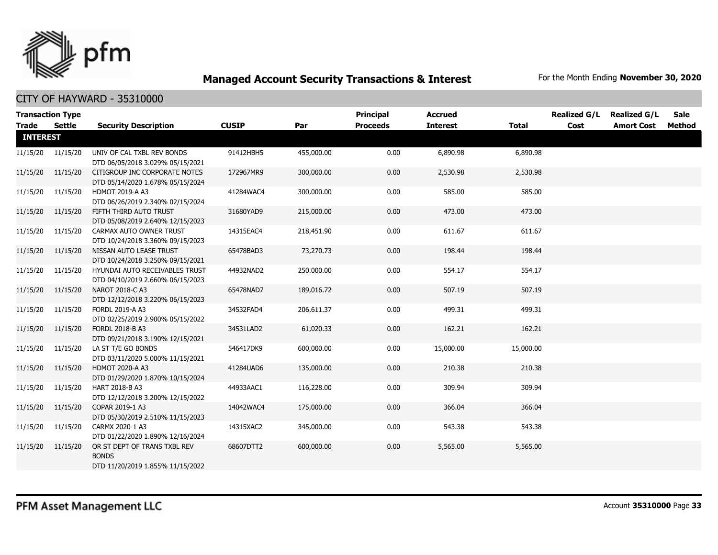

| <b>Transaction Type</b><br>Trade | Settle            | <b>Security Description</b>                                                      | <b>CUSIP</b> | Par        | <b>Principal</b><br><b>Proceeds</b> | <b>Accrued</b><br><b>Interest</b> | <b>Total</b> | <b>Realized G/L</b><br>Cost | <b>Realized G/L</b><br><b>Amort Cost</b> | Sale<br>Method |
|----------------------------------|-------------------|----------------------------------------------------------------------------------|--------------|------------|-------------------------------------|-----------------------------------|--------------|-----------------------------|------------------------------------------|----------------|
| <b>INTEREST</b>                  |                   |                                                                                  |              |            |                                     |                                   |              |                             |                                          |                |
|                                  | 11/15/20 11/15/20 | UNIV OF CAL TXBL REV BONDS<br>DTD 06/05/2018 3.029% 05/15/2021                   | 91412HBH5    | 455,000.00 | 0.00                                | 6,890.98                          | 6,890.98     |                             |                                          |                |
|                                  | 11/15/20 11/15/20 | CITIGROUP INC CORPORATE NOTES<br>DTD 05/14/2020 1.678% 05/15/2024                | 172967MR9    | 300,000.00 | 0.00                                | 2,530.98                          | 2,530.98     |                             |                                          |                |
| 11/15/20                         | 11/15/20          | <b>HDMOT 2019-A A3</b><br>DTD 06/26/2019 2.340% 02/15/2024                       | 41284WAC4    | 300,000.00 | 0.00                                | 585.00                            | 585.00       |                             |                                          |                |
| 11/15/20                         | 11/15/20          | FIFTH THIRD AUTO TRUST<br>DTD 05/08/2019 2.640% 12/15/2023                       | 31680YAD9    | 215,000.00 | 0.00                                | 473.00                            | 473.00       |                             |                                          |                |
| 11/15/20                         | 11/15/20          | CARMAX AUTO OWNER TRUST<br>DTD 10/24/2018 3.360% 09/15/2023                      | 14315EAC4    | 218,451.90 | 0.00                                | 611.67                            | 611.67       |                             |                                          |                |
| 11/15/20                         | 11/15/20          | NISSAN AUTO LEASE TRUST<br>DTD 10/24/2018 3.250% 09/15/2021                      | 65478BAD3    | 73,270.73  | 0.00                                | 198.44                            | 198.44       |                             |                                          |                |
| 11/15/20                         | 11/15/20          | HYUNDAI AUTO RECEIVABLES TRUST<br>DTD 04/10/2019 2.660% 06/15/2023               | 44932NAD2    | 250,000.00 | 0.00                                | 554.17                            | 554.17       |                             |                                          |                |
| 11/15/20                         | 11/15/20          | NAROT 2018-C A3<br>DTD 12/12/2018 3.220% 06/15/2023                              | 65478NAD7    | 189,016.72 | 0.00                                | 507.19                            | 507.19       |                             |                                          |                |
| 11/15/20                         | 11/15/20          | FORDL 2019-A A3<br>DTD 02/25/2019 2.900% 05/15/2022                              | 34532FAD4    | 206,611.37 | 0.00                                | 499.31                            | 499.31       |                             |                                          |                |
| 11/15/20                         | 11/15/20          | FORDL 2018-B A3<br>DTD 09/21/2018 3.190% 12/15/2021                              | 34531LAD2    | 61,020.33  | 0.00                                | 162.21                            | 162.21       |                             |                                          |                |
| 11/15/20                         | 11/15/20          | LA ST T/E GO BONDS<br>DTD 03/11/2020 5.000% 11/15/2021                           | 546417DK9    | 600,000.00 | 0.00                                | 15,000.00                         | 15,000.00    |                             |                                          |                |
| 11/15/20                         | 11/15/20          | <b>HDMOT 2020-A A3</b><br>DTD 01/29/2020 1.870% 10/15/2024                       | 41284UAD6    | 135,000.00 | 0.00                                | 210.38                            | 210.38       |                             |                                          |                |
| 11/15/20                         | 11/15/20          | HART 2018-B A3<br>DTD 12/12/2018 3.200% 12/15/2022                               | 44933AAC1    | 116,228.00 | 0.00                                | 309.94                            | 309.94       |                             |                                          |                |
| 11/15/20                         | 11/15/20          | COPAR 2019-1 A3<br>DTD 05/30/2019 2.510% 11/15/2023                              | 14042WAC4    | 175,000.00 | 0.00                                | 366.04                            | 366.04       |                             |                                          |                |
| 11/15/20                         | 11/15/20          | CARMX 2020-1 A3<br>DTD 01/22/2020 1.890% 12/16/2024                              | 14315XAC2    | 345,000.00 | 0.00                                | 543.38                            | 543.38       |                             |                                          |                |
| 11/15/20                         | 11/15/20          | OR ST DEPT OF TRANS TXBL REV<br><b>BONDS</b><br>DTD 11/20/2019 1.855% 11/15/2022 | 68607DTT2    | 600,000.00 | 0.00                                | 5,565.00                          | 5,565.00     |                             |                                          |                |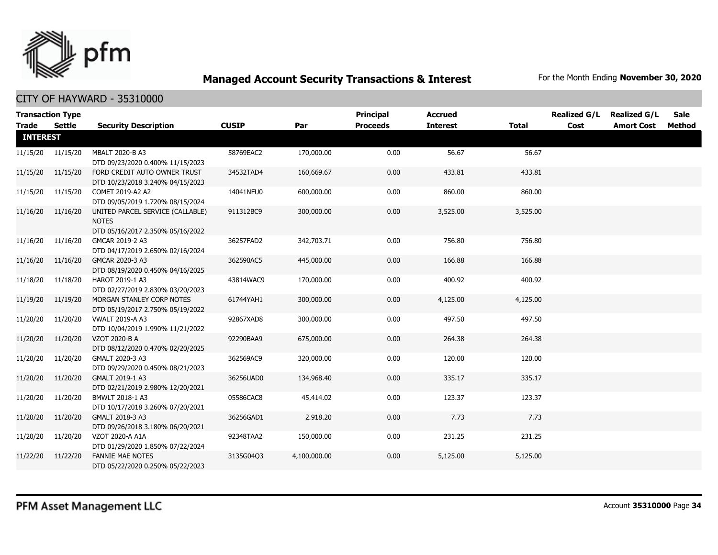

|              | <b>Transaction Type</b> |                                                                                      |              |              | <b>Principal</b> | <b>Accrued</b>  |          | <b>Realized G/L</b> | <b>Realized G/L</b> | Sale   |  |  |
|--------------|-------------------------|--------------------------------------------------------------------------------------|--------------|--------------|------------------|-----------------|----------|---------------------|---------------------|--------|--|--|
| Trade Settle |                         | <b>Security Description</b>                                                          | <b>CUSIP</b> | Par          | <b>Proceeds</b>  | <b>Interest</b> | Total    | Cost                | <b>Amort Cost</b>   | Method |  |  |
|              | <b>INTEREST</b>         |                                                                                      |              |              |                  |                 |          |                     |                     |        |  |  |
|              | 11/15/20 11/15/20       | MBALT 2020-B A3<br>DTD 09/23/2020 0.400% 11/15/2023                                  | 58769EAC2    | 170,000.00   | 0.00             | 56.67           | 56.67    |                     |                     |        |  |  |
|              | 11/15/20 11/15/20       | FORD CREDIT AUTO OWNER TRUST<br>DTD 10/23/2018 3.240% 04/15/2023                     | 34532TAD4    | 160,669.67   | 0.00             | 433.81          | 433.81   |                     |                     |        |  |  |
|              | 11/15/20 11/15/20       | COMET 2019-A2 A2<br>DTD 09/05/2019 1.720% 08/15/2024                                 | 14041NFU0    | 600,000.00   | 0.00             | 860.00          | 860.00   |                     |                     |        |  |  |
|              | 11/16/20 11/16/20       | UNITED PARCEL SERVICE (CALLABLE)<br><b>NOTES</b><br>DTD 05/16/2017 2.350% 05/16/2022 | 911312BC9    | 300,000.00   | 0.00             | 3,525.00        | 3,525.00 |                     |                     |        |  |  |
| 11/16/20     | 11/16/20                | GMCAR 2019-2 A3<br>DTD 04/17/2019 2.650% 02/16/2024                                  | 36257FAD2    | 342,703.71   | 0.00             | 756.80          | 756.80   |                     |                     |        |  |  |
| 11/16/20     | 11/16/20                | GMCAR 2020-3 A3<br>DTD 08/19/2020 0.450% 04/16/2025                                  | 362590AC5    | 445,000.00   | 0.00             | 166.88          | 166.88   |                     |                     |        |  |  |
| 11/18/20     | 11/18/20                | HAROT 2019-1 A3<br>DTD 02/27/2019 2.830% 03/20/2023                                  | 43814WAC9    | 170,000.00   | 0.00             | 400.92          | 400.92   |                     |                     |        |  |  |
| 11/19/20     | 11/19/20                | MORGAN STANLEY CORP NOTES<br>DTD 05/19/2017 2.750% 05/19/2022                        | 61744YAH1    | 300,000.00   | 0.00             | 4,125.00        | 4,125.00 |                     |                     |        |  |  |
| 11/20/20     | 11/20/20                | <b>VWALT 2019-A A3</b><br>DTD 10/04/2019 1.990% 11/21/2022                           | 92867XAD8    | 300,000.00   | 0.00             | 497.50          | 497.50   |                     |                     |        |  |  |
| 11/20/20     | 11/20/20                | VZOT 2020-B A<br>DTD 08/12/2020 0.470% 02/20/2025                                    | 92290BAA9    | 675,000.00   | 0.00             | 264.38          | 264.38   |                     |                     |        |  |  |
| 11/20/20     | 11/20/20                | GMALT 2020-3 A3<br>DTD 09/29/2020 0.450% 08/21/2023                                  | 362569AC9    | 320,000.00   | 0.00             | 120.00          | 120.00   |                     |                     |        |  |  |
| 11/20/20     | 11/20/20                | GMALT 2019-1 A3<br>DTD 02/21/2019 2.980% 12/20/2021                                  | 36256UAD0    | 134,968.40   | 0.00             | 335.17          | 335.17   |                     |                     |        |  |  |
| 11/20/20     | 11/20/20                | BMWLT 2018-1 A3<br>DTD 10/17/2018 3.260% 07/20/2021                                  | 05586CAC8    | 45,414.02    | 0.00             | 123.37          | 123.37   |                     |                     |        |  |  |
| 11/20/20     | 11/20/20                | GMALT 2018-3 A3<br>DTD 09/26/2018 3.180% 06/20/2021                                  | 36256GAD1    | 2,918.20     | 0.00             | 7.73            | 7.73     |                     |                     |        |  |  |
| 11/20/20     | 11/20/20                | VZOT 2020-A A1A<br>DTD 01/29/2020 1.850% 07/22/2024                                  | 92348TAA2    | 150,000.00   | 0.00             | 231.25          | 231.25   |                     |                     |        |  |  |
| 11/22/20     | 11/22/20                | <b>FANNIE MAE NOTES</b><br>DTD 05/22/2020 0.250% 05/22/2023                          | 3135G04Q3    | 4,100,000.00 | 0.00             | 5,125.00        | 5,125.00 |                     |                     |        |  |  |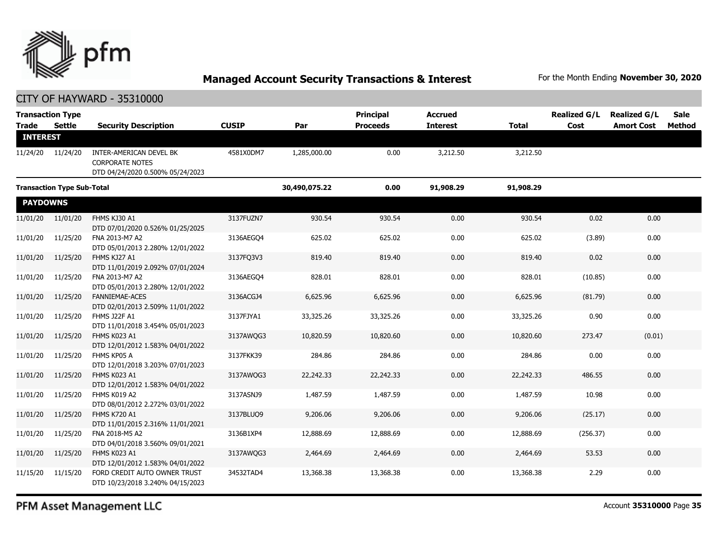

| <b>Trade</b>                      | <b>Transaction Type</b><br>Settle | <b>Security Description</b>                                                           | <b>CUSIP</b>  | Par          | Principal<br><b>Proceeds</b> | <b>Accrued</b><br><b>Interest</b> | <b>Total</b> | <b>Realized G/L</b><br>Cost | <b>Realized G/L</b><br><b>Amort Cost</b> | <b>Sale</b><br>Method |
|-----------------------------------|-----------------------------------|---------------------------------------------------------------------------------------|---------------|--------------|------------------------------|-----------------------------------|--------------|-----------------------------|------------------------------------------|-----------------------|
| <b>INTEREST</b>                   |                                   |                                                                                       |               |              |                              |                                   |              |                             |                                          |                       |
|                                   | 11/24/20 11/24/20                 | INTER-AMERICAN DEVEL BK<br><b>CORPORATE NOTES</b><br>DTD 04/24/2020 0.500% 05/24/2023 | 4581X0DM7     | 1,285,000.00 | 0.00                         | 3,212.50                          | 3,212.50     |                             |                                          |                       |
| <b>Transaction Type Sub-Total</b> |                                   |                                                                                       | 30,490,075.22 | 0.00         | 91,908.29                    | 91,908.29                         |              |                             |                                          |                       |
| <b>PAYDOWNS</b>                   |                                   |                                                                                       |               |              |                              |                                   |              |                             |                                          |                       |
| 11/01/20                          | 11/01/20                          | FHMS KJ30 A1<br>DTD 07/01/2020 0.526% 01/25/2025                                      | 3137FUZN7     | 930.54       | 930.54                       | 0.00                              | 930.54       | 0.02                        | 0.00                                     |                       |
| 11/01/20                          | 11/25/20                          | FNA 2013-M7 A2<br>DTD 05/01/2013 2.280% 12/01/2022                                    | 3136AEGO4     | 625.02       | 625.02                       | 0.00                              | 625.02       | (3.89)                      | 0.00                                     |                       |
| 11/01/20                          | 11/25/20                          | FHMS KJ27 A1<br>DTD 11/01/2019 2.092% 07/01/2024                                      | 3137FQ3V3     | 819.40       | 819.40                       | 0.00                              | 819.40       | 0.02                        | 0.00                                     |                       |
| 11/01/20                          | 11/25/20                          | FNA 2013-M7 A2<br>DTD 05/01/2013 2.280% 12/01/2022                                    | 3136AEGQ4     | 828.01       | 828.01                       | 0.00                              | 828.01       | (10.85)                     | 0.00                                     |                       |
| 11/01/20                          | 11/25/20                          | <b>FANNIEMAE-ACES</b><br>DTD 02/01/2013 2.509% 11/01/2022                             | 3136ACGJ4     | 6,625.96     | 6,625.96                     | 0.00                              | 6,625.96     | (81.79)                     | 0.00                                     |                       |
| 11/01/20                          | 11/25/20                          | FHMS J22F A1<br>DTD 11/01/2018 3.454% 05/01/2023                                      | 3137FJYA1     | 33,325.26    | 33,325.26                    | 0.00                              | 33,325.26    | 0.90                        | 0.00                                     |                       |
| 11/01/20                          | 11/25/20                          | FHMS K023 A1<br>DTD 12/01/2012 1.583% 04/01/2022                                      | 3137AWQG3     | 10,820.59    | 10,820.60                    | 0.00                              | 10,820.60    | 273.47                      | (0.01)                                   |                       |
| 11/01/20                          | 11/25/20                          | FHMS KP05 A<br>DTD 12/01/2018 3.203% 07/01/2023                                       | 3137FKK39     | 284.86       | 284.86                       | 0.00                              | 284.86       | 0.00                        | 0.00                                     |                       |
| 11/01/20                          | 11/25/20                          | FHMS K023 A1<br>DTD 12/01/2012 1.583% 04/01/2022                                      | 3137AWQG3     | 22,242.33    | 22,242.33                    | 0.00                              | 22,242.33    | 486.55                      | 0.00                                     |                       |
| 11/01/20                          | 11/25/20                          | FHMS K019 A2<br>DTD 08/01/2012 2.272% 03/01/2022                                      | 3137ASNJ9     | 1,487.59     | 1,487.59                     | 0.00                              | 1,487.59     | 10.98                       | 0.00                                     |                       |
| 11/01/20                          | 11/25/20                          | <b>FHMS K720 A1</b><br>DTD 11/01/2015 2.316% 11/01/2021                               | 3137BLUQ9     | 9,206.06     | 9,206.06                     | 0.00                              | 9,206.06     | (25.17)                     | 0.00                                     |                       |
| 11/01/20                          | 11/25/20                          | FNA 2018-M5 A2<br>DTD 04/01/2018 3.560% 09/01/2021                                    | 3136B1XP4     | 12,888.69    | 12,888.69                    | 0.00                              | 12,888.69    | (256.37)                    | 0.00                                     |                       |
| 11/01/20                          | 11/25/20                          | FHMS K023 A1<br>DTD 12/01/2012 1.583% 04/01/2022                                      | 3137AWQG3     | 2,464.69     | 2,464.69                     | 0.00                              | 2,464.69     | 53.53                       | 0.00                                     |                       |
| 11/15/20                          | 11/15/20                          | FORD CREDIT AUTO OWNER TRUST<br>DTD 10/23/2018 3.240% 04/15/2023                      | 34532TAD4     | 13,368.38    | 13,368.38                    | 0.00                              | 13,368.38    | 2.29                        | 0.00                                     |                       |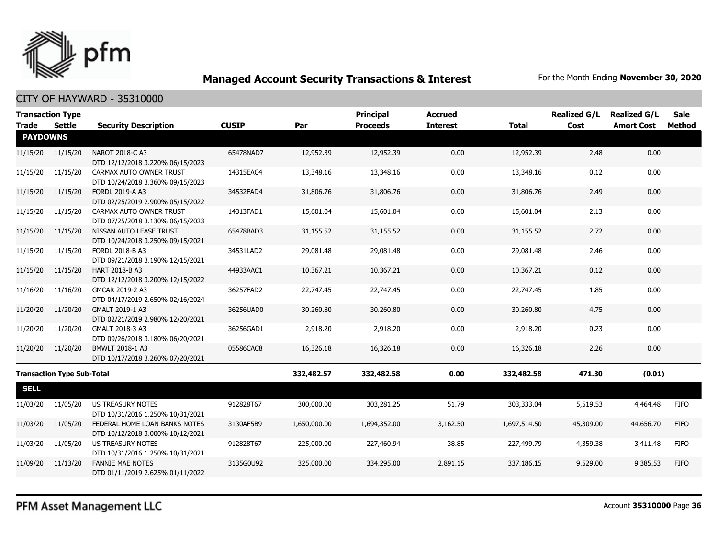

| <b>Transaction Type</b> |                                   |                                                                   |              |              | <b>Principal</b> | <b>Accrued</b>  |              | <b>Realized G/L</b> | <b>Realized G/L</b> | <b>Sale</b> |
|-------------------------|-----------------------------------|-------------------------------------------------------------------|--------------|--------------|------------------|-----------------|--------------|---------------------|---------------------|-------------|
| Trade                   | <b>Settle</b>                     | <b>Security Description</b>                                       | <b>CUSIP</b> | Par          | <b>Proceeds</b>  | <b>Interest</b> | <b>Total</b> | Cost                | <b>Amort Cost</b>   | Method      |
| <b>PAYDOWNS</b>         |                                   |                                                                   |              |              |                  |                 |              |                     |                     |             |
| 11/15/20                | 11/15/20                          | NAROT 2018-C A3<br>DTD 12/12/2018 3.220% 06/15/2023               | 65478NAD7    | 12,952.39    | 12,952.39        | 0.00            | 12,952.39    | 2.48                | 0.00                |             |
| 11/15/20                | 11/15/20                          | CARMAX AUTO OWNER TRUST<br>DTD 10/24/2018 3.360% 09/15/2023       | 14315EAC4    | 13,348.16    | 13,348.16        | 0.00            | 13,348.16    | 0.12                | 0.00                |             |
| 11/15/20                | 11/15/20                          | <b>FORDL 2019-A A3</b><br>DTD 02/25/2019 2.900% 05/15/2022        | 34532FAD4    | 31,806.76    | 31,806.76        | 0.00            | 31,806.76    | 2.49                | 0.00                |             |
| 11/15/20                | 11/15/20                          | CARMAX AUTO OWNER TRUST<br>DTD 07/25/2018 3.130% 06/15/2023       | 14313FAD1    | 15,601.04    | 15,601.04        | 0.00            | 15,601.04    | 2.13                | 0.00                |             |
| 11/15/20                | 11/15/20                          | NISSAN AUTO LEASE TRUST<br>DTD 10/24/2018 3.250% 09/15/2021       | 65478BAD3    | 31,155.52    | 31,155.52        | 0.00            | 31,155.52    | 2.72                | 0.00                |             |
| 11/15/20                | 11/15/20                          | FORDL 2018-B A3<br>DTD 09/21/2018 3.190% 12/15/2021               | 34531LAD2    | 29,081.48    | 29,081.48        | 0.00            | 29,081.48    | 2.46                | 0.00                |             |
| 11/15/20                | 11/15/20                          | <b>HART 2018-B A3</b><br>DTD 12/12/2018 3.200% 12/15/2022         | 44933AAC1    | 10,367.21    | 10,367.21        | 0.00            | 10,367.21    | 0.12                | 0.00                |             |
| 11/16/20                | 11/16/20                          | GMCAR 2019-2 A3<br>DTD 04/17/2019 2.650% 02/16/2024               | 36257FAD2    | 22,747.45    | 22,747.45        | 0.00            | 22,747.45    | 1.85                | 0.00                |             |
| 11/20/20                | 11/20/20                          | GMALT 2019-1 A3<br>DTD 02/21/2019 2.980% 12/20/2021               | 36256UAD0    | 30,260.80    | 30,260.80        | 0.00            | 30,260.80    | 4.75                | 0.00                |             |
| 11/20/20                | 11/20/20                          | GMALT 2018-3 A3<br>DTD 09/26/2018 3.180% 06/20/2021               | 36256GAD1    | 2,918.20     | 2,918.20         | 0.00            | 2,918.20     | 0.23                | 0.00                |             |
| 11/20/20                | 11/20/20                          | BMWLT 2018-1 A3<br>DTD 10/17/2018 3.260% 07/20/2021               | 05586CAC8    | 16,326.18    | 16,326.18        | 0.00            | 16,326.18    | 2.26                | 0.00                |             |
|                         | <b>Transaction Type Sub-Total</b> |                                                                   |              | 332,482.57   | 332,482.58       | 0.00            | 332,482.58   | 471.30              | (0.01)              |             |
| <b>SELL</b>             |                                   |                                                                   |              |              |                  |                 |              |                     |                     |             |
| 11/03/20                | 11/05/20                          | <b>US TREASURY NOTES</b><br>DTD 10/31/2016 1.250% 10/31/2021      | 912828T67    | 300,000.00   | 303,281.25       | 51.79           | 303,333.04   | 5,519.53            | 4,464.48            | <b>FIFO</b> |
| 11/03/20                | 11/05/20                          | FEDERAL HOME LOAN BANKS NOTES<br>DTD 10/12/2018 3.000% 10/12/2021 | 3130AF5B9    | 1,650,000.00 | 1,694,352.00     | 3,162.50        | 1,697,514.50 | 45,309.00           | 44,656.70           | <b>FIFO</b> |
| 11/03/20                | 11/05/20                          | <b>US TREASURY NOTES</b><br>DTD 10/31/2016 1.250% 10/31/2021      | 912828T67    | 225,000.00   | 227,460.94       | 38.85           | 227,499.79   | 4,359.38            | 3,411.48            | <b>FIFO</b> |
| 11/09/20                | 11/13/20                          | <b>FANNIE MAE NOTES</b><br>DTD 01/11/2019 2.625% 01/11/2022       | 3135G0U92    | 325,000.00   | 334,295.00       | 2,891.15        | 337,186.15   | 9,529.00            | 9,385.53            | <b>FIFO</b> |